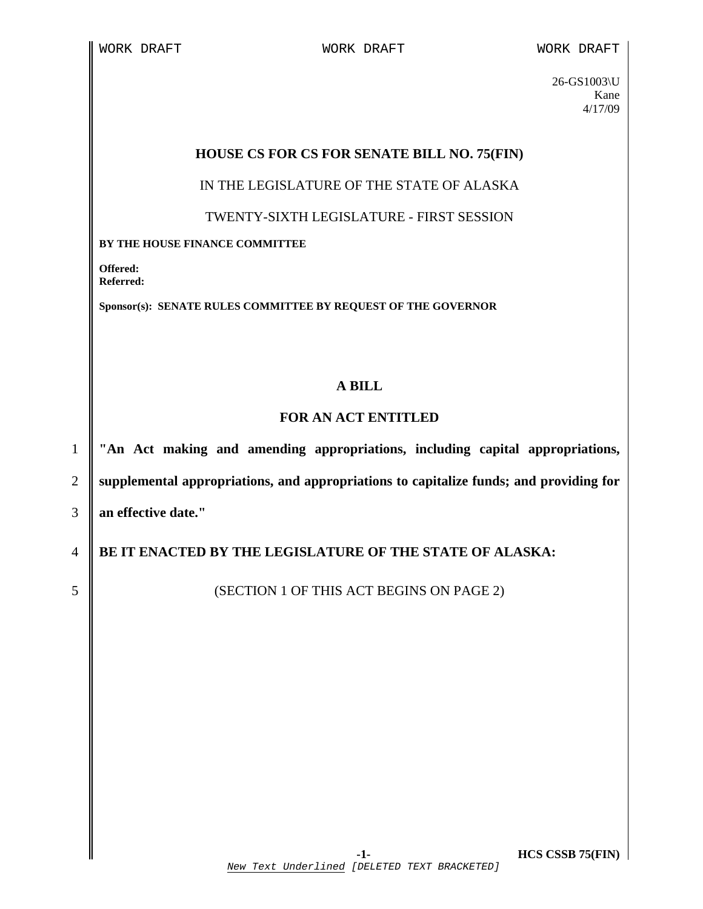26-GS1003\U Kane 4/17/09

## **HOUSE CS FOR CS FOR SENATE BILL NO. 75(FIN)**

IN THE LEGISLATURE OF THE STATE OF ALASKA

TWENTY-SIXTH LEGISLATURE - FIRST SESSION

**BY THE HOUSE FINANCE COMMITTEE** 

**Offered: Referred:** 

**Sponsor(s): SENATE RULES COMMITTEE BY REQUEST OF THE GOVERNOR** 

## **A BILL**

## **FOR AN ACT ENTITLED**

1 **"An Act making and amending appropriations, including capital appropriations,**  2 **supplemental appropriations, and appropriations to capitalize funds; and providing for**  3 **an effective date."** 

4 **BE IT ENACTED BY THE LEGISLATURE OF THE STATE OF ALASKA:** 

5 SUBSECTION 1 OF THIS ACT BEGINS ON PAGE 2)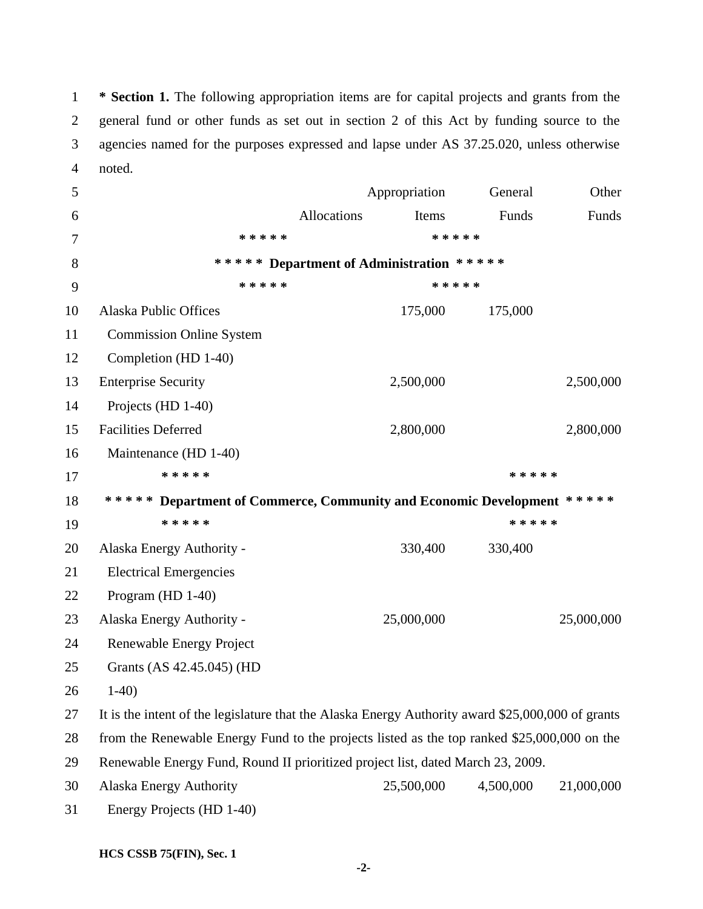1 **\* Section 1.** The following appropriation items are for capital projects and grants from the 2 general fund or other funds as set out in section 2 of this Act by funding source to the 3 agencies named for the purposes expressed and lapse under AS 37.25.020, unless otherwise 4 noted.

| 5      |                                                                                                   |                                          | Appropriation | General   | Other      |
|--------|---------------------------------------------------------------------------------------------------|------------------------------------------|---------------|-----------|------------|
| 6      |                                                                                                   | Allocations                              | Items         | Funds     | Funds      |
| $\tau$ | * * * * *                                                                                         |                                          |               | * * * * * |            |
| 8      |                                                                                                   | ***** Department of Administration ***** |               |           |            |
| 9      | * * * * *                                                                                         |                                          |               | * * * * * |            |
| 10     | <b>Alaska Public Offices</b>                                                                      |                                          | 175,000       | 175,000   |            |
| 11     | <b>Commission Online System</b>                                                                   |                                          |               |           |            |
| 12     | Completion (HD 1-40)                                                                              |                                          |               |           |            |
| 13     | <b>Enterprise Security</b>                                                                        |                                          | 2,500,000     |           | 2,500,000  |
| 14     | Projects (HD 1-40)                                                                                |                                          |               |           |            |
| 15     | <b>Facilities Deferred</b>                                                                        |                                          | 2,800,000     |           | 2,800,000  |
| 16     | Maintenance (HD 1-40)                                                                             |                                          |               |           |            |
| 17     | * * * * *                                                                                         |                                          |               | * * * * * |            |
| 18     | ***** Department of Commerce, Community and Economic Development *****                            |                                          |               |           |            |
| 19     | * * * * *                                                                                         |                                          |               | * * * * * |            |
| 20     | Alaska Energy Authority -                                                                         |                                          | 330,400       | 330,400   |            |
| 21     | <b>Electrical Emergencies</b>                                                                     |                                          |               |           |            |
| 22     | Program (HD 1-40)                                                                                 |                                          |               |           |            |
| 23     | Alaska Energy Authority -                                                                         |                                          | 25,000,000    |           | 25,000,000 |
| 24     | Renewable Energy Project                                                                          |                                          |               |           |            |
| 25     | Grants (AS 42.45.045) (HD                                                                         |                                          |               |           |            |
| 26     | $1-40$                                                                                            |                                          |               |           |            |
| 27     | It is the intent of the legislature that the Alaska Energy Authority award \$25,000,000 of grants |                                          |               |           |            |
| 28     | from the Renewable Energy Fund to the projects listed as the top ranked \$25,000,000 on the       |                                          |               |           |            |
| 29     | Renewable Energy Fund, Round II prioritized project list, dated March 23, 2009.                   |                                          |               |           |            |
| 30     | <b>Alaska Energy Authority</b>                                                                    |                                          | 25,500,000    | 4,500,000 | 21,000,000 |
| 31     | Energy Projects (HD 1-40)                                                                         |                                          |               |           |            |

 **-2-**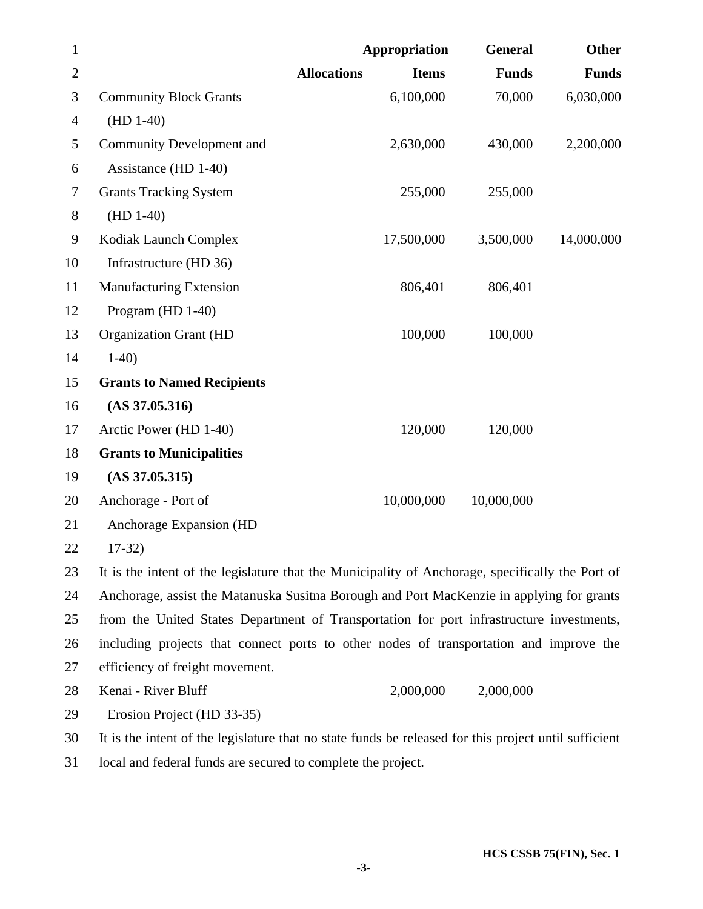| $\mathbf{1}$ |                                                                                                  | <b>Appropriation</b>               | General      | <b>Other</b> |
|--------------|--------------------------------------------------------------------------------------------------|------------------------------------|--------------|--------------|
| $\mathbf{2}$ |                                                                                                  | <b>Allocations</b><br><b>Items</b> | <b>Funds</b> | <b>Funds</b> |
| 3            | <b>Community Block Grants</b>                                                                    | 6,100,000                          | 70,000       | 6,030,000    |
| 4            | $(HD 1-40)$                                                                                      |                                    |              |              |
| 5            | <b>Community Development and</b>                                                                 | 2,630,000                          | 430,000      | 2,200,000    |
| 6            | Assistance (HD 1-40)                                                                             |                                    |              |              |
| 7            | <b>Grants Tracking System</b>                                                                    | 255,000                            | 255,000      |              |
| 8            | $(HD 1-40)$                                                                                      |                                    |              |              |
| 9            | Kodiak Launch Complex                                                                            | 17,500,000                         | 3,500,000    | 14,000,000   |
| 10           | Infrastructure (HD 36)                                                                           |                                    |              |              |
| 11           | <b>Manufacturing Extension</b>                                                                   | 806,401                            | 806,401      |              |
| 12           | Program (HD 1-40)                                                                                |                                    |              |              |
| 13           | <b>Organization Grant (HD</b>                                                                    | 100,000                            | 100,000      |              |
| 14           | $1-40$                                                                                           |                                    |              |              |
| 15           | <b>Grants to Named Recipients</b>                                                                |                                    |              |              |
| 16           | $(AS\,37.05.316)$                                                                                |                                    |              |              |
| 17           | Arctic Power (HD 1-40)                                                                           | 120,000                            | 120,000      |              |
| 18           | <b>Grants to Municipalities</b>                                                                  |                                    |              |              |
| 19           | $(AS\,37.05.315)$                                                                                |                                    |              |              |
| 20           | Anchorage - Port of                                                                              | 10,000,000                         | 10,000,000   |              |
| 21           | Anchorage Expansion (HD                                                                          |                                    |              |              |
| 22           | $17-32)$                                                                                         |                                    |              |              |
| 23           | It is the intent of the legislature that the Municipality of Anchorage, specifically the Port of |                                    |              |              |
| 24           | Anchorage, assist the Matanuska Susitna Borough and Port MacKenzie in applying for grants        |                                    |              |              |
| 25           | from the United States Department of Transportation for port infrastructure investments,         |                                    |              |              |
| 26           | including projects that connect ports to other nodes of transportation and improve the           |                                    |              |              |
| 27           | efficiency of freight movement.                                                                  |                                    |              |              |

28 Kenai - River Bluff 2,000,000 2,000,000

29 Erosion Project (HD 33-35)

30 It is the intent of the legislature that no state funds be released for this project until sufficient

31 local and federal funds are secured to complete the project.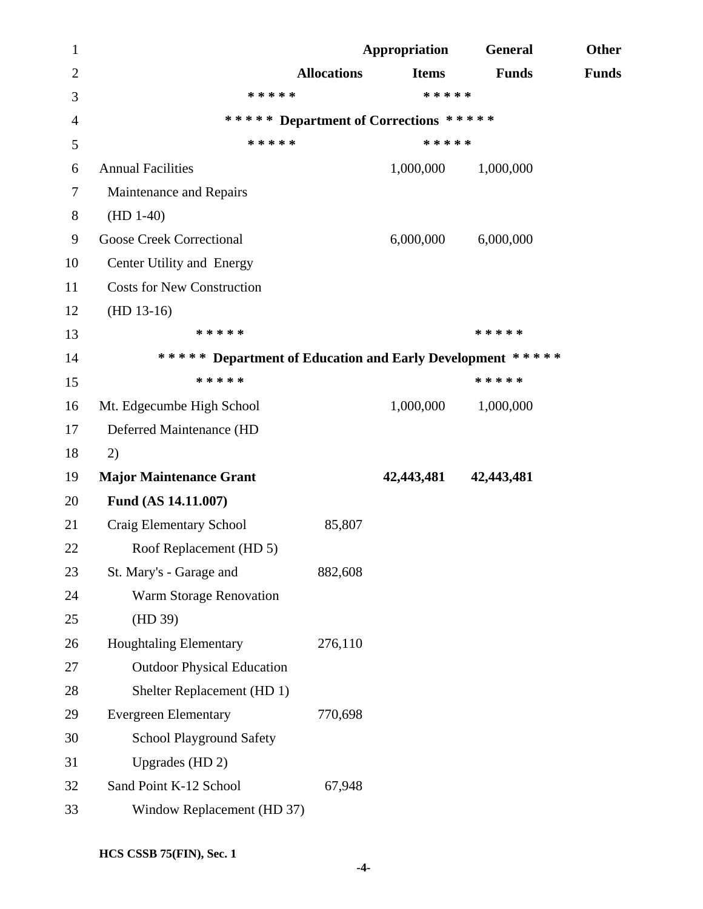| $\mathbf{1}$   |                                                           |                    | Appropriation | <b>General</b> | Other        |
|----------------|-----------------------------------------------------------|--------------------|---------------|----------------|--------------|
| $\overline{2}$ |                                                           | <b>Allocations</b> | <b>Items</b>  | <b>Funds</b>   | <b>Funds</b> |
| 3              | * * * * *                                                 |                    | * * * * *     |                |              |
| $\overline{4}$ | ***** Department of Corrections *****                     |                    |               |                |              |
| 5              | * * * * *                                                 |                    | * * * * *     |                |              |
| 6              | <b>Annual Facilities</b>                                  |                    | 1,000,000     | 1,000,000      |              |
| $\tau$         | Maintenance and Repairs                                   |                    |               |                |              |
| 8              | $(HD 1-40)$                                               |                    |               |                |              |
| 9              | <b>Goose Creek Correctional</b>                           |                    | 6,000,000     | 6,000,000      |              |
| 10             | Center Utility and Energy                                 |                    |               |                |              |
| 11             | <b>Costs for New Construction</b>                         |                    |               |                |              |
| 12             | $(HD 13-16)$                                              |                    |               |                |              |
| 13             | * * * * *                                                 |                    |               | * * * * *      |              |
| 14             | ***** Department of Education and Early Development ***** |                    |               |                |              |
| 15             | * * * * *                                                 |                    |               | * * * * *      |              |
| 16             | Mt. Edgecumbe High School                                 |                    | 1,000,000     | 1,000,000      |              |
| 17             | Deferred Maintenance (HD                                  |                    |               |                |              |
| 18             | 2)                                                        |                    |               |                |              |
| 19             | <b>Major Maintenance Grant</b>                            |                    | 42,443,481    | 42,443,481     |              |
| 20             | Fund (AS 14.11.007)                                       |                    |               |                |              |
| 21             | Craig Elementary School                                   | 85,807             |               |                |              |
| 22             | Roof Replacement (HD 5)                                   |                    |               |                |              |
| 23             | St. Mary's - Garage and                                   | 882,608            |               |                |              |
| 24             | <b>Warm Storage Renovation</b>                            |                    |               |                |              |
| 25             | (HD 39)                                                   |                    |               |                |              |
| 26             | <b>Houghtaling Elementary</b>                             | 276,110            |               |                |              |
| 27             | <b>Outdoor Physical Education</b>                         |                    |               |                |              |
| 28             | Shelter Replacement (HD 1)                                |                    |               |                |              |
| 29             | <b>Evergreen Elementary</b>                               | 770,698            |               |                |              |
| 30             | <b>School Playground Safety</b>                           |                    |               |                |              |
| 31             | Upgrades (HD 2)                                           |                    |               |                |              |
| 32             | Sand Point K-12 School                                    | 67,948             |               |                |              |
| 33             | Window Replacement (HD 37)                                |                    |               |                |              |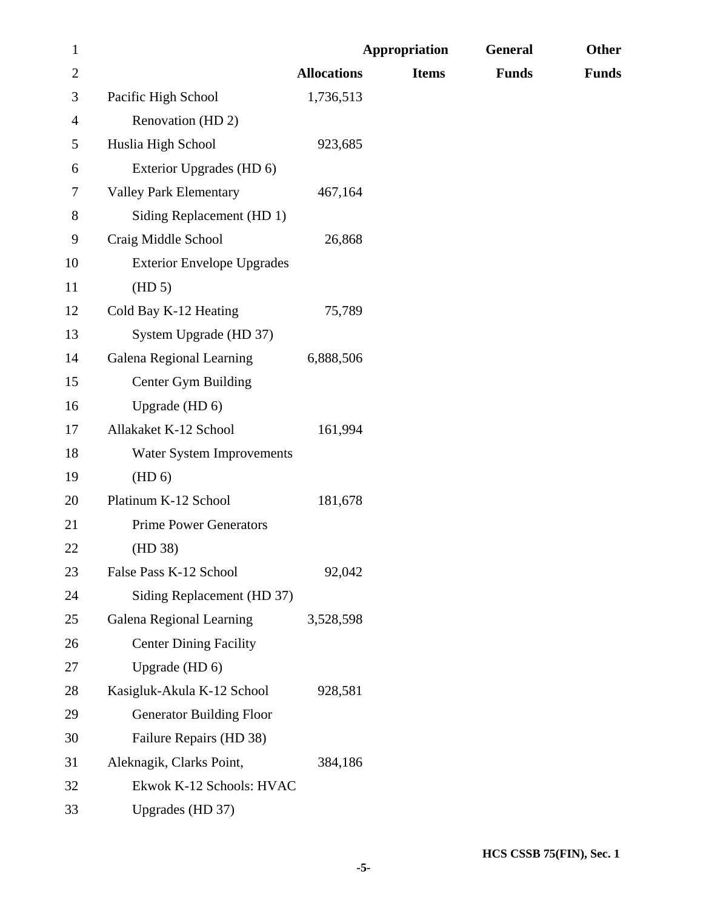| $\mathbf{1}$   |                                   |                    | <b>Appropriation</b> | General      | Other        |
|----------------|-----------------------------------|--------------------|----------------------|--------------|--------------|
| $\overline{2}$ |                                   | <b>Allocations</b> | <b>Items</b>         | <b>Funds</b> | <b>Funds</b> |
| 3              | Pacific High School               | 1,736,513          |                      |              |              |
| $\overline{4}$ | Renovation (HD 2)                 |                    |                      |              |              |
| 5              | Huslia High School                | 923,685            |                      |              |              |
| 6              | Exterior Upgrades (HD 6)          |                    |                      |              |              |
| 7              | <b>Valley Park Elementary</b>     | 467,164            |                      |              |              |
| $8\,$          | Siding Replacement (HD 1)         |                    |                      |              |              |
| 9              | Craig Middle School               | 26,868             |                      |              |              |
| 10             | <b>Exterior Envelope Upgrades</b> |                    |                      |              |              |
| 11             | (HD 5)                            |                    |                      |              |              |
| 12             | Cold Bay K-12 Heating             | 75,789             |                      |              |              |
| 13             | System Upgrade (HD 37)            |                    |                      |              |              |
| 14             | Galena Regional Learning          | 6,888,506          |                      |              |              |
| 15             | <b>Center Gym Building</b>        |                    |                      |              |              |
| 16             | Upgrade (HD 6)                    |                    |                      |              |              |
| 17             | Allakaket K-12 School             | 161,994            |                      |              |              |
| 18             | Water System Improvements         |                    |                      |              |              |
| 19             | (HD 6)                            |                    |                      |              |              |
| 20             | Platinum K-12 School              | 181,678            |                      |              |              |
| 21             | <b>Prime Power Generators</b>     |                    |                      |              |              |
| 22             | (HD 38)                           |                    |                      |              |              |
| 23             | False Pass K-12 School            | 92,042             |                      |              |              |
| 24             | Siding Replacement (HD 37)        |                    |                      |              |              |
| 25             | Galena Regional Learning          | 3,528,598          |                      |              |              |
| 26             | <b>Center Dining Facility</b>     |                    |                      |              |              |
| 27             | Upgrade (HD 6)                    |                    |                      |              |              |
| 28             | Kasigluk-Akula K-12 School        | 928,581            |                      |              |              |
| 29             | <b>Generator Building Floor</b>   |                    |                      |              |              |
| 30             | Failure Repairs (HD 38)           |                    |                      |              |              |
| 31             | Aleknagik, Clarks Point,          | 384,186            |                      |              |              |
| 32             | Ekwok K-12 Schools: HVAC          |                    |                      |              |              |
| 33             | Upgrades (HD 37)                  |                    |                      |              |              |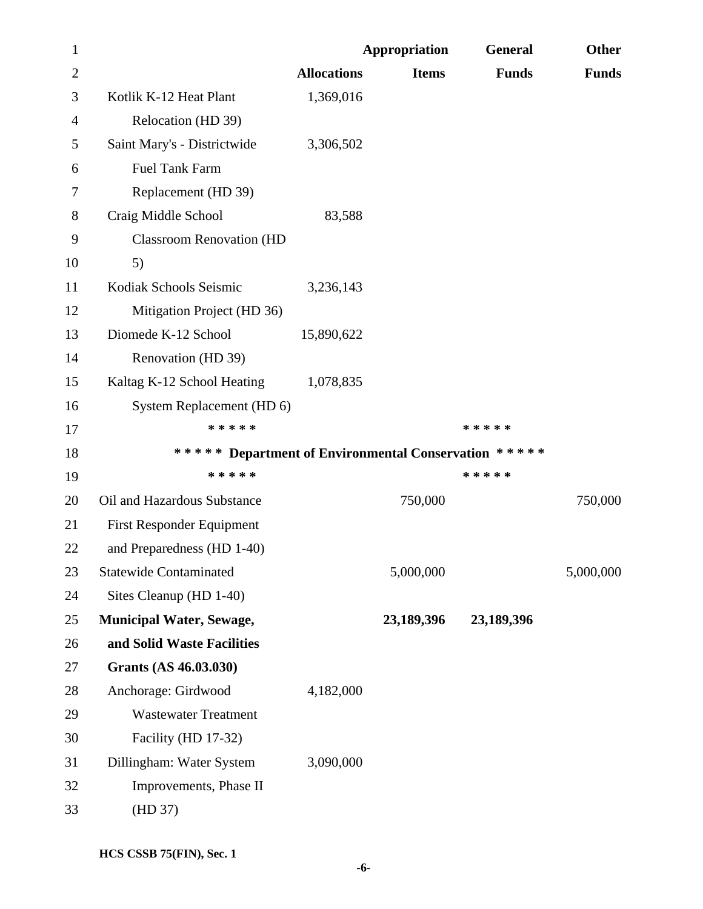| 1              |                                                      |                    | <b>Appropriation</b> | <b>General</b> | <b>Other</b> |
|----------------|------------------------------------------------------|--------------------|----------------------|----------------|--------------|
| $\overline{2}$ |                                                      | <b>Allocations</b> | <b>Items</b>         | <b>Funds</b>   | <b>Funds</b> |
| 3              | Kotlik K-12 Heat Plant                               | 1,369,016          |                      |                |              |
| 4              | Relocation (HD 39)                                   |                    |                      |                |              |
| 5              | Saint Mary's - Districtwide                          | 3,306,502          |                      |                |              |
| 6              | <b>Fuel Tank Farm</b>                                |                    |                      |                |              |
| 7              | Replacement (HD 39)                                  |                    |                      |                |              |
| 8              | Craig Middle School                                  | 83,588             |                      |                |              |
| 9              | <b>Classroom Renovation (HD</b>                      |                    |                      |                |              |
| 10             | 5)                                                   |                    |                      |                |              |
| 11             | Kodiak Schools Seismic                               | 3,236,143          |                      |                |              |
| 12             | Mitigation Project (HD 36)                           |                    |                      |                |              |
| 13             | Diomede K-12 School                                  | 15,890,622         |                      |                |              |
| 14             | Renovation (HD 39)                                   |                    |                      |                |              |
| 15             | Kaltag K-12 School Heating                           | 1,078,835          |                      |                |              |
| 16             | System Replacement (HD 6)                            |                    |                      |                |              |
| 17             | * * * * *                                            |                    |                      | * * * * *      |              |
| 18             | ***** Department of Environmental Conservation ***** |                    |                      |                |              |
| 19             | * * * * *                                            |                    |                      | * * * * *      |              |
| 20             | Oil and Hazardous Substance                          |                    | 750,000              |                | 750,000      |
| 21             | <b>First Responder Equipment</b>                     |                    |                      |                |              |
| 22             | and Preparedness (HD 1-40)                           |                    |                      |                |              |
| 23             | <b>Statewide Contaminated</b>                        |                    | 5,000,000            |                | 5,000,000    |
| 24             | Sites Cleanup (HD 1-40)                              |                    |                      |                |              |
| 25             | <b>Municipal Water, Sewage,</b>                      |                    | 23,189,396           | 23,189,396     |              |
| 26             | and Solid Waste Facilities                           |                    |                      |                |              |
| 27             | Grants (AS 46.03.030)                                |                    |                      |                |              |
| 28             | Anchorage: Girdwood                                  | 4,182,000          |                      |                |              |
| 29             | <b>Wastewater Treatment</b>                          |                    |                      |                |              |
| 30             | Facility (HD 17-32)                                  |                    |                      |                |              |
| 31             | Dillingham: Water System                             | 3,090,000          |                      |                |              |
| 32             | Improvements, Phase II                               |                    |                      |                |              |
| 33             | (HD 37)                                              |                    |                      |                |              |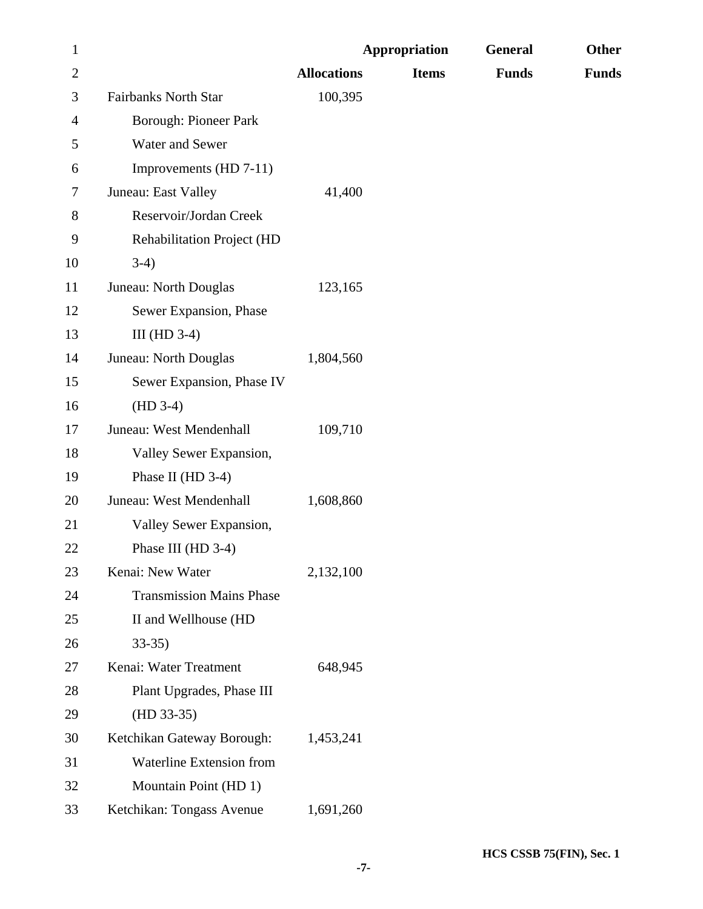| $\mathbf{1}$   |                                   |                    | <b>Appropriation</b> | General      | <b>Other</b> |
|----------------|-----------------------------------|--------------------|----------------------|--------------|--------------|
| $\overline{2}$ |                                   | <b>Allocations</b> | <b>Items</b>         | <b>Funds</b> | <b>Funds</b> |
| 3              | <b>Fairbanks North Star</b>       | 100,395            |                      |              |              |
| 4              | <b>Borough: Pioneer Park</b>      |                    |                      |              |              |
| 5              | Water and Sewer                   |                    |                      |              |              |
| 6              | Improvements (HD 7-11)            |                    |                      |              |              |
| 7              | Juneau: East Valley               | 41,400             |                      |              |              |
| 8              | Reservoir/Jordan Creek            |                    |                      |              |              |
| 9              | <b>Rehabilitation Project (HD</b> |                    |                      |              |              |
| 10             | $3-4)$                            |                    |                      |              |              |
| 11             | Juneau: North Douglas             | 123,165            |                      |              |              |
| 12             | Sewer Expansion, Phase            |                    |                      |              |              |
| 13             | III (HD $3-4$ )                   |                    |                      |              |              |
| 14             | Juneau: North Douglas             | 1,804,560          |                      |              |              |
| 15             | Sewer Expansion, Phase IV         |                    |                      |              |              |
| 16             | $(HD 3-4)$                        |                    |                      |              |              |
| 17             | Juneau: West Mendenhall           | 109,710            |                      |              |              |
| 18             | Valley Sewer Expansion,           |                    |                      |              |              |
| 19             | Phase II (HD 3-4)                 |                    |                      |              |              |
| 20             | Juneau: West Mendenhall           | 1,608,860          |                      |              |              |
| 21             | Valley Sewer Expansion,           |                    |                      |              |              |
| 22             | Phase III (HD 3-4)                |                    |                      |              |              |
| 23             | Kenai: New Water                  | 2,132,100          |                      |              |              |
| 24             | <b>Transmission Mains Phase</b>   |                    |                      |              |              |
| 25             | II and Wellhouse (HD              |                    |                      |              |              |
| 26             | $33-35$                           |                    |                      |              |              |
| 27             | Kenai: Water Treatment            | 648,945            |                      |              |              |
| 28             | Plant Upgrades, Phase III         |                    |                      |              |              |
| 29             | $(HD 33-35)$                      |                    |                      |              |              |
| 30             | Ketchikan Gateway Borough:        | 1,453,241          |                      |              |              |
| 31             | Waterline Extension from          |                    |                      |              |              |
| 32             | Mountain Point (HD 1)             |                    |                      |              |              |
| 33             | Ketchikan: Tongass Avenue         | 1,691,260          |                      |              |              |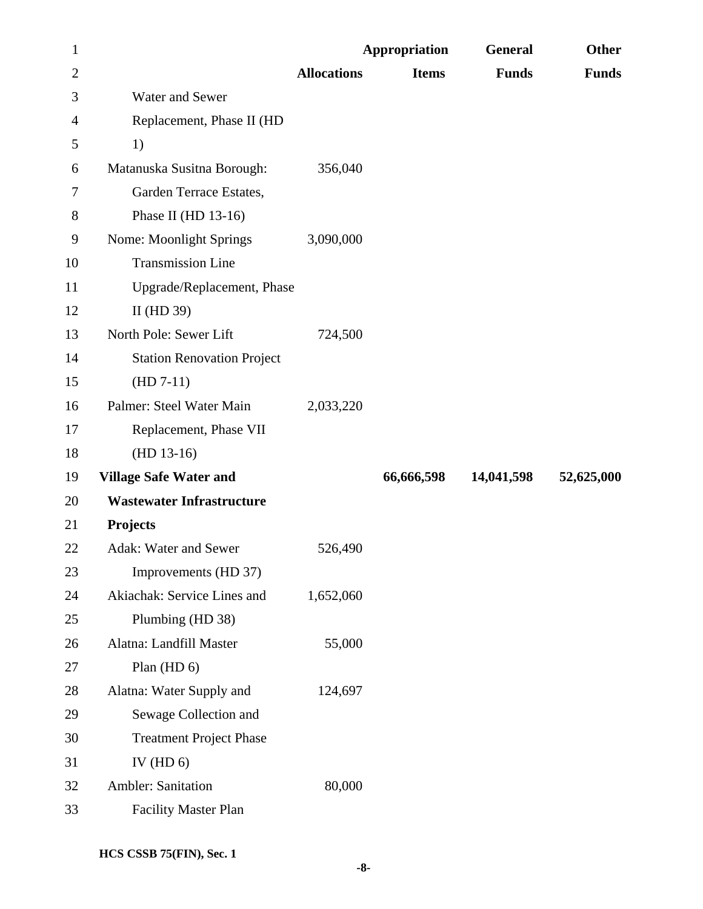| 1              |                                   |                    | <b>Appropriation</b> | General      | <b>Other</b> |
|----------------|-----------------------------------|--------------------|----------------------|--------------|--------------|
| $\overline{c}$ |                                   | <b>Allocations</b> | <b>Items</b>         | <b>Funds</b> | <b>Funds</b> |
| 3              | Water and Sewer                   |                    |                      |              |              |
| 4              | Replacement, Phase II (HD         |                    |                      |              |              |
| 5              | 1)                                |                    |                      |              |              |
| 6              | Matanuska Susitna Borough:        | 356,040            |                      |              |              |
| 7              | Garden Terrace Estates,           |                    |                      |              |              |
| 8              | Phase II (HD $13-16$ )            |                    |                      |              |              |
| 9              | <b>Nome: Moonlight Springs</b>    | 3,090,000          |                      |              |              |
| 10             | <b>Transmission Line</b>          |                    |                      |              |              |
| 11             | Upgrade/Replacement, Phase        |                    |                      |              |              |
| 12             | II (HD $39$ )                     |                    |                      |              |              |
| 13             | North Pole: Sewer Lift            | 724,500            |                      |              |              |
| 14             | <b>Station Renovation Project</b> |                    |                      |              |              |
| 15             | $(HD 7-11)$                       |                    |                      |              |              |
| 16             | Palmer: Steel Water Main          | 2,033,220          |                      |              |              |
| 17             | Replacement, Phase VII            |                    |                      |              |              |
| 18             | $(HD 13-16)$                      |                    |                      |              |              |
| 19             | <b>Village Safe Water and</b>     |                    | 66,666,598           | 14,041,598   | 52,625,000   |
| 20             | <b>Wastewater Infrastructure</b>  |                    |                      |              |              |
| 21             | Projects                          |                    |                      |              |              |
| 22             | Adak: Water and Sewer             | 526,490            |                      |              |              |
| 23             | Improvements (HD 37)              |                    |                      |              |              |
| 24             | Akiachak: Service Lines and       | 1,652,060          |                      |              |              |
| 25             | Plumbing (HD 38)                  |                    |                      |              |              |
| 26             | Alatna: Landfill Master           | 55,000             |                      |              |              |
| 27             | Plan (HD 6)                       |                    |                      |              |              |
| 28             | Alatna: Water Supply and          | 124,697            |                      |              |              |
| 29             | Sewage Collection and             |                    |                      |              |              |
| 30             | <b>Treatment Project Phase</b>    |                    |                      |              |              |
| 31             | IV (HD $6$ )                      |                    |                      |              |              |
| 32             | <b>Ambler: Sanitation</b>         | 80,000             |                      |              |              |
| 33             | <b>Facility Master Plan</b>       |                    |                      |              |              |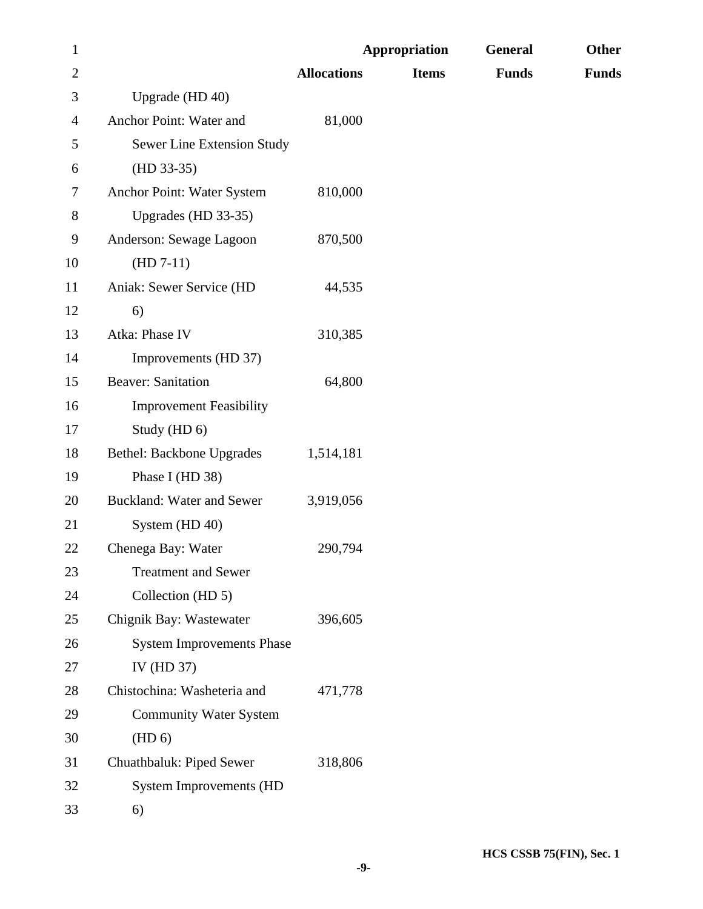| $\mathbf{1}$   |                                  |                    | <b>Appropriation</b> | <b>General</b> | Other        |
|----------------|----------------------------------|--------------------|----------------------|----------------|--------------|
| $\overline{2}$ |                                  | <b>Allocations</b> | <b>Items</b>         | <b>Funds</b>   | <b>Funds</b> |
| 3              | Upgrade (HD 40)                  |                    |                      |                |              |
| 4              | Anchor Point: Water and          | 81,000             |                      |                |              |
| 5              | Sewer Line Extension Study       |                    |                      |                |              |
| 6              | $(HD 33-35)$                     |                    |                      |                |              |
| 7              | Anchor Point: Water System       | 810,000            |                      |                |              |
| 8              | Upgrades (HD 33-35)              |                    |                      |                |              |
| 9              | Anderson: Sewage Lagoon          | 870,500            |                      |                |              |
| 10             | $(HD 7-11)$                      |                    |                      |                |              |
| 11             | Aniak: Sewer Service (HD         | 44,535             |                      |                |              |
| 12             | 6)                               |                    |                      |                |              |
| 13             | Atka: Phase IV                   | 310,385            |                      |                |              |
| 14             | Improvements (HD 37)             |                    |                      |                |              |
| 15             | <b>Beaver: Sanitation</b>        | 64,800             |                      |                |              |
| 16             | <b>Improvement Feasibility</b>   |                    |                      |                |              |
| 17             | Study (HD 6)                     |                    |                      |                |              |
| 18             | <b>Bethel: Backbone Upgrades</b> | 1,514,181          |                      |                |              |
| 19             | Phase I (HD 38)                  |                    |                      |                |              |
| 20             | <b>Buckland: Water and Sewer</b> | 3,919,056          |                      |                |              |
| 21             | System (HD 40)                   |                    |                      |                |              |
| 22             | Chenega Bay: Water               | 290,794            |                      |                |              |
| 23             | <b>Treatment and Sewer</b>       |                    |                      |                |              |
| 24             | Collection (HD 5)                |                    |                      |                |              |
| 25             | Chignik Bay: Wastewater          | 396,605            |                      |                |              |
| 26             | <b>System Improvements Phase</b> |                    |                      |                |              |
| 27             | IV (HD 37)                       |                    |                      |                |              |
| 28             | Chistochina: Washeteria and      | 471,778            |                      |                |              |
| 29             | <b>Community Water System</b>    |                    |                      |                |              |
| 30             | (HD 6)                           |                    |                      |                |              |
| 31             | Chuathbaluk: Piped Sewer         | 318,806            |                      |                |              |
| 32             | <b>System Improvements (HD</b>   |                    |                      |                |              |
| 33             | 6)                               |                    |                      |                |              |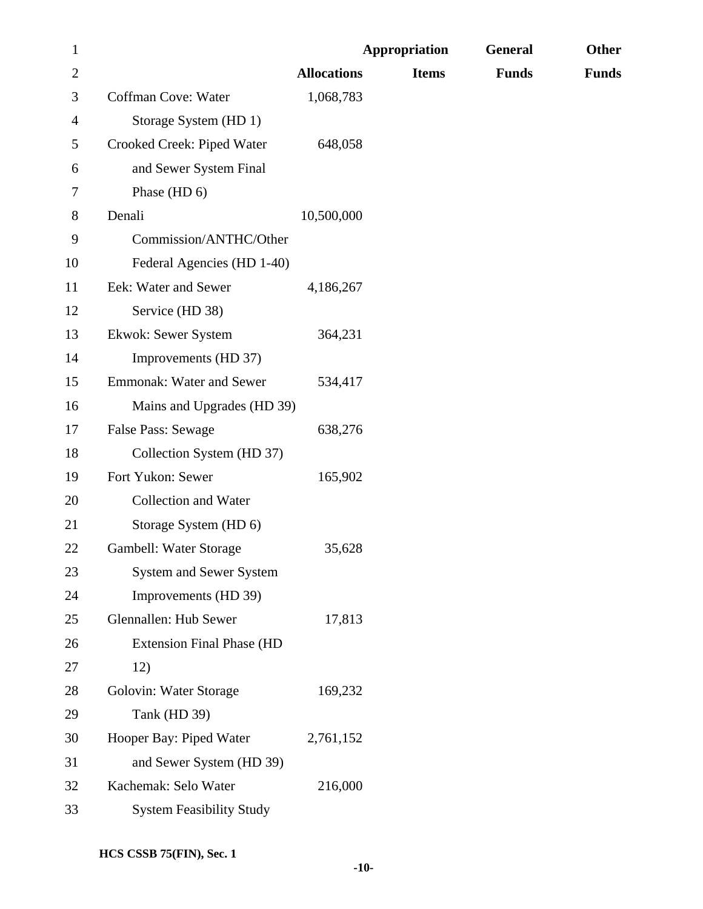| $\mathbf{1}$ |                                  |                    | <b>Appropriation</b> | General      | Other        |
|--------------|----------------------------------|--------------------|----------------------|--------------|--------------|
| $\mathbf{2}$ |                                  | <b>Allocations</b> | <b>Items</b>         | <b>Funds</b> | <b>Funds</b> |
| 3            | Coffman Cove: Water              | 1,068,783          |                      |              |              |
| 4            | Storage System (HD 1)            |                    |                      |              |              |
| 5            | Crooked Creek: Piped Water       | 648,058            |                      |              |              |
| 6            | and Sewer System Final           |                    |                      |              |              |
| 7            | Phase (HD 6)                     |                    |                      |              |              |
| 8            | Denali                           | 10,500,000         |                      |              |              |
| 9            | Commission/ANTHC/Other           |                    |                      |              |              |
| 10           | Federal Agencies (HD 1-40)       |                    |                      |              |              |
| 11           | Eek: Water and Sewer             | 4,186,267          |                      |              |              |
| 12           | Service (HD 38)                  |                    |                      |              |              |
| 13           | Ekwok: Sewer System              | 364,231            |                      |              |              |
| 14           | Improvements (HD 37)             |                    |                      |              |              |
| 15           | <b>Emmonak: Water and Sewer</b>  | 534,417            |                      |              |              |
| 16           | Mains and Upgrades (HD 39)       |                    |                      |              |              |
| 17           | False Pass: Sewage               | 638,276            |                      |              |              |
| 18           | Collection System (HD 37)        |                    |                      |              |              |
| 19           | Fort Yukon: Sewer                | 165,902            |                      |              |              |
| 20           | Collection and Water             |                    |                      |              |              |
| 21           | Storage System (HD 6)            |                    |                      |              |              |
| <b>22</b>    | Gambell: Water Storage           | 35,628             |                      |              |              |
| 23           | <b>System and Sewer System</b>   |                    |                      |              |              |
| 24           | Improvements (HD 39)             |                    |                      |              |              |
| 25           | Glennallen: Hub Sewer            | 17,813             |                      |              |              |
| 26           | <b>Extension Final Phase (HD</b> |                    |                      |              |              |
| 27           | 12)                              |                    |                      |              |              |
| 28           | Golovin: Water Storage           | 169,232            |                      |              |              |
| 29           | Tank (HD 39)                     |                    |                      |              |              |
| 30           | Hooper Bay: Piped Water          | 2,761,152          |                      |              |              |
| 31           | and Sewer System (HD 39)         |                    |                      |              |              |
| 32           | Kachemak: Selo Water             | 216,000            |                      |              |              |
| 33           | <b>System Feasibility Study</b>  |                    |                      |              |              |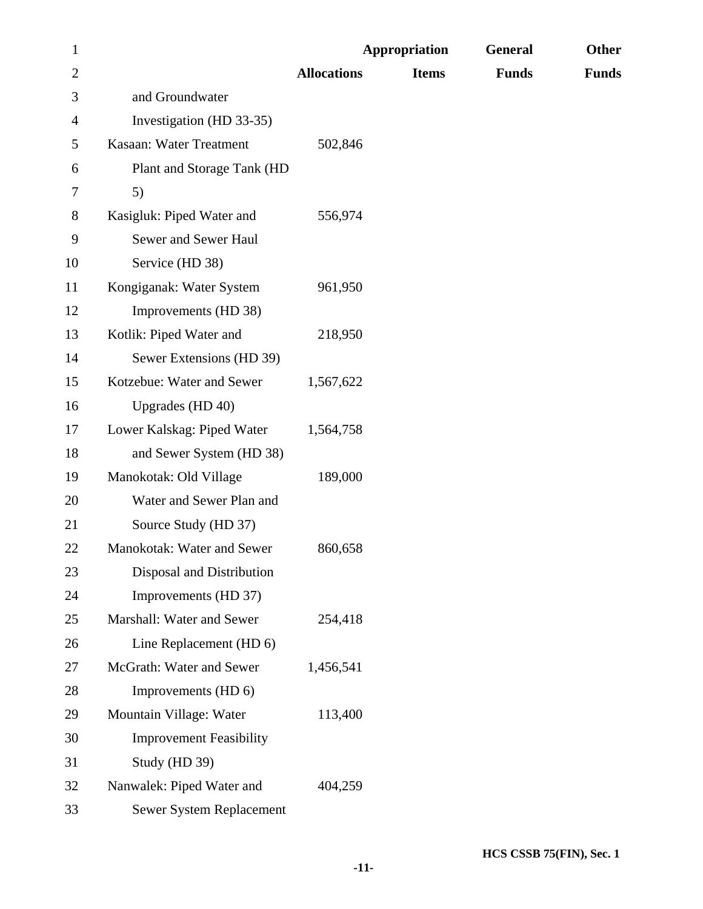| $\mathbf{1}$   |                                |                    | <b>Appropriation</b> | General      | Other        |
|----------------|--------------------------------|--------------------|----------------------|--------------|--------------|
| $\overline{2}$ |                                | <b>Allocations</b> | <b>Items</b>         | <b>Funds</b> | <b>Funds</b> |
| 3              | and Groundwater                |                    |                      |              |              |
| 4              | Investigation (HD 33-35)       |                    |                      |              |              |
| 5              | Kasaan: Water Treatment        | 502,846            |                      |              |              |
| 6              | Plant and Storage Tank (HD     |                    |                      |              |              |
| 7              | 5)                             |                    |                      |              |              |
| 8              | Kasigluk: Piped Water and      | 556,974            |                      |              |              |
| 9              | Sewer and Sewer Haul           |                    |                      |              |              |
| 10             | Service (HD 38)                |                    |                      |              |              |
| 11             | Kongiganak: Water System       | 961,950            |                      |              |              |
| 12             | Improvements (HD 38)           |                    |                      |              |              |
| 13             | Kotlik: Piped Water and        | 218,950            |                      |              |              |
| 14             | Sewer Extensions (HD 39)       |                    |                      |              |              |
| 15             | Kotzebue: Water and Sewer      | 1,567,622          |                      |              |              |
| 16             | Upgrades (HD 40)               |                    |                      |              |              |
| 17             | Lower Kalskag: Piped Water     | 1,564,758          |                      |              |              |
| 18             | and Sewer System (HD 38)       |                    |                      |              |              |
| 19             | Manokotak: Old Village         | 189,000            |                      |              |              |
| 20             | Water and Sewer Plan and       |                    |                      |              |              |
| 21             | Source Study (HD 37)           |                    |                      |              |              |
| 22             | Manokotak: Water and Sewer     | 860,658            |                      |              |              |
| 23             | Disposal and Distribution      |                    |                      |              |              |
| 24             | Improvements (HD 37)           |                    |                      |              |              |
| 25             | Marshall: Water and Sewer      | 254,418            |                      |              |              |
| 26             | Line Replacement (HD 6)        |                    |                      |              |              |
| 27             | McGrath: Water and Sewer       | 1,456,541          |                      |              |              |
| 28             | Improvements (HD 6)            |                    |                      |              |              |
| 29             | Mountain Village: Water        | 113,400            |                      |              |              |
| 30             | <b>Improvement Feasibility</b> |                    |                      |              |              |
| 31             | Study (HD 39)                  |                    |                      |              |              |
| 32             | Nanwalek: Piped Water and      | 404,259            |                      |              |              |
| 33             | Sewer System Replacement       |                    |                      |              |              |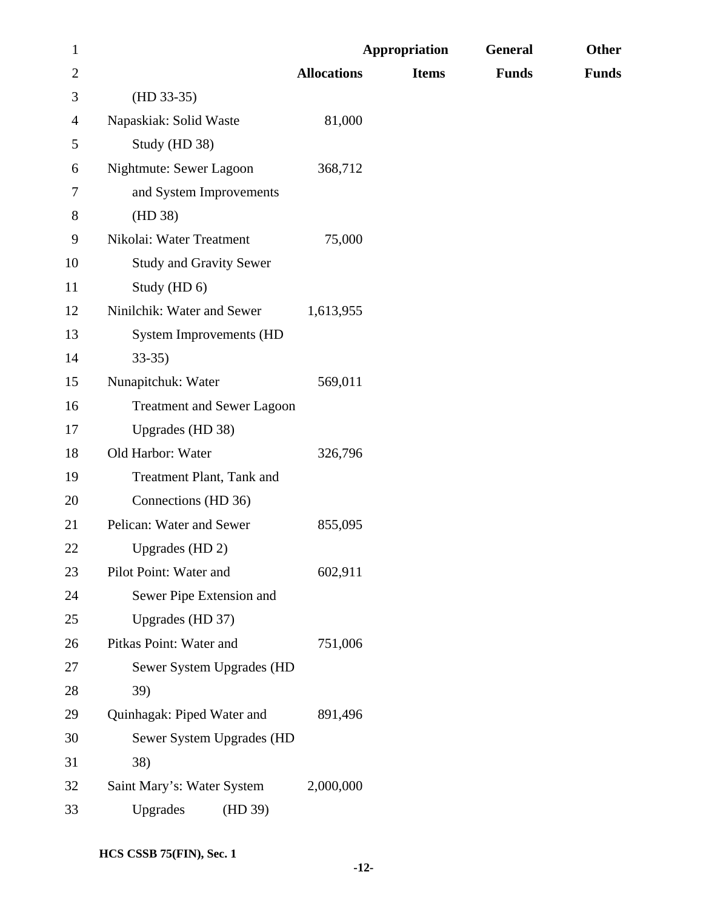| $\mathbf{1}$   |                                   |                    | Appropriation | General      | Other        |
|----------------|-----------------------------------|--------------------|---------------|--------------|--------------|
| $\overline{2}$ |                                   | <b>Allocations</b> | <b>Items</b>  | <b>Funds</b> | <b>Funds</b> |
| 3              | $(HD 33-35)$                      |                    |               |              |              |
| 4              | Napaskiak: Solid Waste            | 81,000             |               |              |              |
| 5              | Study (HD 38)                     |                    |               |              |              |
| 6              | Nightmute: Sewer Lagoon           | 368,712            |               |              |              |
| 7              | and System Improvements           |                    |               |              |              |
| 8              | (HD 38)                           |                    |               |              |              |
| 9              | Nikolai: Water Treatment          | 75,000             |               |              |              |
| 10             | <b>Study and Gravity Sewer</b>    |                    |               |              |              |
| 11             | Study (HD 6)                      |                    |               |              |              |
| 12             | Ninilchik: Water and Sewer        | 1,613,955          |               |              |              |
| 13             | <b>System Improvements (HD</b>    |                    |               |              |              |
| 14             | $33-35$                           |                    |               |              |              |
| 15             | Nunapitchuk: Water                | 569,011            |               |              |              |
| 16             | <b>Treatment and Sewer Lagoon</b> |                    |               |              |              |
| 17             | Upgrades (HD 38)                  |                    |               |              |              |
| 18             | Old Harbor: Water                 | 326,796            |               |              |              |
| 19             | Treatment Plant, Tank and         |                    |               |              |              |
| 20             | Connections (HD 36)               |                    |               |              |              |
| 21             | Pelican: Water and Sewer          | 855,095            |               |              |              |
| 22             | Upgrades (HD 2)                   |                    |               |              |              |
| 23             | Pilot Point: Water and            | 602,911            |               |              |              |
| 24             | Sewer Pipe Extension and          |                    |               |              |              |
| 25             | Upgrades (HD 37)                  |                    |               |              |              |
| 26             | Pitkas Point: Water and           | 751,006            |               |              |              |
| 27             | Sewer System Upgrades (HD         |                    |               |              |              |
| 28             | 39)                               |                    |               |              |              |
| 29             | Quinhagak: Piped Water and        | 891,496            |               |              |              |
| 30             | Sewer System Upgrades (HD         |                    |               |              |              |
| 31             | 38)                               |                    |               |              |              |
| 32             | Saint Mary's: Water System        | 2,000,000          |               |              |              |
| 33             | Upgrades<br>(HD 39)               |                    |               |              |              |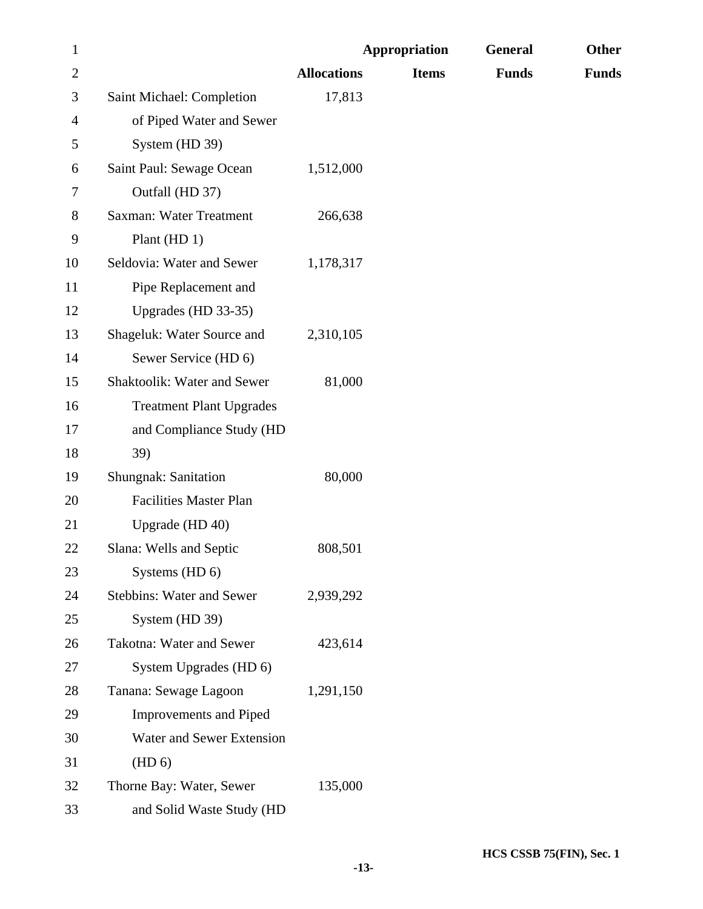| $\mathbf{1}$   |                                  |                    | <b>Appropriation</b> | General      | Other        |
|----------------|----------------------------------|--------------------|----------------------|--------------|--------------|
| $\overline{2}$ |                                  | <b>Allocations</b> | <b>Items</b>         | <b>Funds</b> | <b>Funds</b> |
| 3              | Saint Michael: Completion        | 17,813             |                      |              |              |
| 4              | of Piped Water and Sewer         |                    |                      |              |              |
| 5              | System (HD 39)                   |                    |                      |              |              |
| 6              | Saint Paul: Sewage Ocean         | 1,512,000          |                      |              |              |
| 7              | Outfall (HD 37)                  |                    |                      |              |              |
| 8              | <b>Saxman: Water Treatment</b>   | 266,638            |                      |              |              |
| 9              | Plant $(HD 1)$                   |                    |                      |              |              |
| 10             | Seldovia: Water and Sewer        | 1,178,317          |                      |              |              |
| 11             | Pipe Replacement and             |                    |                      |              |              |
| 12             | Upgrades (HD 33-35)              |                    |                      |              |              |
| 13             | Shageluk: Water Source and       | 2,310,105          |                      |              |              |
| 14             | Sewer Service (HD 6)             |                    |                      |              |              |
| 15             | Shaktoolik: Water and Sewer      | 81,000             |                      |              |              |
| 16             | <b>Treatment Plant Upgrades</b>  |                    |                      |              |              |
| 17             | and Compliance Study (HD         |                    |                      |              |              |
| 18             | 39)                              |                    |                      |              |              |
| 19             | <b>Shungnak: Sanitation</b>      | 80,000             |                      |              |              |
| 20             | <b>Facilities Master Plan</b>    |                    |                      |              |              |
| 21             | Upgrade (HD 40)                  |                    |                      |              |              |
| 22             | Slana: Wells and Septic          | 808,501            |                      |              |              |
| 23             | Systems (HD 6)                   |                    |                      |              |              |
| 24             | <b>Stebbins: Water and Sewer</b> | 2,939,292          |                      |              |              |
| 25             | System (HD 39)                   |                    |                      |              |              |
| 26             | Takotna: Water and Sewer         | 423,614            |                      |              |              |
| 27             | System Upgrades (HD 6)           |                    |                      |              |              |
| 28             | Tanana: Sewage Lagoon            | 1,291,150          |                      |              |              |
| 29             | <b>Improvements and Piped</b>    |                    |                      |              |              |
| 30             | Water and Sewer Extension        |                    |                      |              |              |
| 31             | (HD 6)                           |                    |                      |              |              |
| 32             | Thorne Bay: Water, Sewer         | 135,000            |                      |              |              |
| 33             | and Solid Waste Study (HD        |                    |                      |              |              |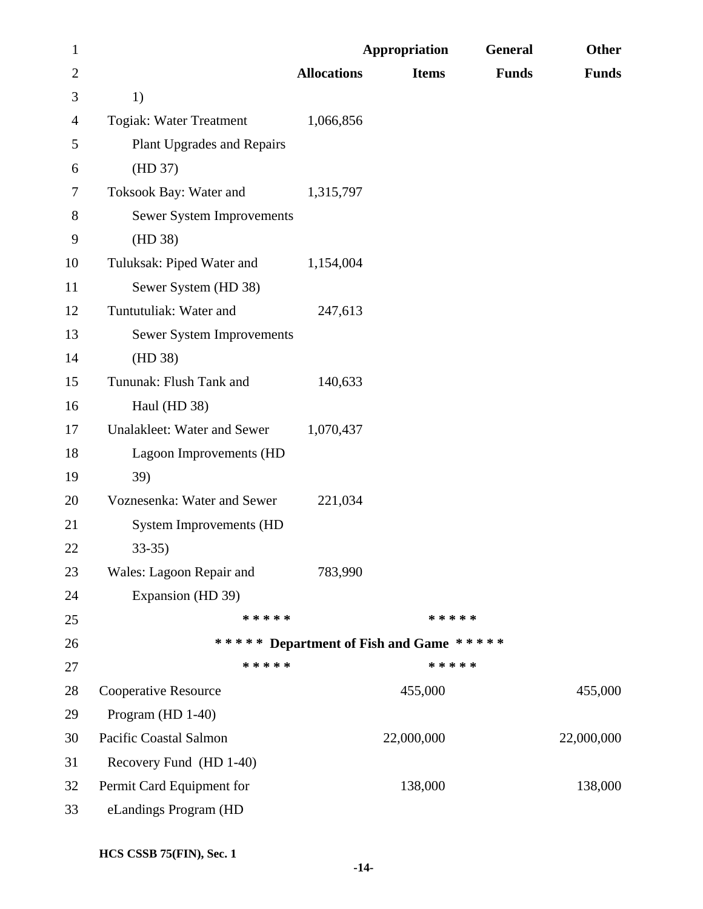| $\mathbf{1}$   |                                   |                    | <b>Appropriation</b>                    | General      | Other        |
|----------------|-----------------------------------|--------------------|-----------------------------------------|--------------|--------------|
| $\overline{2}$ |                                   | <b>Allocations</b> | <b>Items</b>                            | <b>Funds</b> | <b>Funds</b> |
| 3              | 1)                                |                    |                                         |              |              |
| 4              | Togiak: Water Treatment           | 1,066,856          |                                         |              |              |
| 5              | <b>Plant Upgrades and Repairs</b> |                    |                                         |              |              |
| 6              | (HD 37)                           |                    |                                         |              |              |
| 7              | Toksook Bay: Water and            | 1,315,797          |                                         |              |              |
| $8\,$          | <b>Sewer System Improvements</b>  |                    |                                         |              |              |
| 9              | (HD 38)                           |                    |                                         |              |              |
| 10             | Tuluksak: Piped Water and         | 1,154,004          |                                         |              |              |
| 11             | Sewer System (HD 38)              |                    |                                         |              |              |
| 12             | Tuntutuliak: Water and            | 247,613            |                                         |              |              |
| 13             | <b>Sewer System Improvements</b>  |                    |                                         |              |              |
| 14             | (HD 38)                           |                    |                                         |              |              |
| 15             | Tununak: Flush Tank and           | 140,633            |                                         |              |              |
| 16             | Haul (HD 38)                      |                    |                                         |              |              |
| 17             | Unalakleet: Water and Sewer       | 1,070,437          |                                         |              |              |
| 18             | Lagoon Improvements (HD           |                    |                                         |              |              |
| 19             | 39)                               |                    |                                         |              |              |
| 20             | Voznesenka: Water and Sewer       | 221,034            |                                         |              |              |
| 21             | <b>System Improvements (HD</b>    |                    |                                         |              |              |
| 22             | $33 - 35$                         |                    |                                         |              |              |
| 23             | Wales: Lagoon Repair and          | 783,990            |                                         |              |              |
| 24             | Expansion (HD 39)                 |                    |                                         |              |              |
| 25             | * * * * *                         |                    | * * * * *                               |              |              |
| 26             |                                   |                    | ***** Department of Fish and Game ***** |              |              |
| 27             | * * * * *                         |                    | * * * * *                               |              |              |
| 28             | <b>Cooperative Resource</b>       |                    | 455,000                                 |              | 455,000      |
| 29             | Program (HD 1-40)                 |                    |                                         |              |              |
| 30             | Pacific Coastal Salmon            |                    | 22,000,000                              |              | 22,000,000   |
| 31             | Recovery Fund (HD 1-40)           |                    |                                         |              |              |
| 32             | Permit Card Equipment for         |                    | 138,000                                 |              | 138,000      |
| 33             | eLandings Program (HD             |                    |                                         |              |              |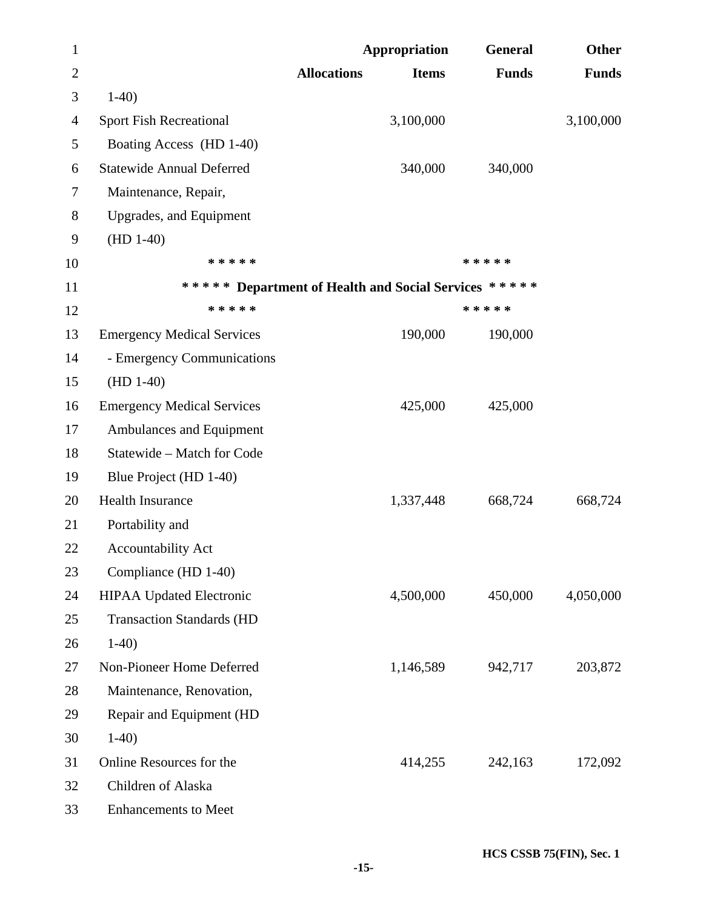| $\mathbf{1}$ |                                                      |                    | <b>Appropriation</b> | General      | <b>Other</b> |
|--------------|------------------------------------------------------|--------------------|----------------------|--------------|--------------|
| $\mathbf{2}$ |                                                      | <b>Allocations</b> | <b>Items</b>         | <b>Funds</b> | <b>Funds</b> |
| 3            | $1-40$                                               |                    |                      |              |              |
| 4            | <b>Sport Fish Recreational</b>                       |                    | 3,100,000            |              | 3,100,000    |
| 5            | Boating Access (HD 1-40)                             |                    |                      |              |              |
| 6            | <b>Statewide Annual Deferred</b>                     |                    | 340,000              | 340,000      |              |
| 7            | Maintenance, Repair,                                 |                    |                      |              |              |
| $8\,$        | Upgrades, and Equipment                              |                    |                      |              |              |
| 9            | $(HD 1-40)$                                          |                    |                      |              |              |
| 10           | * * * * *                                            |                    |                      | * * * * *    |              |
| 11           | ***** Department of Health and Social Services ***** |                    |                      |              |              |
| 12           | * * * * *                                            |                    |                      | * * * * *    |              |
| 13           | <b>Emergency Medical Services</b>                    |                    | 190,000              | 190,000      |              |
| 14           | - Emergency Communications                           |                    |                      |              |              |
| 15           | $(HD 1-40)$                                          |                    |                      |              |              |
| 16           | <b>Emergency Medical Services</b>                    |                    | 425,000              | 425,000      |              |
| 17           | Ambulances and Equipment                             |                    |                      |              |              |
| 18           | Statewide - Match for Code                           |                    |                      |              |              |
| 19           | Blue Project (HD 1-40)                               |                    |                      |              |              |
| 20           | <b>Health Insurance</b>                              |                    | 1,337,448            | 668,724      | 668,724      |
| 21           | Portability and                                      |                    |                      |              |              |
| 22           | <b>Accountability Act</b>                            |                    |                      |              |              |
| 23           | Compliance (HD 1-40)                                 |                    |                      |              |              |
| 24           | <b>HIPAA Updated Electronic</b>                      |                    | 4,500,000            | 450,000      | 4,050,000    |
| 25           | <b>Transaction Standards (HD</b>                     |                    |                      |              |              |
| 26           | $1-40$                                               |                    |                      |              |              |
| 27           | Non-Pioneer Home Deferred                            |                    | 1,146,589            | 942,717      | 203,872      |
| 28           | Maintenance, Renovation,                             |                    |                      |              |              |
| 29           | Repair and Equipment (HD                             |                    |                      |              |              |
| 30           | $1-40$                                               |                    |                      |              |              |
| 31           | Online Resources for the                             |                    | 414,255              | 242,163      | 172,092      |
| 32           | Children of Alaska                                   |                    |                      |              |              |
| 33           | <b>Enhancements to Meet</b>                          |                    |                      |              |              |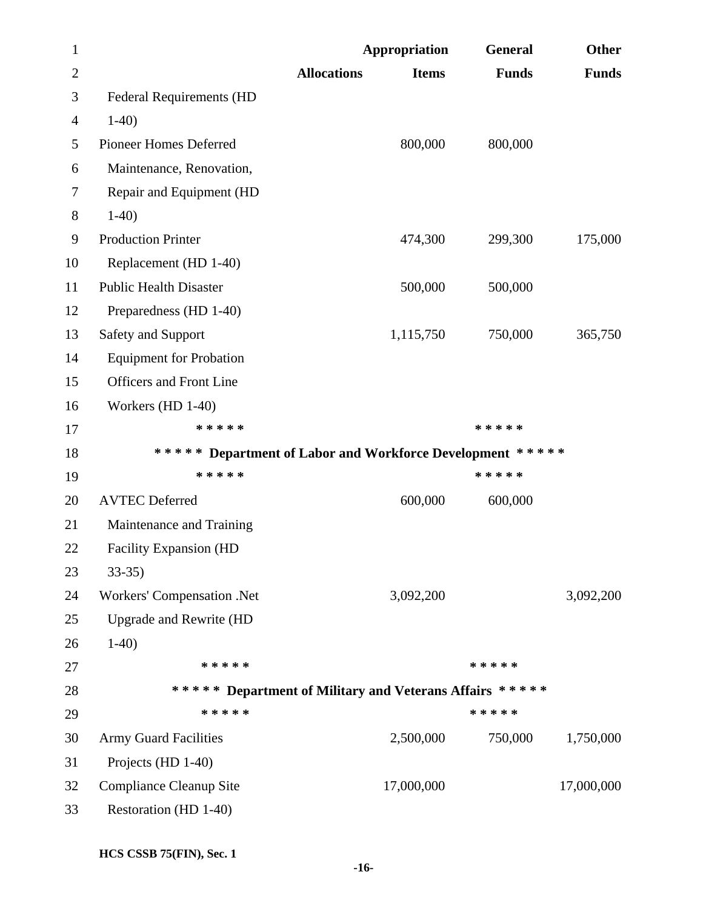| $\mathbf{1}$   |                                                           | <b>Appropriation</b> |              | General      | <b>Other</b> |
|----------------|-----------------------------------------------------------|----------------------|--------------|--------------|--------------|
| $\overline{2}$ |                                                           | <b>Allocations</b>   | <b>Items</b> | <b>Funds</b> | <b>Funds</b> |
| 3              | <b>Federal Requirements (HD</b>                           |                      |              |              |              |
| 4              | $1-40$                                                    |                      |              |              |              |
| 5              | Pioneer Homes Deferred                                    |                      | 800,000      | 800,000      |              |
| 6              | Maintenance, Renovation,                                  |                      |              |              |              |
| 7              | Repair and Equipment (HD                                  |                      |              |              |              |
| $8\,$          | $1-40$                                                    |                      |              |              |              |
| 9              | <b>Production Printer</b>                                 |                      | 474,300      | 299,300      | 175,000      |
| 10             | Replacement (HD 1-40)                                     |                      |              |              |              |
| 11             | <b>Public Health Disaster</b>                             |                      | 500,000      | 500,000      |              |
| 12             | Preparedness (HD 1-40)                                    |                      |              |              |              |
| 13             | Safety and Support                                        |                      | 1,115,750    | 750,000      | 365,750      |
| 14             | <b>Equipment for Probation</b>                            |                      |              |              |              |
| 15             | <b>Officers and Front Line</b>                            |                      |              |              |              |
| 16             | Workers $(HD 1-40)$                                       |                      |              |              |              |
| 17             | * * * * *                                                 |                      |              | * * * * *    |              |
| 18             | ***** Department of Labor and Workforce Development ***** |                      |              |              |              |
| 19             | * * * * *                                                 |                      |              | * * * * *    |              |
| 20             | <b>AVTEC Deferred</b>                                     |                      | 600,000      | 600,000      |              |
| 21             | Maintenance and Training                                  |                      |              |              |              |
| 22             | <b>Facility Expansion (HD</b>                             |                      |              |              |              |
| 23             | $33-35$                                                   |                      |              |              |              |
| 24             | Workers' Compensation .Net                                |                      | 3,092,200    |              | 3,092,200    |
| 25             | <b>Upgrade and Rewrite (HD</b>                            |                      |              |              |              |
| 26             | $1-40$                                                    |                      |              |              |              |
| 27             | * * * * *                                                 |                      |              | * * * * *    |              |
| 28             | ***** Department of Military and Veterans Affairs *****   |                      |              |              |              |
| 29             | * * * * *                                                 |                      |              | * * * * *    |              |
| 30             | <b>Army Guard Facilities</b>                              |                      | 2,500,000    | 750,000      | 1,750,000    |
| 31             | Projects (HD 1-40)                                        |                      |              |              |              |
| 32             | <b>Compliance Cleanup Site</b>                            |                      | 17,000,000   |              | 17,000,000   |
| 33             | Restoration (HD 1-40)                                     |                      |              |              |              |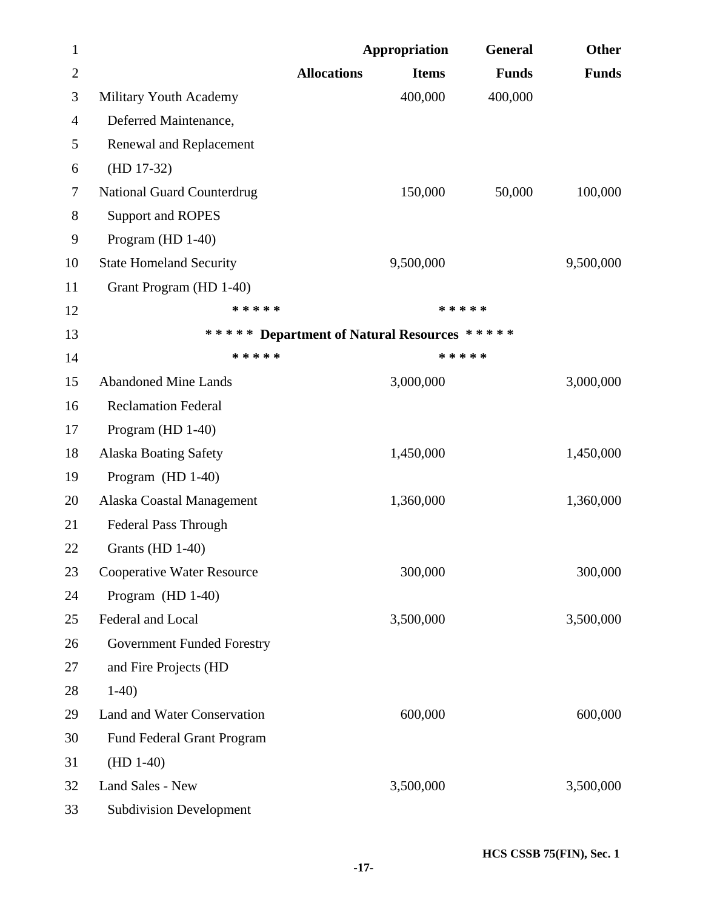| $\mathbf{1}$   |                                   |                    | <b>Appropriation</b>                        | General      | <b>Other</b> |
|----------------|-----------------------------------|--------------------|---------------------------------------------|--------------|--------------|
| $\overline{2}$ |                                   | <b>Allocations</b> | <b>Items</b>                                | <b>Funds</b> | <b>Funds</b> |
| 3              | Military Youth Academy            |                    | 400,000                                     | 400,000      |              |
| $\overline{4}$ | Deferred Maintenance,             |                    |                                             |              |              |
| 5              | Renewal and Replacement           |                    |                                             |              |              |
| 6              | $(HD 17-32)$                      |                    |                                             |              |              |
| 7              | <b>National Guard Counterdrug</b> |                    | 150,000                                     | 50,000       | 100,000      |
| 8              | Support and ROPES                 |                    |                                             |              |              |
| 9              | Program (HD 1-40)                 |                    |                                             |              |              |
| 10             | <b>State Homeland Security</b>    |                    | 9,500,000                                   |              | 9,500,000    |
| 11             | Grant Program (HD 1-40)           |                    |                                             |              |              |
| 12             | * * * * *                         |                    | * * * * *                                   |              |              |
| 13             |                                   |                    | ***** Department of Natural Resources ***** |              |              |
| 14             | * * * * *                         |                    | * * * * *                                   |              |              |
| 15             | <b>Abandoned Mine Lands</b>       |                    | 3,000,000                                   |              | 3,000,000    |
| 16             | <b>Reclamation Federal</b>        |                    |                                             |              |              |
| 17             | Program (HD 1-40)                 |                    |                                             |              |              |
| 18             | <b>Alaska Boating Safety</b>      |                    | 1,450,000                                   |              | 1,450,000    |
| 19             | Program $(HD 1-40)$               |                    |                                             |              |              |
| 20             | Alaska Coastal Management         |                    | 1,360,000                                   |              | 1,360,000    |
| 21             | <b>Federal Pass Through</b>       |                    |                                             |              |              |
| 22             | Grants (HD $1-40$ )               |                    |                                             |              |              |
| 23             | <b>Cooperative Water Resource</b> |                    | 300,000                                     |              | 300,000      |
| 24             | Program (HD 1-40)                 |                    |                                             |              |              |
| 25             | Federal and Local                 |                    | 3,500,000                                   |              | 3,500,000    |
| 26             | <b>Government Funded Forestry</b> |                    |                                             |              |              |
| 27             | and Fire Projects (HD             |                    |                                             |              |              |
| 28             | $1-40$                            |                    |                                             |              |              |
| 29             | Land and Water Conservation       |                    | 600,000                                     |              | 600,000      |
| 30             | <b>Fund Federal Grant Program</b> |                    |                                             |              |              |
| 31             | $(HD 1-40)$                       |                    |                                             |              |              |
| 32             | Land Sales - New                  |                    | 3,500,000                                   |              | 3,500,000    |
| 33             | <b>Subdivision Development</b>    |                    |                                             |              |              |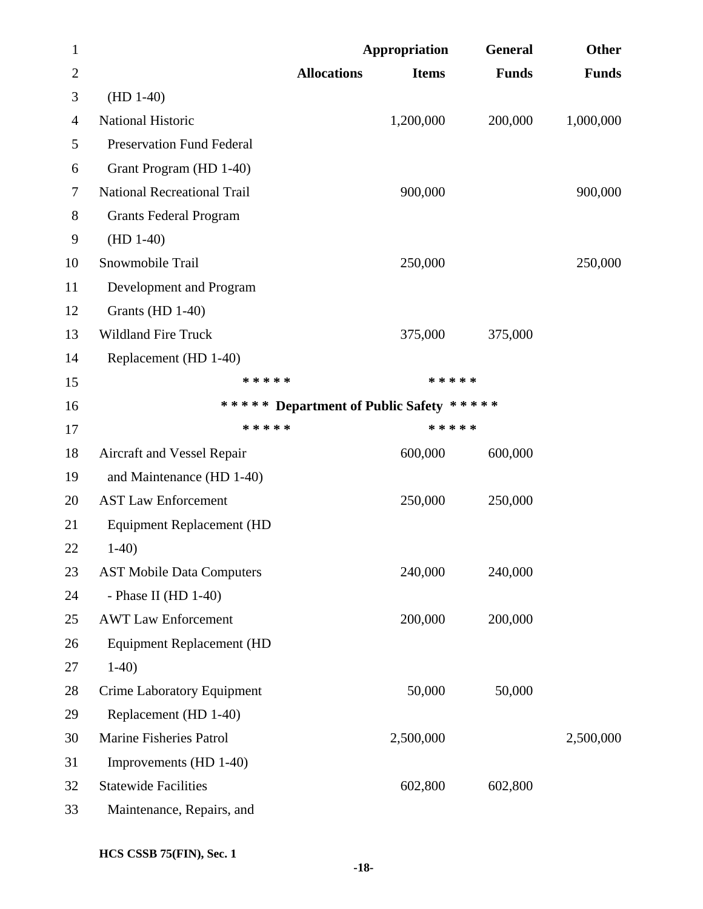| $\mathbf{1}$   |                                    |                    | <b>Appropriation</b>                    | General      | <b>Other</b> |
|----------------|------------------------------------|--------------------|-----------------------------------------|--------------|--------------|
| $\overline{2}$ |                                    | <b>Allocations</b> | <b>Items</b>                            | <b>Funds</b> | <b>Funds</b> |
| 3              | $(HD 1-40)$                        |                    |                                         |              |              |
| 4              | <b>National Historic</b>           |                    | 1,200,000                               | 200,000      | 1,000,000    |
| 5              | <b>Preservation Fund Federal</b>   |                    |                                         |              |              |
| 6              | Grant Program (HD 1-40)            |                    |                                         |              |              |
| 7              | <b>National Recreational Trail</b> |                    | 900,000                                 |              | 900,000      |
| 8              | <b>Grants Federal Program</b>      |                    |                                         |              |              |
| 9              | $(HD 1-40)$                        |                    |                                         |              |              |
| 10             | Snowmobile Trail                   |                    | 250,000                                 |              | 250,000      |
| 11             | Development and Program            |                    |                                         |              |              |
| 12             | Grants (HD 1-40)                   |                    |                                         |              |              |
| 13             | <b>Wildland Fire Truck</b>         |                    | 375,000                                 | 375,000      |              |
| 14             | Replacement (HD 1-40)              |                    |                                         |              |              |
| 15             | * * * * *                          |                    | * * * * *                               |              |              |
| 16             |                                    |                    | ***** Department of Public Safety ***** |              |              |
| 17             | * * * * *                          |                    | * * * * *                               |              |              |
| 18             | Aircraft and Vessel Repair         |                    | 600,000                                 | 600,000      |              |
| 19             | and Maintenance (HD 1-40)          |                    |                                         |              |              |
| 20             | <b>AST Law Enforcement</b>         |                    | 250,000                                 | 250,000      |              |
| 21             | <b>Equipment Replacement (HD</b>   |                    |                                         |              |              |
| 22             | $1-40$                             |                    |                                         |              |              |
| 23             | <b>AST Mobile Data Computers</b>   |                    | 240,000                                 | 240,000      |              |
| 24             | - Phase II (HD $1-40$ )            |                    |                                         |              |              |
| 25             | <b>AWT Law Enforcement</b>         |                    | 200,000                                 | 200,000      |              |
| 26             | <b>Equipment Replacement (HD</b>   |                    |                                         |              |              |
| 27             | $1-40$                             |                    |                                         |              |              |
| 28             | Crime Laboratory Equipment         |                    | 50,000                                  | 50,000       |              |
| 29             | Replacement (HD 1-40)              |                    |                                         |              |              |
| 30             | Marine Fisheries Patrol            |                    | 2,500,000                               |              | 2,500,000    |
| 31             | Improvements (HD 1-40)             |                    |                                         |              |              |
| 32             | <b>Statewide Facilities</b>        |                    | 602,800                                 | 602,800      |              |
| 33             | Maintenance, Repairs, and          |                    |                                         |              |              |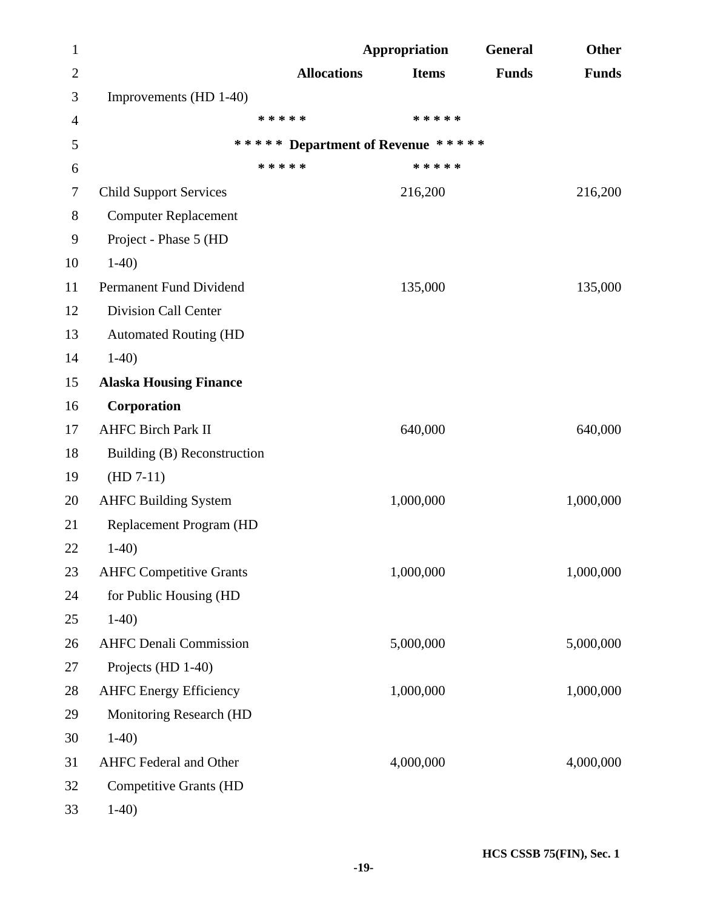| $\mathbf{1}$ |                                |                                   | <b>Appropriation</b> | General      | <b>Other</b> |
|--------------|--------------------------------|-----------------------------------|----------------------|--------------|--------------|
| $\mathbf{2}$ |                                | <b>Allocations</b>                | <b>Items</b>         | <b>Funds</b> | <b>Funds</b> |
| 3            | Improvements (HD 1-40)         |                                   |                      |              |              |
| 4            |                                | * * * * *                         | * * * * *            |              |              |
| 5            |                                | ***** Department of Revenue ***** |                      |              |              |
| 6            |                                | * * * * *                         | * * * * *            |              |              |
| 7            | <b>Child Support Services</b>  |                                   | 216,200              |              | 216,200      |
| 8            | <b>Computer Replacement</b>    |                                   |                      |              |              |
| 9            | Project - Phase 5 (HD          |                                   |                      |              |              |
| 10           | $1-40$                         |                                   |                      |              |              |
| 11           | Permanent Fund Dividend        |                                   | 135,000              |              | 135,000      |
| 12           | <b>Division Call Center</b>    |                                   |                      |              |              |
| 13           | <b>Automated Routing (HD</b>   |                                   |                      |              |              |
| 14           | $1-40$                         |                                   |                      |              |              |
| 15           | <b>Alaska Housing Finance</b>  |                                   |                      |              |              |
| 16           | Corporation                    |                                   |                      |              |              |
| 17           | <b>AHFC Birch Park II</b>      |                                   | 640,000              |              | 640,000      |
| 18           | Building (B) Reconstruction    |                                   |                      |              |              |
| 19           | $(HD 7-11)$                    |                                   |                      |              |              |
| 20           | <b>AHFC Building System</b>    |                                   | 1,000,000            |              | 1,000,000    |
| 21           | Replacement Program (HD        |                                   |                      |              |              |
| 22           | $1-40$                         |                                   |                      |              |              |
| 23           | <b>AHFC Competitive Grants</b> |                                   | 1,000,000            |              | 1,000,000    |
| 24           | for Public Housing (HD         |                                   |                      |              |              |
| 25           | $1-40$                         |                                   |                      |              |              |
| 26           | <b>AHFC Denali Commission</b>  |                                   | 5,000,000            |              | 5,000,000    |
| 27           | Projects (HD 1-40)             |                                   |                      |              |              |
| 28           | <b>AHFC Energy Efficiency</b>  |                                   | 1,000,000            |              | 1,000,000    |
| 29           | <b>Monitoring Research (HD</b> |                                   |                      |              |              |
| 30           | $1-40$                         |                                   |                      |              |              |
| 31           | <b>AHFC Federal and Other</b>  |                                   | 4,000,000            |              | 4,000,000    |
| 32           | <b>Competitive Grants (HD</b>  |                                   |                      |              |              |
| 33           | $1-40$                         |                                   |                      |              |              |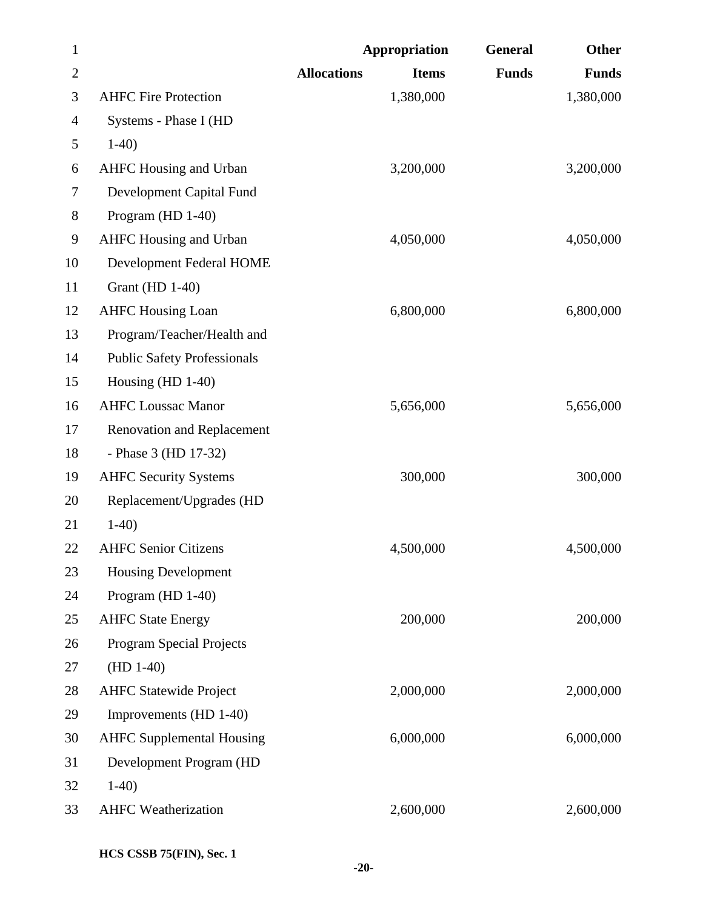| $\mathbf{1}$   |                                    | <b>Appropriation</b> |              | General      | Other        |
|----------------|------------------------------------|----------------------|--------------|--------------|--------------|
| $\overline{2}$ |                                    | <b>Allocations</b>   | <b>Items</b> | <b>Funds</b> | <b>Funds</b> |
| 3              | <b>AHFC Fire Protection</b>        |                      | 1,380,000    |              | 1,380,000    |
| 4              | Systems - Phase I (HD              |                      |              |              |              |
| 5              | $1-40$                             |                      |              |              |              |
| 6              | <b>AHFC Housing and Urban</b>      |                      | 3,200,000    |              | 3,200,000    |
| $\tau$         | Development Capital Fund           |                      |              |              |              |
| $8\,$          | Program (HD 1-40)                  |                      |              |              |              |
| 9              | <b>AHFC Housing and Urban</b>      |                      | 4,050,000    |              | 4,050,000    |
| 10             | Development Federal HOME           |                      |              |              |              |
| 11             | <b>Grant</b> (HD 1-40)             |                      |              |              |              |
| 12             | <b>AHFC Housing Loan</b>           |                      | 6,800,000    |              | 6,800,000    |
| 13             | Program/Teacher/Health and         |                      |              |              |              |
| 14             | <b>Public Safety Professionals</b> |                      |              |              |              |
| 15             | Housing $(HD 1-40)$                |                      |              |              |              |
| 16             | <b>AHFC Loussac Manor</b>          |                      | 5,656,000    |              | 5,656,000    |
| 17             | <b>Renovation and Replacement</b>  |                      |              |              |              |
| 18             | - Phase 3 (HD 17-32)               |                      |              |              |              |
| 19             | <b>AHFC Security Systems</b>       |                      | 300,000      |              | 300,000      |
| 20             | Replacement/Upgrades (HD           |                      |              |              |              |
| 21             | $1-40$                             |                      |              |              |              |
| 22             | <b>AHFC Senior Citizens</b>        |                      | 4,500,000    |              | 4,500,000    |
| 23             | <b>Housing Development</b>         |                      |              |              |              |
| 24             | Program (HD 1-40)                  |                      |              |              |              |
| 25             | <b>AHFC State Energy</b>           |                      | 200,000      |              | 200,000      |
| 26             | Program Special Projects           |                      |              |              |              |
| 27             | $(HD 1-40)$                        |                      |              |              |              |
| 28             | <b>AHFC Statewide Project</b>      |                      | 2,000,000    |              | 2,000,000    |
| 29             | Improvements (HD 1-40)             |                      |              |              |              |
| 30             | <b>AHFC Supplemental Housing</b>   |                      | 6,000,000    |              | 6,000,000    |
| 31             | Development Program (HD            |                      |              |              |              |
| 32             | $1-40$                             |                      |              |              |              |
| 33             | <b>AHFC</b> Weatherization         |                      | 2,600,000    |              | 2,600,000    |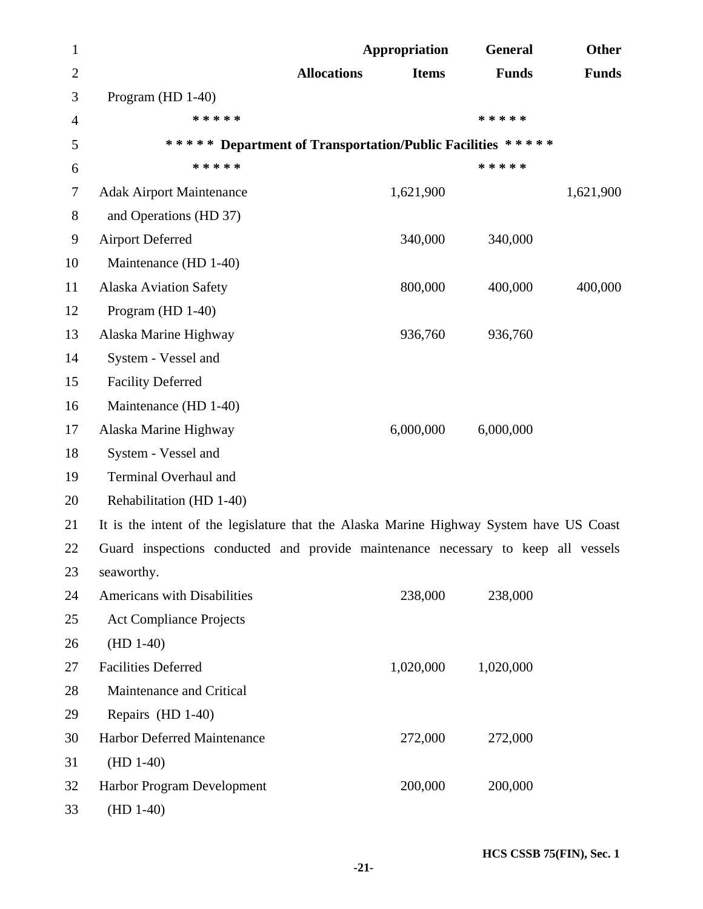| $\mathbf{1}$     |                                                                                         | <b>Appropriation</b> |              | <b>General</b> | <b>Other</b> |
|------------------|-----------------------------------------------------------------------------------------|----------------------|--------------|----------------|--------------|
| $\overline{2}$   |                                                                                         | <b>Allocations</b>   | <b>Items</b> | <b>Funds</b>   | <b>Funds</b> |
| 3                | Program (HD 1-40)                                                                       |                      |              |                |              |
| $\overline{4}$   | * * * * *                                                                               |                      |              | * * * * *      |              |
| 5                | ***** Department of Transportation/Public Facilities *****                              |                      |              |                |              |
| 6                | * * * * *                                                                               |                      |              | * * * * *      |              |
| $\tau$           | <b>Adak Airport Maintenance</b>                                                         |                      | 1,621,900    |                | 1,621,900    |
| $8\,$            | and Operations (HD 37)                                                                  |                      |              |                |              |
| $\boldsymbol{9}$ | <b>Airport Deferred</b>                                                                 |                      | 340,000      | 340,000        |              |
| 10               | Maintenance (HD 1-40)                                                                   |                      |              |                |              |
| 11               | <b>Alaska Aviation Safety</b>                                                           |                      | 800,000      | 400,000        | 400,000      |
| 12               | Program (HD 1-40)                                                                       |                      |              |                |              |
| 13               | Alaska Marine Highway                                                                   |                      | 936,760      | 936,760        |              |
| 14               | System - Vessel and                                                                     |                      |              |                |              |
| 15               | <b>Facility Deferred</b>                                                                |                      |              |                |              |
| 16               | Maintenance (HD 1-40)                                                                   |                      |              |                |              |
| 17               | Alaska Marine Highway                                                                   |                      | 6,000,000    | 6,000,000      |              |
| 18               | System - Vessel and                                                                     |                      |              |                |              |
| 19               | Terminal Overhaul and                                                                   |                      |              |                |              |
| 20               | Rehabilitation (HD 1-40)                                                                |                      |              |                |              |
| 21               | It is the intent of the legislature that the Alaska Marine Highway System have US Coast |                      |              |                |              |
| 22               | Guard inspections conducted and provide maintenance necessary to keep all vessels       |                      |              |                |              |
| 23               | seaworthy.                                                                              |                      |              |                |              |
| 24               | Americans with Disabilities                                                             |                      | 238,000      | 238,000        |              |
| 25               | <b>Act Compliance Projects</b>                                                          |                      |              |                |              |
| 26               | $(HD 1-40)$                                                                             |                      |              |                |              |
| 27               | <b>Facilities Deferred</b>                                                              |                      | 1,020,000    | 1,020,000      |              |
| 28               | Maintenance and Critical                                                                |                      |              |                |              |
| 29               | Repairs (HD 1-40)                                                                       |                      |              |                |              |
| 30               | Harbor Deferred Maintenance                                                             |                      | 272,000      | 272,000        |              |
| 31               | $(HD 1-40)$                                                                             |                      |              |                |              |
| 32               | Harbor Program Development                                                              |                      | 200,000      | 200,000        |              |
| 33               | $(HD 1-40)$                                                                             |                      |              |                |              |

 **HCS CSSB 75(FIN), Sec. 1** -21-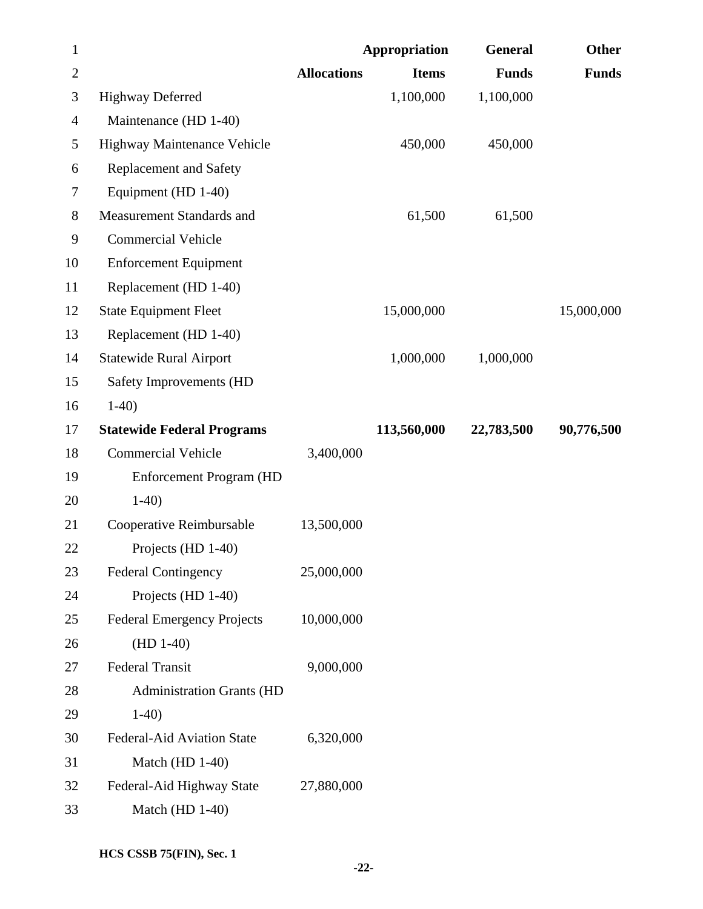| $\mathbf{1}$   |                                   |                    | <b>Appropriation</b> | <b>General</b> | Other        |
|----------------|-----------------------------------|--------------------|----------------------|----------------|--------------|
| $\overline{2}$ |                                   | <b>Allocations</b> | <b>Items</b>         | <b>Funds</b>   | <b>Funds</b> |
| 3              | <b>Highway Deferred</b>           |                    | 1,100,000            | 1,100,000      |              |
| 4              | Maintenance (HD 1-40)             |                    |                      |                |              |
| 5              | Highway Maintenance Vehicle       |                    | 450,000              | 450,000        |              |
| 6              | <b>Replacement and Safety</b>     |                    |                      |                |              |
| 7              | Equipment (HD 1-40)               |                    |                      |                |              |
| $8\,$          | Measurement Standards and         |                    | 61,500               | 61,500         |              |
| 9              | <b>Commercial Vehicle</b>         |                    |                      |                |              |
| 10             | <b>Enforcement Equipment</b>      |                    |                      |                |              |
| 11             | Replacement (HD 1-40)             |                    |                      |                |              |
| 12             | <b>State Equipment Fleet</b>      |                    | 15,000,000           |                | 15,000,000   |
| 13             | Replacement (HD 1-40)             |                    |                      |                |              |
| 14             | <b>Statewide Rural Airport</b>    |                    | 1,000,000            | 1,000,000      |              |
| 15             | Safety Improvements (HD           |                    |                      |                |              |
| 16             | $1-40$                            |                    |                      |                |              |
| 17             | <b>Statewide Federal Programs</b> |                    | 113,560,000          | 22,783,500     | 90,776,500   |
| 18             | <b>Commercial Vehicle</b>         | 3,400,000          |                      |                |              |
| 19             | <b>Enforcement Program (HD</b>    |                    |                      |                |              |
| 20             | $1-40$                            |                    |                      |                |              |
| 21             | Cooperative Reimbursable          | 13,500,000         |                      |                |              |
| 22             | Projects (HD 1-40)                |                    |                      |                |              |
| 23             | <b>Federal Contingency</b>        | 25,000,000         |                      |                |              |
| 24             | Projects (HD 1-40)                |                    |                      |                |              |
| 25             | <b>Federal Emergency Projects</b> | 10,000,000         |                      |                |              |
| 26             | $(HD 1-40)$                       |                    |                      |                |              |
| 27             | <b>Federal Transit</b>            | 9,000,000          |                      |                |              |
| 28             | <b>Administration Grants (HD</b>  |                    |                      |                |              |
| 29             | $1-40$                            |                    |                      |                |              |
| 30             | Federal-Aid Aviation State        | 6,320,000          |                      |                |              |
| 31             | Match (HD 1-40)                   |                    |                      |                |              |
| 32             | Federal-Aid Highway State         | 27,880,000         |                      |                |              |
| 33             | Match (HD 1-40)                   |                    |                      |                |              |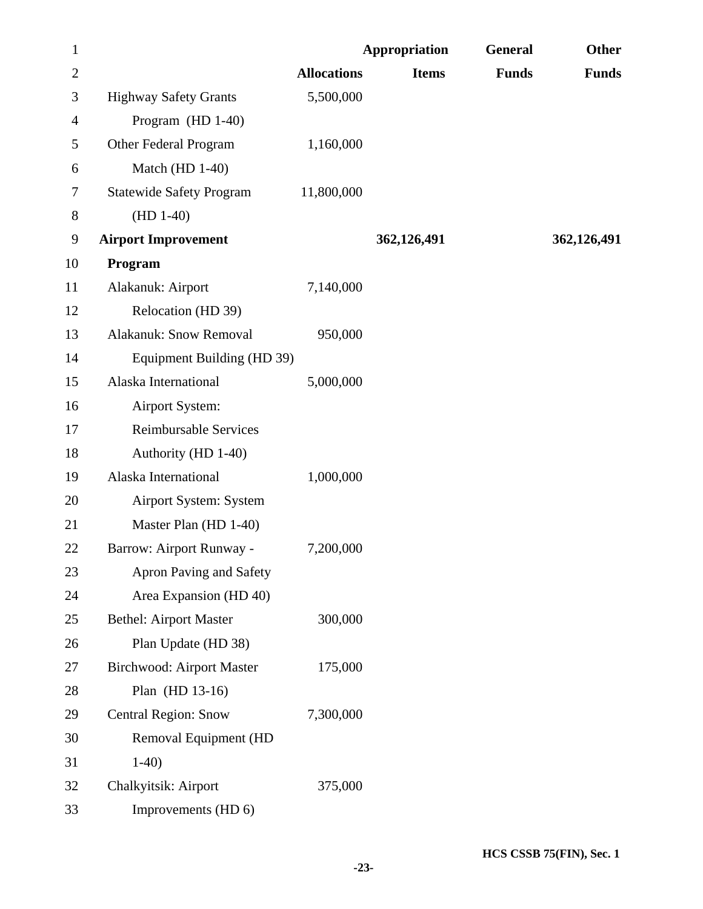| $\mathbf{1}$   | Appropriation                    |                    |              | General      | <b>Other</b> |
|----------------|----------------------------------|--------------------|--------------|--------------|--------------|
| $\overline{2}$ |                                  | <b>Allocations</b> | <b>Items</b> | <b>Funds</b> | <b>Funds</b> |
| 3              | <b>Highway Safety Grants</b>     | 5,500,000          |              |              |              |
| $\overline{4}$ | Program (HD 1-40)                |                    |              |              |              |
| 5              | Other Federal Program            | 1,160,000          |              |              |              |
| 6              | Match (HD 1-40)                  |                    |              |              |              |
| 7              | <b>Statewide Safety Program</b>  | 11,800,000         |              |              |              |
| $8\,$          | $(HD 1-40)$                      |                    |              |              |              |
| 9              | <b>Airport Improvement</b>       |                    | 362,126,491  |              | 362,126,491  |
| 10             | Program                          |                    |              |              |              |
| 11             | Alakanuk: Airport                | 7,140,000          |              |              |              |
| 12             | Relocation (HD 39)               |                    |              |              |              |
| 13             | <b>Alakanuk: Snow Removal</b>    | 950,000            |              |              |              |
| 14             | Equipment Building (HD 39)       |                    |              |              |              |
| 15             | Alaska International             | 5,000,000          |              |              |              |
| 16             | Airport System:                  |                    |              |              |              |
| 17             | <b>Reimbursable Services</b>     |                    |              |              |              |
| 18             | Authority (HD 1-40)              |                    |              |              |              |
| 19             | Alaska International             | 1,000,000          |              |              |              |
| 20             | Airport System: System           |                    |              |              |              |
| 21             | Master Plan (HD 1-40)            |                    |              |              |              |
| 22             | Barrow: Airport Runway -         | 7,200,000          |              |              |              |
| 23             | Apron Paving and Safety          |                    |              |              |              |
| 24             | Area Expansion (HD 40)           |                    |              |              |              |
| 25             | <b>Bethel: Airport Master</b>    | 300,000            |              |              |              |
| 26             | Plan Update (HD 38)              |                    |              |              |              |
| 27             | <b>Birchwood: Airport Master</b> | 175,000            |              |              |              |
| 28             | Plan (HD 13-16)                  |                    |              |              |              |
| 29             | <b>Central Region: Snow</b>      | 7,300,000          |              |              |              |
| 30             | Removal Equipment (HD            |                    |              |              |              |
| 31             | $1-40$                           |                    |              |              |              |
| 32             | Chalkyitsik: Airport             | 375,000            |              |              |              |
| 33             | Improvements (HD 6)              |                    |              |              |              |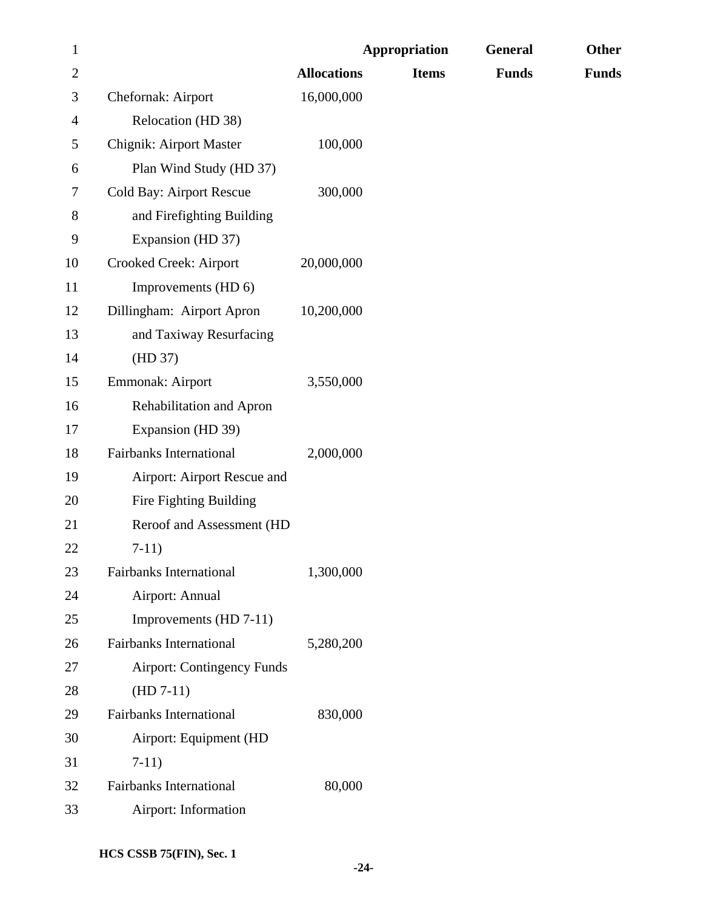| $\mathbf{1}$   |                                   |                    | <b>Appropriation</b> | General      | Other        |
|----------------|-----------------------------------|--------------------|----------------------|--------------|--------------|
| $\overline{c}$ |                                   | <b>Allocations</b> | <b>Items</b>         | <b>Funds</b> | <b>Funds</b> |
| 3              | Chefornak: Airport                | 16,000,000         |                      |              |              |
| 4              | Relocation (HD 38)                |                    |                      |              |              |
| 5              | <b>Chignik: Airport Master</b>    | 100,000            |                      |              |              |
| 6              | Plan Wind Study (HD 37)           |                    |                      |              |              |
| 7              | Cold Bay: Airport Rescue          | 300,000            |                      |              |              |
| 8              | and Firefighting Building         |                    |                      |              |              |
| 9              | Expansion (HD 37)                 |                    |                      |              |              |
| 10             | Crooked Creek: Airport            | 20,000,000         |                      |              |              |
| 11             | Improvements (HD 6)               |                    |                      |              |              |
| 12             | Dillingham: Airport Apron         | 10,200,000         |                      |              |              |
| 13             | and Taxiway Resurfacing           |                    |                      |              |              |
| 14             | (HD 37)                           |                    |                      |              |              |
| 15             | Emmonak: Airport                  | 3,550,000          |                      |              |              |
| 16             | Rehabilitation and Apron          |                    |                      |              |              |
| 17             | Expansion (HD 39)                 |                    |                      |              |              |
| 18             | <b>Fairbanks International</b>    | 2,000,000          |                      |              |              |
| 19             | Airport: Airport Rescue and       |                    |                      |              |              |
| 20             | Fire Fighting Building            |                    |                      |              |              |
| 21             | Reroof and Assessment (HD         |                    |                      |              |              |
| 22             | $7-11)$                           |                    |                      |              |              |
| 23             | Fairbanks International           | 1,300,000          |                      |              |              |
| 24             | Airport: Annual                   |                    |                      |              |              |
| 25             | Improvements (HD 7-11)            |                    |                      |              |              |
| 26             | <b>Fairbanks International</b>    | 5,280,200          |                      |              |              |
| 27             | <b>Airport: Contingency Funds</b> |                    |                      |              |              |
| 28             | $(HD 7-11)$                       |                    |                      |              |              |
| 29             | <b>Fairbanks International</b>    | 830,000            |                      |              |              |
| 30             | Airport: Equipment (HD            |                    |                      |              |              |
| 31             | $7-11)$                           |                    |                      |              |              |
| 32             | <b>Fairbanks International</b>    | 80,000             |                      |              |              |
| 33             | Airport: Information              |                    |                      |              |              |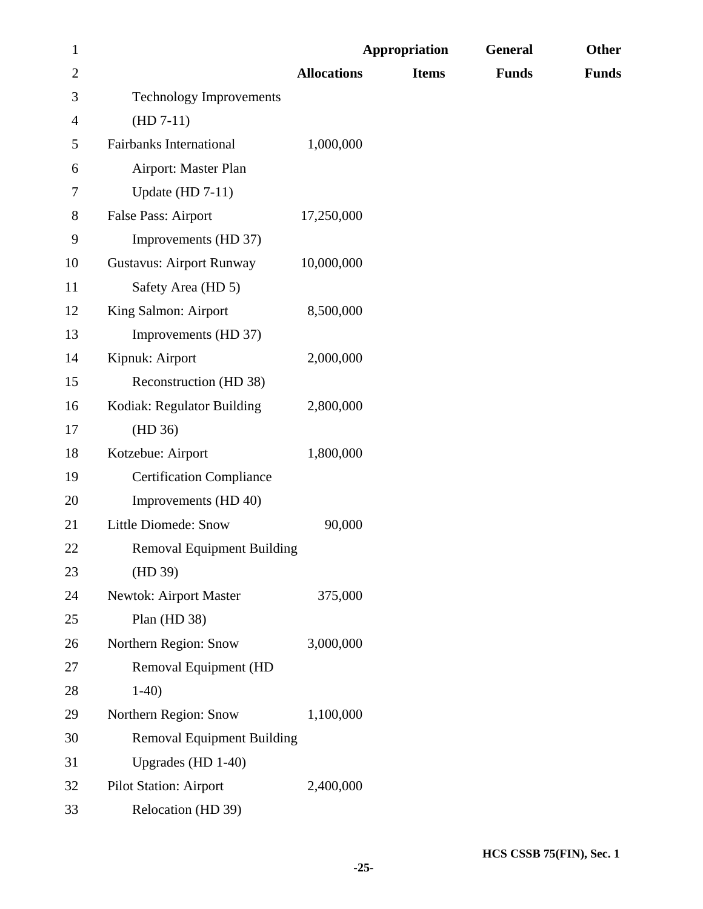| $\mathbf{1}$ |                                   |                    | Appropriation | General      | <b>Other</b> |
|--------------|-----------------------------------|--------------------|---------------|--------------|--------------|
| $\mathbf{2}$ |                                   | <b>Allocations</b> | <b>Items</b>  | <b>Funds</b> | <b>Funds</b> |
| 3            | <b>Technology Improvements</b>    |                    |               |              |              |
| 4            | $(HD 7-11)$                       |                    |               |              |              |
| 5            | <b>Fairbanks International</b>    | 1,000,000          |               |              |              |
| 6            | Airport: Master Plan              |                    |               |              |              |
| 7            | Update (HD $7-11$ )               |                    |               |              |              |
| 8            | False Pass: Airport               | 17,250,000         |               |              |              |
| 9            | Improvements (HD 37)              |                    |               |              |              |
| 10           | <b>Gustavus: Airport Runway</b>   | 10,000,000         |               |              |              |
| 11           | Safety Area (HD 5)                |                    |               |              |              |
| 12           | King Salmon: Airport              | 8,500,000          |               |              |              |
| 13           | Improvements (HD 37)              |                    |               |              |              |
| 14           | Kipnuk: Airport                   | 2,000,000          |               |              |              |
| 15           | Reconstruction (HD 38)            |                    |               |              |              |
| 16           | Kodiak: Regulator Building        | 2,800,000          |               |              |              |
| 17           | (HD 36)                           |                    |               |              |              |
| 18           | Kotzebue: Airport                 | 1,800,000          |               |              |              |
| 19           | <b>Certification Compliance</b>   |                    |               |              |              |
| 20           | Improvements (HD 40)              |                    |               |              |              |
| 21           | <b>Little Diomede: Snow</b>       | 90,000             |               |              |              |
| 22           | <b>Removal Equipment Building</b> |                    |               |              |              |
| 23           | (HD 39)                           |                    |               |              |              |
| 24           | Newtok: Airport Master            | 375,000            |               |              |              |
| 25           | Plan (HD 38)                      |                    |               |              |              |
| 26           | Northern Region: Snow             | 3,000,000          |               |              |              |
| 27           | Removal Equipment (HD             |                    |               |              |              |
| $28\,$       | $1-40$                            |                    |               |              |              |
| 29           | Northern Region: Snow             | 1,100,000          |               |              |              |
| 30           | <b>Removal Equipment Building</b> |                    |               |              |              |
| 31           | Upgrades (HD 1-40)                |                    |               |              |              |
| 32           | <b>Pilot Station: Airport</b>     | 2,400,000          |               |              |              |
| 33           | Relocation (HD 39)                |                    |               |              |              |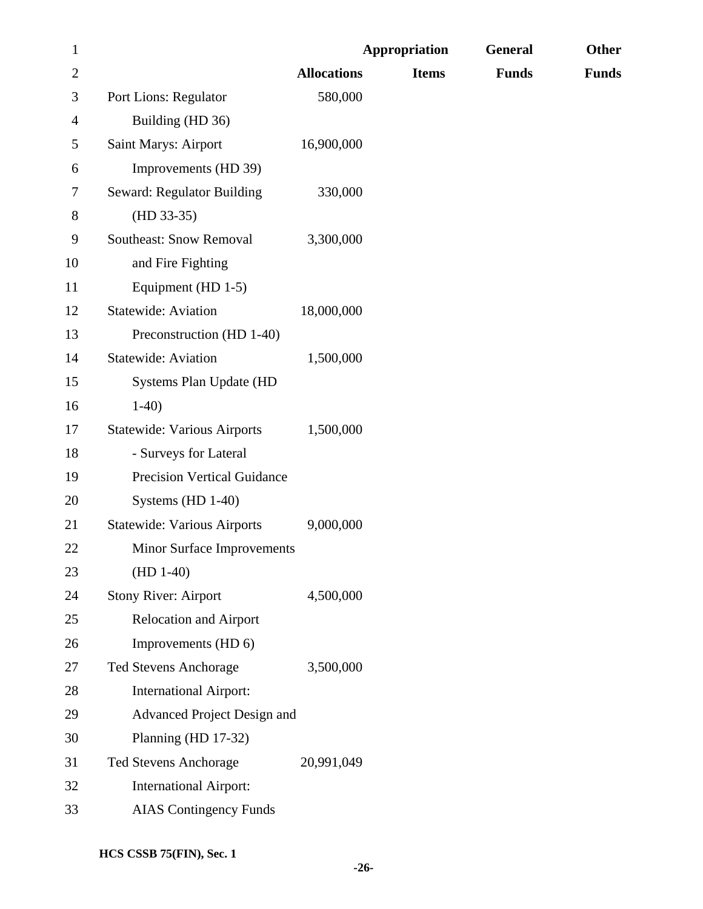| $\mathbf{1}$ |                                    | <b>Appropriation</b> |              | <b>General</b> | <b>Other</b> |
|--------------|------------------------------------|----------------------|--------------|----------------|--------------|
| $\mathbf{2}$ |                                    | <b>Allocations</b>   | <b>Items</b> | <b>Funds</b>   | <b>Funds</b> |
| 3            | Port Lions: Regulator              | 580,000              |              |                |              |
| 4            | Building (HD 36)                   |                      |              |                |              |
| 5            | Saint Marys: Airport               | 16,900,000           |              |                |              |
| 6            | Improvements (HD 39)               |                      |              |                |              |
| 7            | Seward: Regulator Building         | 330,000              |              |                |              |
| 8            | $(HD 33-35)$                       |                      |              |                |              |
| 9            | <b>Southeast: Snow Removal</b>     | 3,300,000            |              |                |              |
| 10           | and Fire Fighting                  |                      |              |                |              |
| 11           | Equipment (HD 1-5)                 |                      |              |                |              |
| 12           | <b>Statewide: Aviation</b>         | 18,000,000           |              |                |              |
| 13           | Preconstruction (HD 1-40)          |                      |              |                |              |
| 14           | <b>Statewide: Aviation</b>         | 1,500,000            |              |                |              |
| 15           | Systems Plan Update (HD            |                      |              |                |              |
| 16           | $1-40$                             |                      |              |                |              |
| 17           | <b>Statewide: Various Airports</b> | 1,500,000            |              |                |              |
| 18           | - Surveys for Lateral              |                      |              |                |              |
| 19           | <b>Precision Vertical Guidance</b> |                      |              |                |              |
| 20           | Systems (HD 1-40)                  |                      |              |                |              |
| 21           | <b>Statewide: Various Airports</b> | 9,000,000            |              |                |              |
| 22           | <b>Minor Surface Improvements</b>  |                      |              |                |              |
| 23           | $(HD 1-40)$                        |                      |              |                |              |
| 24           | <b>Stony River: Airport</b>        | 4,500,000            |              |                |              |
| 25           | <b>Relocation and Airport</b>      |                      |              |                |              |
| 26           | Improvements (HD 6)                |                      |              |                |              |
| 27           | Ted Stevens Anchorage              | 3,500,000            |              |                |              |
| 28           | <b>International Airport:</b>      |                      |              |                |              |
| 29           | Advanced Project Design and        |                      |              |                |              |
| 30           | Planning (HD 17-32)                |                      |              |                |              |
| 31           | <b>Ted Stevens Anchorage</b>       | 20,991,049           |              |                |              |
| 32           | <b>International Airport:</b>      |                      |              |                |              |
| 33           | <b>AIAS</b> Contingency Funds      |                      |              |                |              |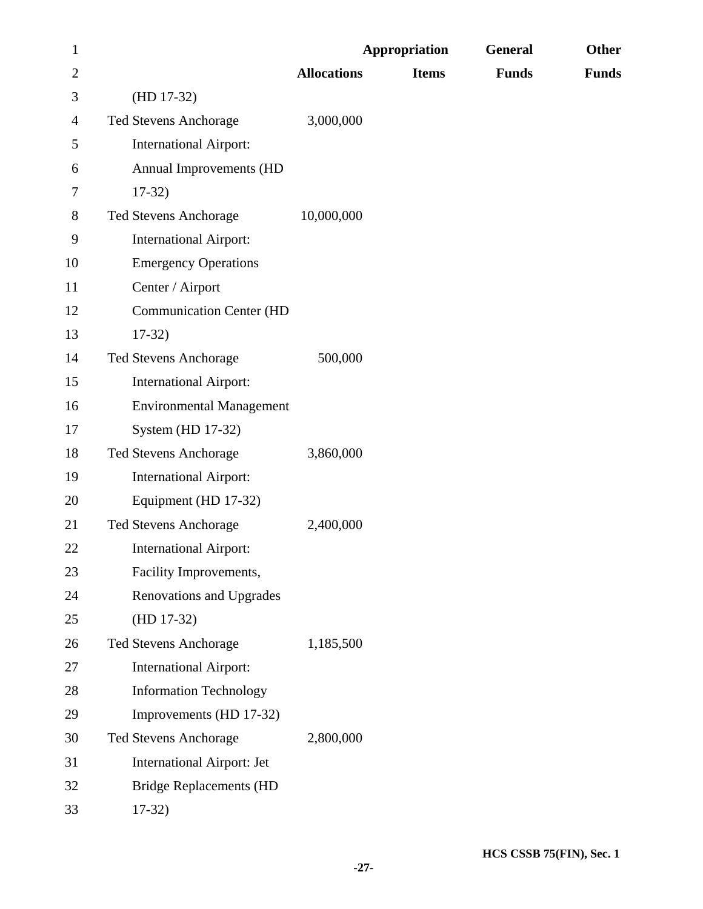| $\mathbf{1}$   |                                   | <b>Appropriation</b> |              | General      | Other        |
|----------------|-----------------------------------|----------------------|--------------|--------------|--------------|
| $\overline{2}$ |                                   | <b>Allocations</b>   | <b>Items</b> | <b>Funds</b> | <b>Funds</b> |
| 3              | $(HD 17-32)$                      |                      |              |              |              |
| 4              | <b>Ted Stevens Anchorage</b>      | 3,000,000            |              |              |              |
| 5              | <b>International Airport:</b>     |                      |              |              |              |
| 6              | Annual Improvements (HD           |                      |              |              |              |
| 7              | $17-32)$                          |                      |              |              |              |
| 8              | <b>Ted Stevens Anchorage</b>      | 10,000,000           |              |              |              |
| 9              | <b>International Airport:</b>     |                      |              |              |              |
| 10             | <b>Emergency Operations</b>       |                      |              |              |              |
| 11             | Center / Airport                  |                      |              |              |              |
| 12             | <b>Communication Center (HD</b>   |                      |              |              |              |
| 13             | $17-32)$                          |                      |              |              |              |
| 14             | <b>Ted Stevens Anchorage</b>      | 500,000              |              |              |              |
| 15             | <b>International Airport:</b>     |                      |              |              |              |
| 16             | <b>Environmental Management</b>   |                      |              |              |              |
| 17             | System (HD 17-32)                 |                      |              |              |              |
| 18             | <b>Ted Stevens Anchorage</b>      | 3,860,000            |              |              |              |
| 19             | <b>International Airport:</b>     |                      |              |              |              |
| 20             | Equipment (HD 17-32)              |                      |              |              |              |
| 21             | <b>Ted Stevens Anchorage</b>      | 2,400,000            |              |              |              |
| 22             | <b>International Airport:</b>     |                      |              |              |              |
| 23             | Facility Improvements,            |                      |              |              |              |
| 24             | <b>Renovations and Upgrades</b>   |                      |              |              |              |
| 25             | $(HD 17-32)$                      |                      |              |              |              |
| 26             | Ted Stevens Anchorage             | 1,185,500            |              |              |              |
| 27             | <b>International Airport:</b>     |                      |              |              |              |
| 28             | <b>Information Technology</b>     |                      |              |              |              |
| 29             | Improvements (HD 17-32)           |                      |              |              |              |
| 30             | <b>Ted Stevens Anchorage</b>      | 2,800,000            |              |              |              |
| 31             | <b>International Airport: Jet</b> |                      |              |              |              |
| 32             | <b>Bridge Replacements (HD</b>    |                      |              |              |              |
| 33             | $17-32)$                          |                      |              |              |              |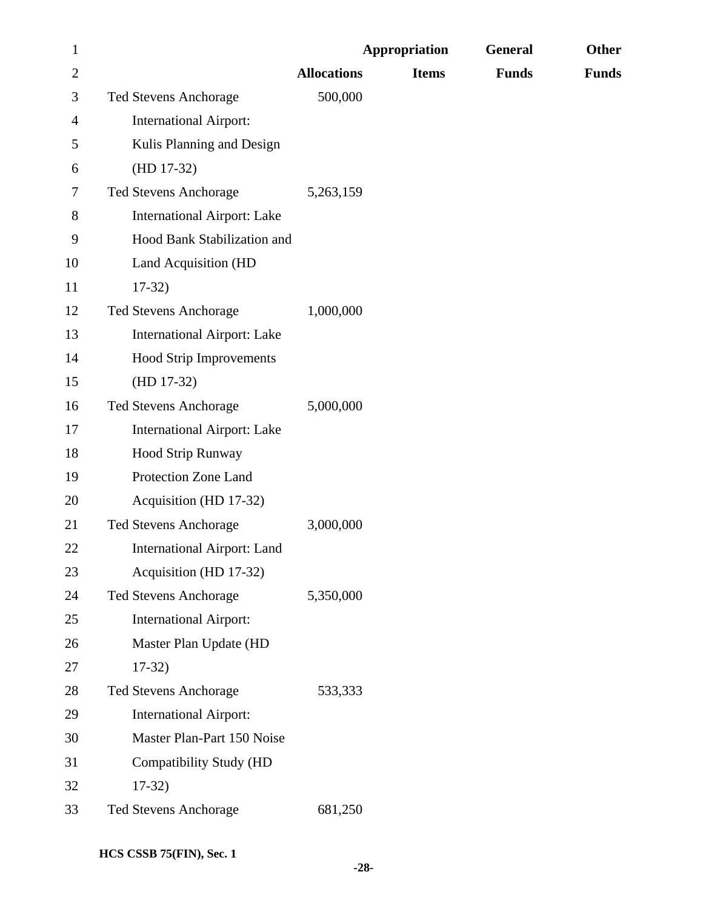| $\mathbf{1}$ |                                    | Appropriation      |              | General      | <b>Other</b> |
|--------------|------------------------------------|--------------------|--------------|--------------|--------------|
| $\mathbf{2}$ |                                    | <b>Allocations</b> | <b>Items</b> | <b>Funds</b> | <b>Funds</b> |
| 3            | <b>Ted Stevens Anchorage</b>       | 500,000            |              |              |              |
| 4            | <b>International Airport:</b>      |                    |              |              |              |
| 5            | Kulis Planning and Design          |                    |              |              |              |
| 6            | $(HD 17-32)$                       |                    |              |              |              |
| 7            | <b>Ted Stevens Anchorage</b>       | 5,263,159          |              |              |              |
| 8            | <b>International Airport: Lake</b> |                    |              |              |              |
| 9            | Hood Bank Stabilization and        |                    |              |              |              |
| 10           | Land Acquisition (HD               |                    |              |              |              |
| 11           | $17-32)$                           |                    |              |              |              |
| 12           | <b>Ted Stevens Anchorage</b>       | 1,000,000          |              |              |              |
| 13           | <b>International Airport: Lake</b> |                    |              |              |              |
| 14           | <b>Hood Strip Improvements</b>     |                    |              |              |              |
| 15           | $(HD 17-32)$                       |                    |              |              |              |
| 16           | <b>Ted Stevens Anchorage</b>       | 5,000,000          |              |              |              |
| 17           | <b>International Airport: Lake</b> |                    |              |              |              |
| 18           | Hood Strip Runway                  |                    |              |              |              |
| 19           | Protection Zone Land               |                    |              |              |              |
| 20           | Acquisition (HD 17-32)             |                    |              |              |              |
| 21           | <b>Ted Stevens Anchorage</b>       | 3,000,000          |              |              |              |
| 22           | <b>International Airport: Land</b> |                    |              |              |              |
| 23           | Acquisition (HD 17-32)             |                    |              |              |              |
| 24           | Ted Stevens Anchorage              | 5,350,000          |              |              |              |
| 25           | <b>International Airport:</b>      |                    |              |              |              |
| 26           | Master Plan Update (HD             |                    |              |              |              |
| 27           | $17-32)$                           |                    |              |              |              |
| 28           | Ted Stevens Anchorage              | 533,333            |              |              |              |
| 29           | <b>International Airport:</b>      |                    |              |              |              |
| 30           | Master Plan-Part 150 Noise         |                    |              |              |              |
| 31           | Compatibility Study (HD            |                    |              |              |              |
| 32           | $17-32)$                           |                    |              |              |              |
| 33           | Ted Stevens Anchorage              | 681,250            |              |              |              |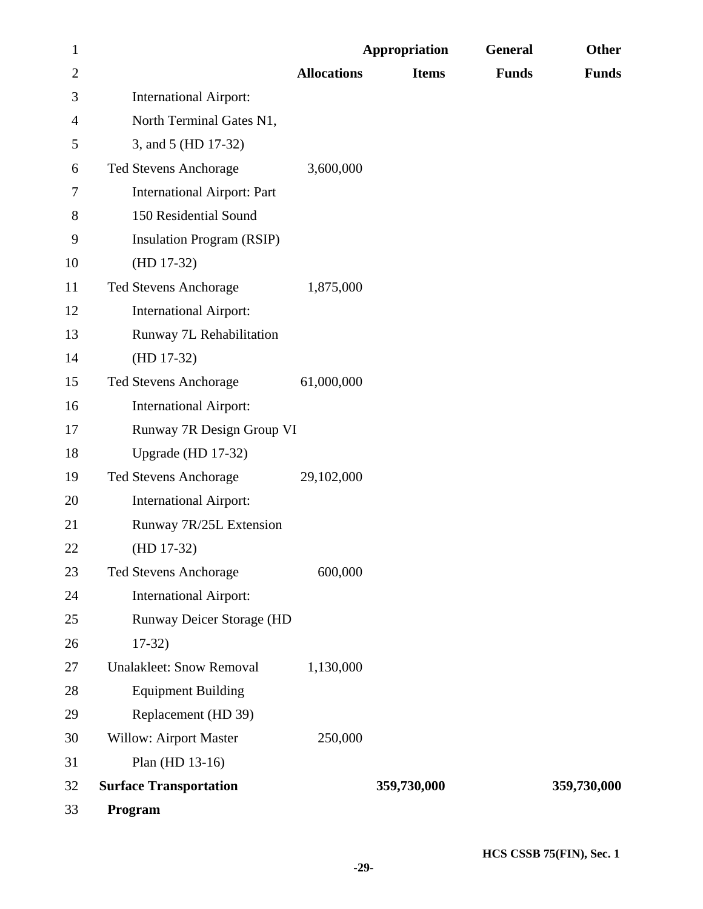| $\mathbf{1}$   |                                    |                    | <b>Appropriation</b> | <b>General</b> | <b>Other</b> |
|----------------|------------------------------------|--------------------|----------------------|----------------|--------------|
| $\overline{2}$ |                                    | <b>Allocations</b> | <b>Items</b>         | <b>Funds</b>   | <b>Funds</b> |
| 3              | <b>International Airport:</b>      |                    |                      |                |              |
| 4              | North Terminal Gates N1,           |                    |                      |                |              |
| 5              | 3, and 5 (HD 17-32)                |                    |                      |                |              |
| 6              | <b>Ted Stevens Anchorage</b>       | 3,600,000          |                      |                |              |
| 7              | <b>International Airport: Part</b> |                    |                      |                |              |
| 8              | 150 Residential Sound              |                    |                      |                |              |
| 9              | <b>Insulation Program (RSIP)</b>   |                    |                      |                |              |
| 10             | $(HD 17-32)$                       |                    |                      |                |              |
| 11             | Ted Stevens Anchorage              | 1,875,000          |                      |                |              |
| 12             | <b>International Airport:</b>      |                    |                      |                |              |
| 13             | Runway 7L Rehabilitation           |                    |                      |                |              |
| 14             | $(HD 17-32)$                       |                    |                      |                |              |
| 15             | Ted Stevens Anchorage              | 61,000,000         |                      |                |              |
| 16             | <b>International Airport:</b>      |                    |                      |                |              |
| 17             | Runway 7R Design Group VI          |                    |                      |                |              |
| 18             | Upgrade (HD 17-32)                 |                    |                      |                |              |
| 19             | <b>Ted Stevens Anchorage</b>       | 29,102,000         |                      |                |              |
| 20             | <b>International Airport:</b>      |                    |                      |                |              |
| 21             | Runway 7R/25L Extension            |                    |                      |                |              |
| 22             | $(HD 17-32)$                       |                    |                      |                |              |
| 23             | <b>Ted Stevens Anchorage</b>       | 600,000            |                      |                |              |
| 24             | <b>International Airport:</b>      |                    |                      |                |              |
| 25             | Runway Deicer Storage (HD          |                    |                      |                |              |
| 26             | $17-32)$                           |                    |                      |                |              |
| 27             | <b>Unalakleet: Snow Removal</b>    | 1,130,000          |                      |                |              |
| 28             | <b>Equipment Building</b>          |                    |                      |                |              |
| 29             | Replacement (HD 39)                |                    |                      |                |              |
| 30             | <b>Willow: Airport Master</b>      | 250,000            |                      |                |              |
| 31             | Plan (HD 13-16)                    |                    |                      |                |              |
| 32             | <b>Surface Transportation</b>      |                    | 359,730,000          |                | 359,730,000  |
| 33             | Program                            |                    |                      |                |              |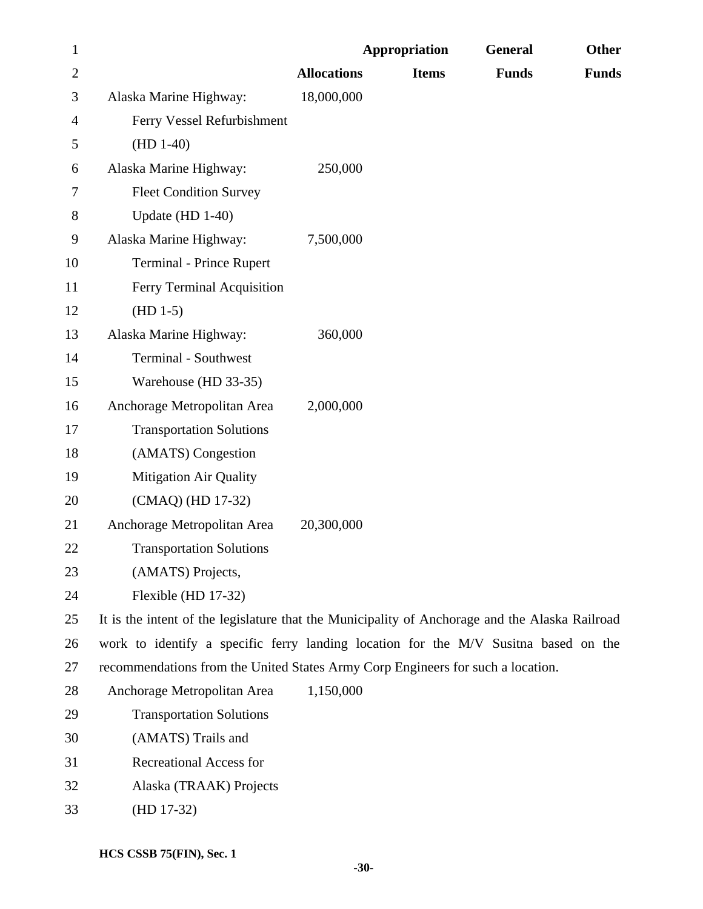| $\mathbf{1}$   |                                                                                                |                    | <b>Appropriation</b> | <b>General</b> | Other        |
|----------------|------------------------------------------------------------------------------------------------|--------------------|----------------------|----------------|--------------|
| $\overline{2}$ |                                                                                                | <b>Allocations</b> | <b>Items</b>         | <b>Funds</b>   | <b>Funds</b> |
| 3              | Alaska Marine Highway:                                                                         | 18,000,000         |                      |                |              |
| 4              | Ferry Vessel Refurbishment                                                                     |                    |                      |                |              |
| 5              | $(HD 1-40)$                                                                                    |                    |                      |                |              |
| 6              | Alaska Marine Highway:                                                                         | 250,000            |                      |                |              |
| 7              | <b>Fleet Condition Survey</b>                                                                  |                    |                      |                |              |
| 8              | Update (HD 1-40)                                                                               |                    |                      |                |              |
| 9              | Alaska Marine Highway:                                                                         | 7,500,000          |                      |                |              |
| 10             | <b>Terminal - Prince Rupert</b>                                                                |                    |                      |                |              |
| 11             | Ferry Terminal Acquisition                                                                     |                    |                      |                |              |
| 12             | $(HD 1-5)$                                                                                     |                    |                      |                |              |
| 13             | Alaska Marine Highway:                                                                         | 360,000            |                      |                |              |
| 14             | <b>Terminal - Southwest</b>                                                                    |                    |                      |                |              |
| 15             | Warehouse (HD 33-35)                                                                           |                    |                      |                |              |
| 16             | Anchorage Metropolitan Area                                                                    | 2,000,000          |                      |                |              |
| 17             | <b>Transportation Solutions</b>                                                                |                    |                      |                |              |
| 18             | (AMATS) Congestion                                                                             |                    |                      |                |              |
| 19             | <b>Mitigation Air Quality</b>                                                                  |                    |                      |                |              |
| 20             | (CMAQ) (HD 17-32)                                                                              |                    |                      |                |              |
| 21             | Anchorage Metropolitan Area                                                                    | 20,300,000         |                      |                |              |
| 22             | <b>Transportation Solutions</b>                                                                |                    |                      |                |              |
| 23             | (AMATS) Projects,                                                                              |                    |                      |                |              |
| 24             | Flexible (HD 17-32)                                                                            |                    |                      |                |              |
| 25             | It is the intent of the legislature that the Municipality of Anchorage and the Alaska Railroad |                    |                      |                |              |
| 26             | work to identify a specific ferry landing location for the M/V Susitna based on the            |                    |                      |                |              |
| 27             | recommendations from the United States Army Corp Engineers for such a location.                |                    |                      |                |              |
| 28             | Anchorage Metropolitan Area                                                                    | 1,150,000          |                      |                |              |
| 29             | <b>Transportation Solutions</b>                                                                |                    |                      |                |              |
| 30             | (AMATS) Trails and                                                                             |                    |                      |                |              |
| 31             | <b>Recreational Access for</b>                                                                 |                    |                      |                |              |
| 32             | Alaska (TRAAK) Projects                                                                        |                    |                      |                |              |
| 33             | $(HD 17-32)$                                                                                   |                    |                      |                |              |
|                |                                                                                                |                    |                      |                |              |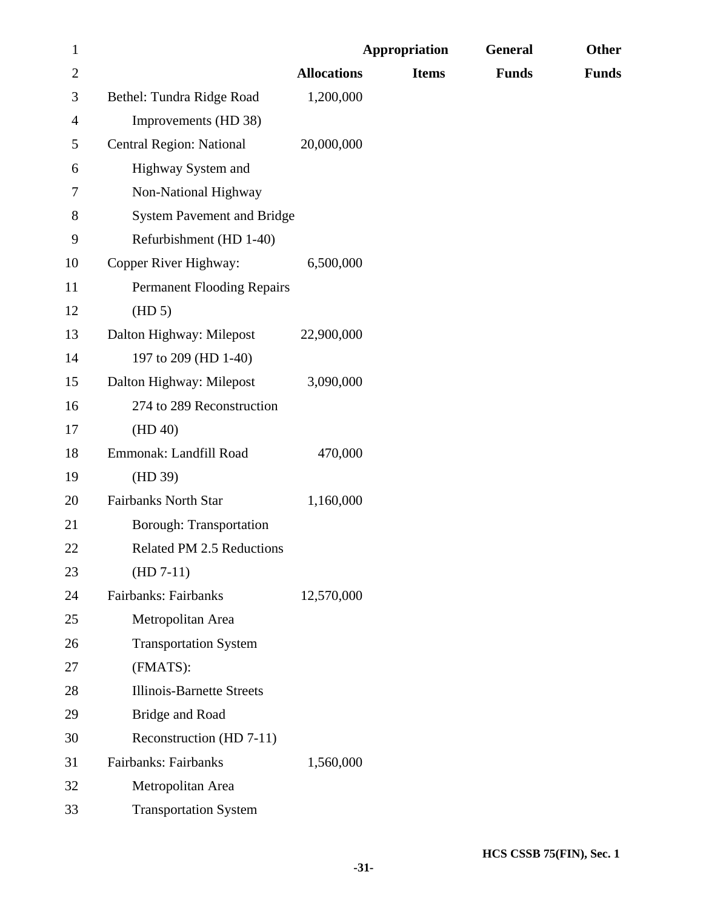| $\mathbf{1}$   | <b>Appropriation</b>              |                    | General      | Other        |              |
|----------------|-----------------------------------|--------------------|--------------|--------------|--------------|
| $\overline{2}$ |                                   | <b>Allocations</b> | <b>Items</b> | <b>Funds</b> | <b>Funds</b> |
| 3              | Bethel: Tundra Ridge Road         | 1,200,000          |              |              |              |
| $\overline{4}$ | Improvements (HD 38)              |                    |              |              |              |
| 5              | <b>Central Region: National</b>   | 20,000,000         |              |              |              |
| 6              | Highway System and                |                    |              |              |              |
| 7              | Non-National Highway              |                    |              |              |              |
| 8              | <b>System Pavement and Bridge</b> |                    |              |              |              |
| 9              | Refurbishment (HD 1-40)           |                    |              |              |              |
| 10             | Copper River Highway:             | 6,500,000          |              |              |              |
| 11             | <b>Permanent Flooding Repairs</b> |                    |              |              |              |
| 12             | (HD 5)                            |                    |              |              |              |
| 13             | Dalton Highway: Milepost          | 22,900,000         |              |              |              |
| 14             | 197 to 209 (HD 1-40)              |                    |              |              |              |
| 15             | Dalton Highway: Milepost          | 3,090,000          |              |              |              |
| 16             | 274 to 289 Reconstruction         |                    |              |              |              |
| 17             | (HD 40)                           |                    |              |              |              |
| 18             | Emmonak: Landfill Road            | 470,000            |              |              |              |
| 19             | (HD 39)                           |                    |              |              |              |
| 20             | <b>Fairbanks North Star</b>       | 1,160,000          |              |              |              |
| 21             | <b>Borough: Transportation</b>    |                    |              |              |              |
| 22             | Related PM 2.5 Reductions         |                    |              |              |              |
| 23             | $(HD 7-11)$                       |                    |              |              |              |
| 24             | Fairbanks: Fairbanks              | 12,570,000         |              |              |              |
| 25             | Metropolitan Area                 |                    |              |              |              |
| 26             | <b>Transportation System</b>      |                    |              |              |              |
| 27             | (FMATS):                          |                    |              |              |              |
| 28             | <b>Illinois-Barnette Streets</b>  |                    |              |              |              |
| 29             | Bridge and Road                   |                    |              |              |              |
| 30             | Reconstruction (HD 7-11)          |                    |              |              |              |
| 31             | Fairbanks: Fairbanks              | 1,560,000          |              |              |              |
| 32             | Metropolitan Area                 |                    |              |              |              |
| 33             | <b>Transportation System</b>      |                    |              |              |              |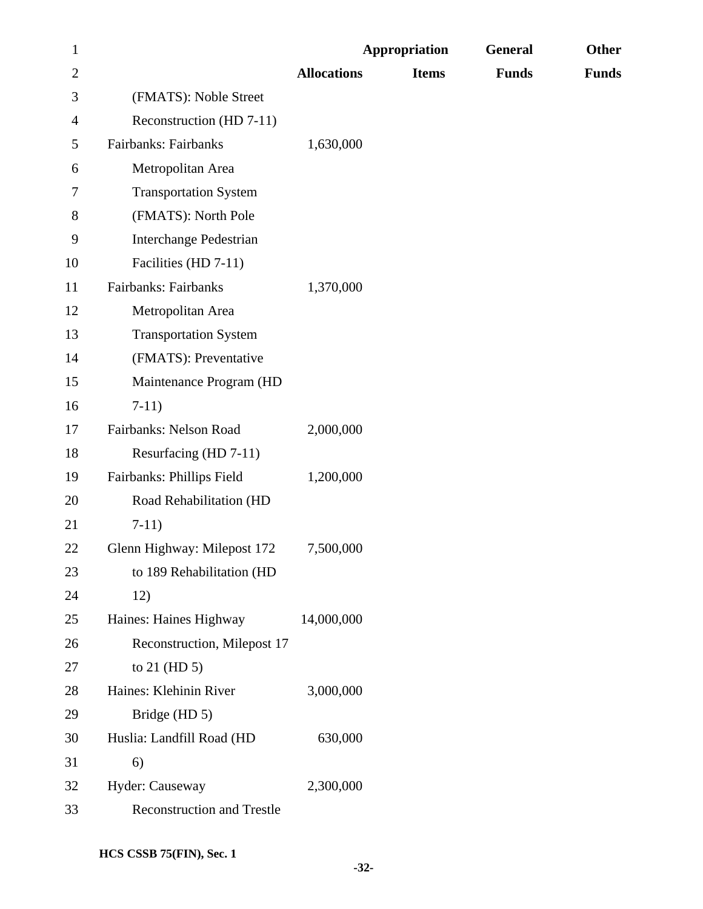| $\mathbf{1}$ |                                   | <b>Appropriation</b> |              | General      | Other        |
|--------------|-----------------------------------|----------------------|--------------|--------------|--------------|
| $\mathbf{2}$ |                                   | <b>Allocations</b>   | <b>Items</b> | <b>Funds</b> | <b>Funds</b> |
| 3            | (FMATS): Noble Street             |                      |              |              |              |
| 4            | Reconstruction (HD 7-11)          |                      |              |              |              |
| 5            | Fairbanks: Fairbanks              | 1,630,000            |              |              |              |
| 6            | Metropolitan Area                 |                      |              |              |              |
| 7            | <b>Transportation System</b>      |                      |              |              |              |
| 8            | (FMATS): North Pole               |                      |              |              |              |
| 9            | <b>Interchange Pedestrian</b>     |                      |              |              |              |
| 10           | Facilities (HD 7-11)              |                      |              |              |              |
| 11           | Fairbanks: Fairbanks              | 1,370,000            |              |              |              |
| 12           | Metropolitan Area                 |                      |              |              |              |
| 13           | <b>Transportation System</b>      |                      |              |              |              |
| 14           | (FMATS): Preventative             |                      |              |              |              |
| 15           | Maintenance Program (HD           |                      |              |              |              |
| 16           | $7-11)$                           |                      |              |              |              |
| 17           | Fairbanks: Nelson Road            | 2,000,000            |              |              |              |
| 18           | Resurfacing (HD 7-11)             |                      |              |              |              |
| 19           | Fairbanks: Phillips Field         | 1,200,000            |              |              |              |
| 20           | Road Rehabilitation (HD           |                      |              |              |              |
| 21           | $7-11)$                           |                      |              |              |              |
| 22           | Glenn Highway: Milepost 172       | 7,500,000            |              |              |              |
| 23           | to 189 Rehabilitation (HD         |                      |              |              |              |
| 24           | 12)                               |                      |              |              |              |
| 25           | Haines: Haines Highway            | 14,000,000           |              |              |              |
| 26           | Reconstruction, Milepost 17       |                      |              |              |              |
| $27\,$       | to $21$ (HD 5)                    |                      |              |              |              |
| 28           | Haines: Klehinin River            | 3,000,000            |              |              |              |
| 29           | Bridge (HD 5)                     |                      |              |              |              |
| 30           | Huslia: Landfill Road (HD         | 630,000              |              |              |              |
| 31           | 6)                                |                      |              |              |              |
| 32           | Hyder: Causeway                   | 2,300,000            |              |              |              |
| 33           | <b>Reconstruction and Trestle</b> |                      |              |              |              |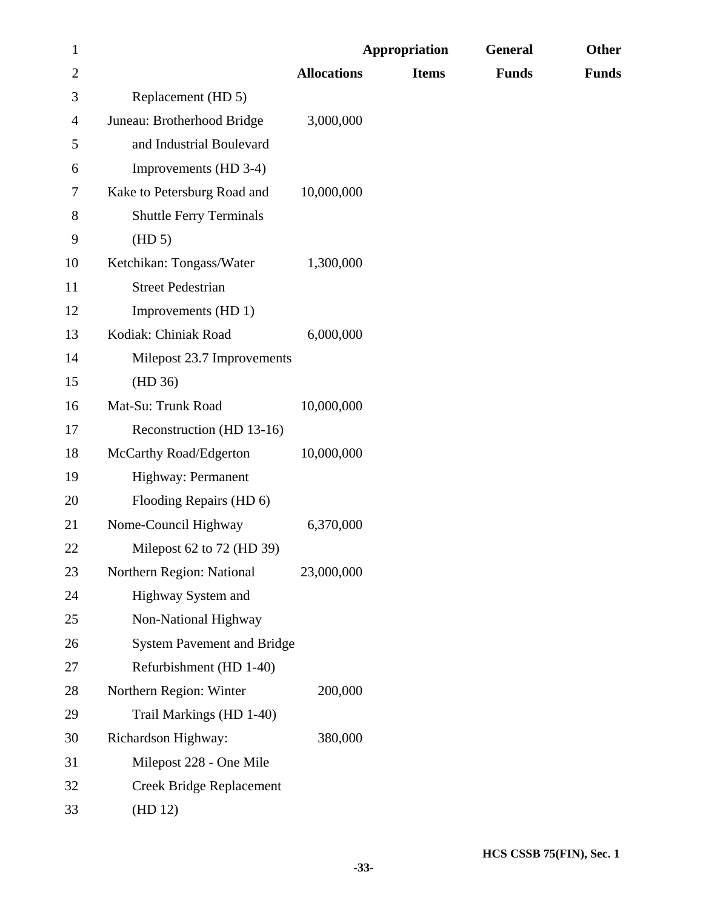| $\mathbf{1}$ |                                   | <b>Appropriation</b> |              | <b>General</b> | <b>Other</b> |
|--------------|-----------------------------------|----------------------|--------------|----------------|--------------|
| $\mathbf{2}$ |                                   | <b>Allocations</b>   | <b>Items</b> | <b>Funds</b>   | <b>Funds</b> |
| 3            | Replacement (HD 5)                |                      |              |                |              |
| 4            | Juneau: Brotherhood Bridge        | 3,000,000            |              |                |              |
| 5            | and Industrial Boulevard          |                      |              |                |              |
| 6            | Improvements (HD 3-4)             |                      |              |                |              |
| 7            | Kake to Petersburg Road and       | 10,000,000           |              |                |              |
| 8            | <b>Shuttle Ferry Terminals</b>    |                      |              |                |              |
| 9            | (HD 5)                            |                      |              |                |              |
| 10           | Ketchikan: Tongass/Water          | 1,300,000            |              |                |              |
| 11           | <b>Street Pedestrian</b>          |                      |              |                |              |
| 12           | Improvements (HD 1)               |                      |              |                |              |
| 13           | Kodiak: Chiniak Road              | 6,000,000            |              |                |              |
| 14           | Milepost 23.7 Improvements        |                      |              |                |              |
| 15           | (HD 36)                           |                      |              |                |              |
| 16           | Mat-Su: Trunk Road                | 10,000,000           |              |                |              |
| 17           | Reconstruction (HD 13-16)         |                      |              |                |              |
| 18           | McCarthy Road/Edgerton            | 10,000,000           |              |                |              |
| 19           | Highway: Permanent                |                      |              |                |              |
| 20           | Flooding Repairs (HD 6)           |                      |              |                |              |
| 21           | Nome-Council Highway              | 6,370,000            |              |                |              |
| 22           | Milepost 62 to 72 (HD 39)         |                      |              |                |              |
| 23           | Northern Region: National         | 23,000,000           |              |                |              |
| 24           | Highway System and                |                      |              |                |              |
| 25           | Non-National Highway              |                      |              |                |              |
| 26           | <b>System Pavement and Bridge</b> |                      |              |                |              |
| $27\,$       | Refurbishment (HD 1-40)           |                      |              |                |              |
| 28           | Northern Region: Winter           | 200,000              |              |                |              |
| 29           | Trail Markings (HD 1-40)          |                      |              |                |              |
| 30           | Richardson Highway:               | 380,000              |              |                |              |
| 31           | Milepost 228 - One Mile           |                      |              |                |              |
| 32           | <b>Creek Bridge Replacement</b>   |                      |              |                |              |
| 33           | (HD 12)                           |                      |              |                |              |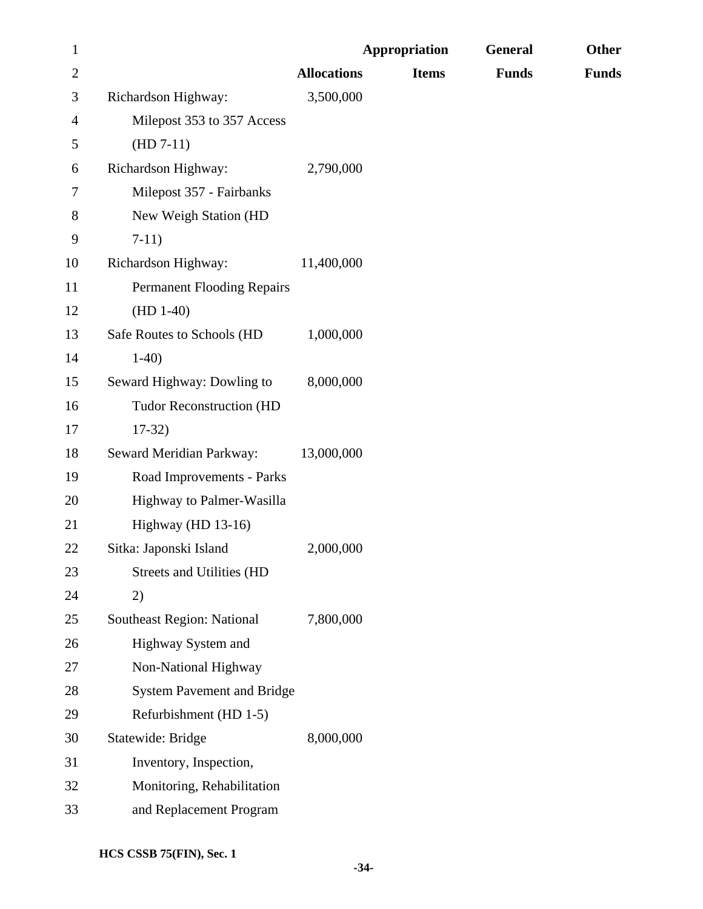| $\mathbf{1}$ |                                   |                    | <b>Appropriation</b> | General      | Other        |
|--------------|-----------------------------------|--------------------|----------------------|--------------|--------------|
| $\mathbf{2}$ |                                   | <b>Allocations</b> | <b>Items</b>         | <b>Funds</b> | <b>Funds</b> |
| 3            | Richardson Highway:               | 3,500,000          |                      |              |              |
| 4            | Milepost 353 to 357 Access        |                    |                      |              |              |
| 5            | $(HD 7-11)$                       |                    |                      |              |              |
| 6            | Richardson Highway:               | 2,790,000          |                      |              |              |
| 7            | Milepost 357 - Fairbanks          |                    |                      |              |              |
| 8            | New Weigh Station (HD             |                    |                      |              |              |
| 9            | $7-11)$                           |                    |                      |              |              |
| 10           | Richardson Highway:               | 11,400,000         |                      |              |              |
| 11           | <b>Permanent Flooding Repairs</b> |                    |                      |              |              |
| 12           | $(HD 1-40)$                       |                    |                      |              |              |
| 13           | Safe Routes to Schools (HD        | 1,000,000          |                      |              |              |
| 14           | $1-40$                            |                    |                      |              |              |
| 15           | Seward Highway: Dowling to        | 8,000,000          |                      |              |              |
| 16           | <b>Tudor Reconstruction (HD</b>   |                    |                      |              |              |
| 17           | $17-32)$                          |                    |                      |              |              |
| 18           | Seward Meridian Parkway:          | 13,000,000         |                      |              |              |
| 19           | Road Improvements - Parks         |                    |                      |              |              |
| 20           | Highway to Palmer-Wasilla         |                    |                      |              |              |
| 21           | Highway (HD 13-16)                |                    |                      |              |              |
| 22           | Sitka: Japonski Island            | 2,000,000          |                      |              |              |
| 23           | Streets and Utilities (HD         |                    |                      |              |              |
| 24           | 2)                                |                    |                      |              |              |
| 25           | <b>Southeast Region: National</b> | 7,800,000          |                      |              |              |
| 26           | Highway System and                |                    |                      |              |              |
| 27           | Non-National Highway              |                    |                      |              |              |
| 28           | <b>System Pavement and Bridge</b> |                    |                      |              |              |
| 29           | Refurbishment (HD 1-5)            |                    |                      |              |              |
| 30           | Statewide: Bridge                 | 8,000,000          |                      |              |              |
| 31           | Inventory, Inspection,            |                    |                      |              |              |
| 32           | Monitoring, Rehabilitation        |                    |                      |              |              |
| 33           | and Replacement Program           |                    |                      |              |              |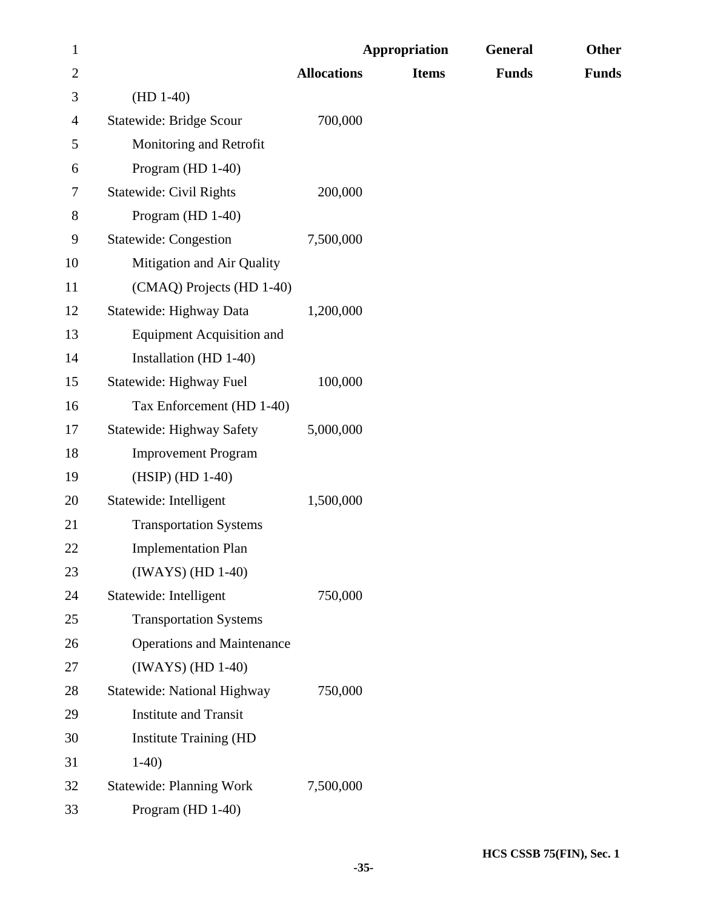| $\mathbf{1}$   |                                    | <b>Appropriation</b> |              | <b>General</b> | Other        |
|----------------|------------------------------------|----------------------|--------------|----------------|--------------|
| $\overline{2}$ |                                    | <b>Allocations</b>   | <b>Items</b> | <b>Funds</b>   | <b>Funds</b> |
| 3              | $(HD 1-40)$                        |                      |              |                |              |
| 4              | <b>Statewide: Bridge Scour</b>     | 700,000              |              |                |              |
| 5              | Monitoring and Retrofit            |                      |              |                |              |
| 6              | Program (HD 1-40)                  |                      |              |                |              |
| $\tau$         | <b>Statewide: Civil Rights</b>     | 200,000              |              |                |              |
| 8              | Program (HD 1-40)                  |                      |              |                |              |
| 9              | <b>Statewide: Congestion</b>       | 7,500,000            |              |                |              |
| 10             | Mitigation and Air Quality         |                      |              |                |              |
| 11             | (CMAQ) Projects (HD 1-40)          |                      |              |                |              |
| 12             | Statewide: Highway Data            | 1,200,000            |              |                |              |
| 13             | <b>Equipment Acquisition and</b>   |                      |              |                |              |
| 14             | Installation (HD 1-40)             |                      |              |                |              |
| 15             | Statewide: Highway Fuel            | 100,000              |              |                |              |
| 16             | Tax Enforcement (HD 1-40)          |                      |              |                |              |
| 17             | <b>Statewide: Highway Safety</b>   | 5,000,000            |              |                |              |
| 18             | <b>Improvement Program</b>         |                      |              |                |              |
| 19             | (HSIP) (HD 1-40)                   |                      |              |                |              |
| 20             | Statewide: Intelligent             | 1,500,000            |              |                |              |
| 21             | <b>Transportation Systems</b>      |                      |              |                |              |
| 22             | <b>Implementation Plan</b>         |                      |              |                |              |
| 23             | $(IWAYS)$ $(HD 1-40)$              |                      |              |                |              |
| 24             | Statewide: Intelligent             | 750,000              |              |                |              |
| 25             | <b>Transportation Systems</b>      |                      |              |                |              |
| 26             | <b>Operations and Maintenance</b>  |                      |              |                |              |
| 27             | $(IWAYS)$ $(HD 1-40)$              |                      |              |                |              |
| 28             | <b>Statewide: National Highway</b> | 750,000              |              |                |              |
| 29             | <b>Institute and Transit</b>       |                      |              |                |              |
| 30             | <b>Institute Training (HD</b>      |                      |              |                |              |
| 31             | $1-40$                             |                      |              |                |              |
| 32             | <b>Statewide: Planning Work</b>    | 7,500,000            |              |                |              |
| 33             | Program (HD 1-40)                  |                      |              |                |              |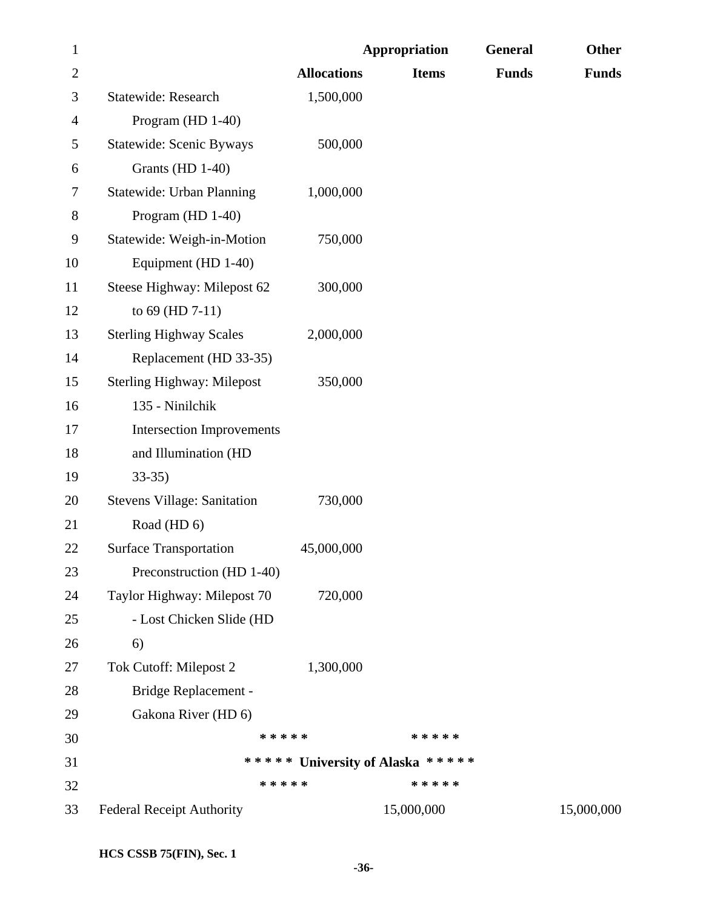| $\mathbf{1}$   |                                    | <b>Appropriation</b> |                                  | General      | Other        |
|----------------|------------------------------------|----------------------|----------------------------------|--------------|--------------|
| $\overline{2}$ |                                    | <b>Allocations</b>   | <b>Items</b>                     | <b>Funds</b> | <b>Funds</b> |
| 3              | Statewide: Research                | 1,500,000            |                                  |              |              |
| 4              | Program (HD 1-40)                  |                      |                                  |              |              |
| 5              | <b>Statewide: Scenic Byways</b>    | 500,000              |                                  |              |              |
| 6              | Grants (HD 1-40)                   |                      |                                  |              |              |
| 7              | <b>Statewide: Urban Planning</b>   | 1,000,000            |                                  |              |              |
| 8              | Program (HD 1-40)                  |                      |                                  |              |              |
| 9              | Statewide: Weigh-in-Motion         | 750,000              |                                  |              |              |
| 10             | Equipment (HD 1-40)                |                      |                                  |              |              |
| 11             | Steese Highway: Milepost 62        | 300,000              |                                  |              |              |
| 12             | to 69 (HD 7-11)                    |                      |                                  |              |              |
| 13             | <b>Sterling Highway Scales</b>     | 2,000,000            |                                  |              |              |
| 14             | Replacement (HD 33-35)             |                      |                                  |              |              |
| 15             | <b>Sterling Highway: Milepost</b>  | 350,000              |                                  |              |              |
| 16             | 135 - Ninilchik                    |                      |                                  |              |              |
| 17             | <b>Intersection Improvements</b>   |                      |                                  |              |              |
| 18             | and Illumination (HD               |                      |                                  |              |              |
| 19             | $33-35$                            |                      |                                  |              |              |
| 20             | <b>Stevens Village: Sanitation</b> | 730,000              |                                  |              |              |
| 21             | Road (HD 6)                        |                      |                                  |              |              |
| 22             | <b>Surface Transportation</b>      | 45,000,000           |                                  |              |              |
| 23             | Preconstruction (HD 1-40)          |                      |                                  |              |              |
| 24             | Taylor Highway: Milepost 70        | 720,000              |                                  |              |              |
| 25             | - Lost Chicken Slide (HD           |                      |                                  |              |              |
| 26             | 6)                                 |                      |                                  |              |              |
| 27             | Tok Cutoff: Milepost 2             | 1,300,000            |                                  |              |              |
| 28             | Bridge Replacement -               |                      |                                  |              |              |
| 29             | Gakona River (HD 6)                |                      |                                  |              |              |
| 30             | * * * * *                          |                      | * * * * *                        |              |              |
| 31             |                                    |                      | ***** University of Alaska ***** |              |              |
| 32             | * * * * *                          |                      | * * * * *                        |              |              |
| 33             | <b>Federal Receipt Authority</b>   |                      | 15,000,000                       |              | 15,000,000   |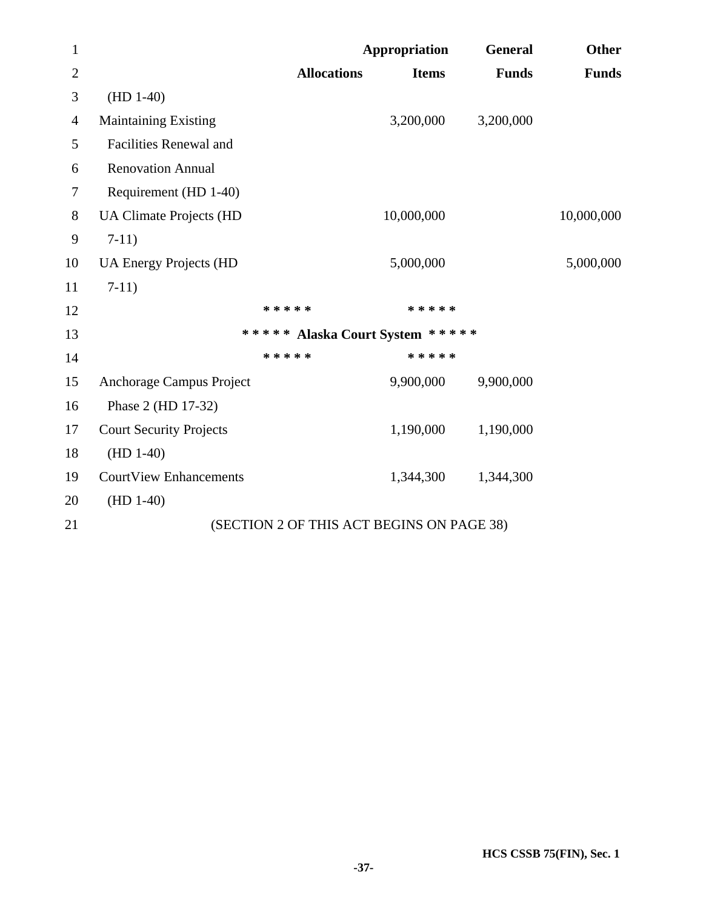| $\mathbf{1}$   |                                           | Appropriation | General      | <b>Other</b> |
|----------------|-------------------------------------------|---------------|--------------|--------------|
| $\overline{2}$ | <b>Allocations</b>                        | <b>Items</b>  | <b>Funds</b> | <b>Funds</b> |
| 3              | $(HD 1-40)$                               |               |              |              |
| $\overline{4}$ | <b>Maintaining Existing</b>               | 3,200,000     | 3,200,000    |              |
| 5              | <b>Facilities Renewal and</b>             |               |              |              |
| 6              | <b>Renovation Annual</b>                  |               |              |              |
| 7              | Requirement (HD 1-40)                     |               |              |              |
| 8              | <b>UA Climate Projects (HD</b>            | 10,000,000    |              | 10,000,000   |
| 9              | $7-11)$                                   |               |              |              |
| 10             | <b>UA Energy Projects (HD</b>             | 5,000,000     |              | 5,000,000    |
| 11             | $7-11)$                                   |               |              |              |
| 12             | * * * * *                                 | * * * * *     |              |              |
| 13             | ***** Alaska Court System *****           |               |              |              |
| 14             | * * * * *                                 | * * * * *     |              |              |
| 15             | Anchorage Campus Project                  | 9,900,000     | 9,900,000    |              |
| 16             | Phase 2 (HD 17-32)                        |               |              |              |
| 17             | <b>Court Security Projects</b>            | 1,190,000     | 1,190,000    |              |
| 18             | $(HD 1-40)$                               |               |              |              |
| 19             | <b>CourtView Enhancements</b>             | 1,344,300     | 1,344,300    |              |
| 20             | $(HD 1-40)$                               |               |              |              |
| 21             | (SECTION 2 OF THIS ACT BEGINS ON PAGE 38) |               |              |              |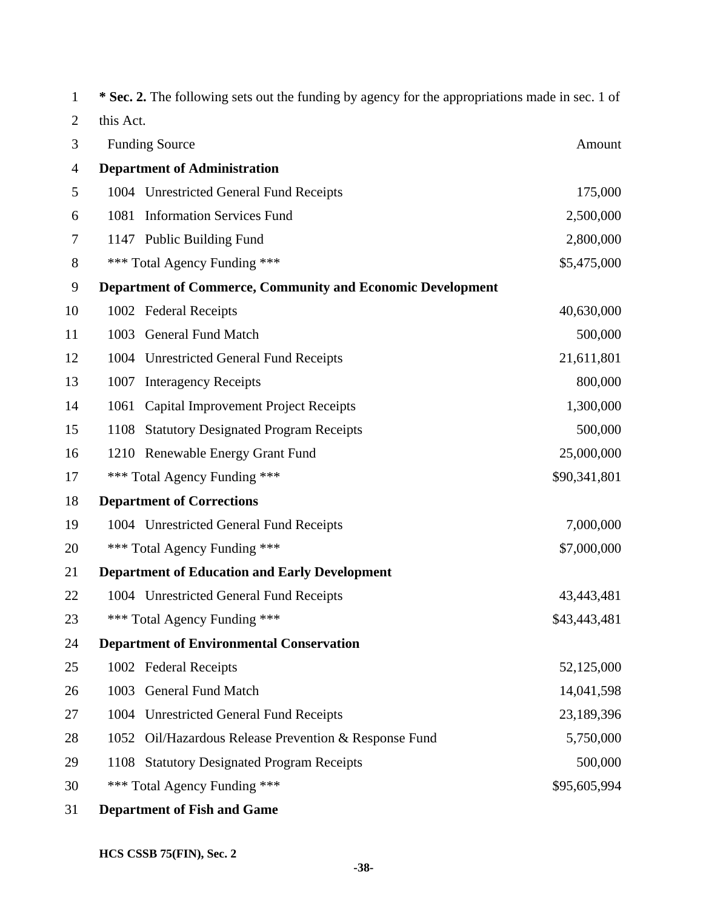| 1              |           | * Sec. 2. The following sets out the funding by agency for the appropriations made in sec. 1 of |              |
|----------------|-----------|-------------------------------------------------------------------------------------------------|--------------|
| $\overline{2}$ | this Act. |                                                                                                 |              |
| 3              |           | <b>Funding Source</b>                                                                           | Amount       |
| 4              |           | <b>Department of Administration</b>                                                             |              |
| 5              |           | 1004 Unrestricted General Fund Receipts                                                         | 175,000      |
| 6              | 1081      | <b>Information Services Fund</b>                                                                | 2,500,000    |
| 7              |           | 1147 Public Building Fund                                                                       | 2,800,000    |
| 8              |           | *** Total Agency Funding ***                                                                    | \$5,475,000  |
| 9              |           | <b>Department of Commerce, Community and Economic Development</b>                               |              |
| 10             |           | 1002 Federal Receipts                                                                           | 40,630,000   |
| 11             | 1003      | <b>General Fund Match</b>                                                                       | 500,000      |
| 12             |           | 1004 Unrestricted General Fund Receipts                                                         | 21,611,801   |
| 13             | 1007      | <b>Interagency Receipts</b>                                                                     | 800,000      |
| 14             | 1061      | <b>Capital Improvement Project Receipts</b>                                                     | 1,300,000    |
| 15             | 1108      | <b>Statutory Designated Program Receipts</b>                                                    | 500,000      |
| 16             |           | 1210 Renewable Energy Grant Fund                                                                | 25,000,000   |
| 17             |           | *** Total Agency Funding ***                                                                    | \$90,341,801 |
| 18             |           | <b>Department of Corrections</b>                                                                |              |
| 19             |           | 1004 Unrestricted General Fund Receipts                                                         | 7,000,000    |
| 20             |           | *** Total Agency Funding ***                                                                    | \$7,000,000  |
| 21             |           | <b>Department of Education and Early Development</b>                                            |              |
| 22             |           | 1004 Unrestricted General Fund Receipts                                                         | 43,443,481   |
| 23             |           | *** Total Agency Funding ***                                                                    | \$43,443,481 |
| 24             |           | <b>Department of Environmental Conservation</b>                                                 |              |
| 25             |           | 1002 Federal Receipts                                                                           | 52,125,000   |
| 26             | 1003      | <b>General Fund Match</b>                                                                       | 14,041,598   |
| 27             | 1004      | <b>Unrestricted General Fund Receipts</b>                                                       | 23,189,396   |
| 28             | 1052      | Oil/Hazardous Release Prevention & Response Fund                                                | 5,750,000    |
| 29             | 1108      | <b>Statutory Designated Program Receipts</b>                                                    | 500,000      |
| 30             |           | *** Total Agency Funding ***                                                                    | \$95,605,994 |
| 31             |           | <b>Department of Fish and Game</b>                                                              |              |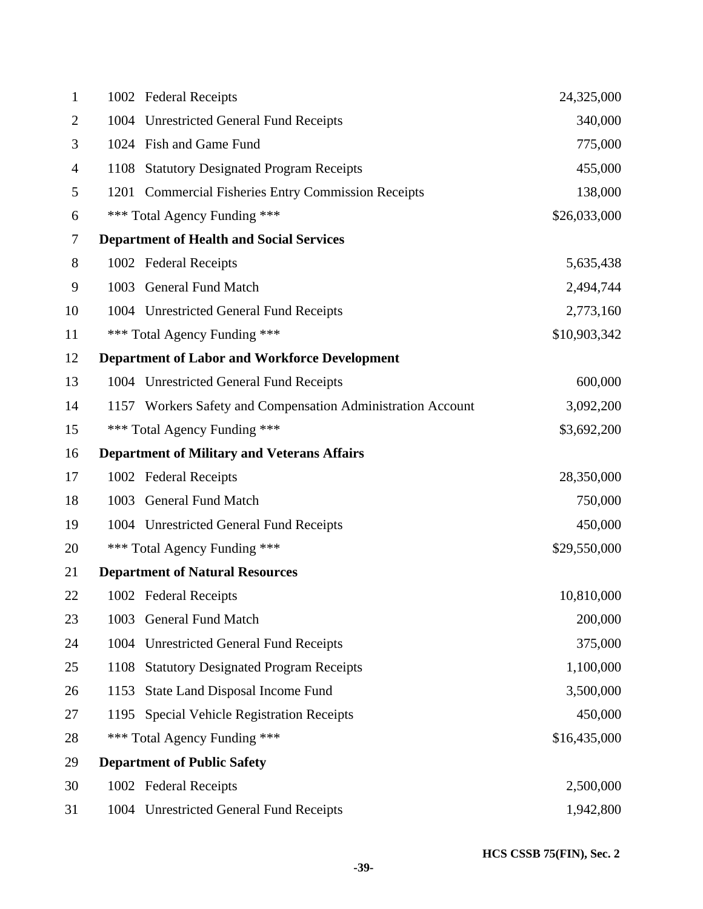| $\mathbf{1}$   |      | 1002 Federal Receipts                                       | 24,325,000   |
|----------------|------|-------------------------------------------------------------|--------------|
| $\overline{2}$ |      | 1004 Unrestricted General Fund Receipts                     | 340,000      |
| 3              |      | 1024 Fish and Game Fund                                     | 775,000      |
| 4              |      | 1108 Statutory Designated Program Receipts                  | 455,000      |
| 5              |      | 1201 Commercial Fisheries Entry Commission Receipts         | 138,000      |
| 6              |      | *** Total Agency Funding ***                                | \$26,033,000 |
| 7              |      | <b>Department of Health and Social Services</b>             |              |
| 8              |      | 1002 Federal Receipts                                       | 5,635,438    |
| 9              |      | 1003 General Fund Match                                     | 2,494,744    |
| 10             |      | 1004 Unrestricted General Fund Receipts                     | 2,773,160    |
| 11             |      | *** Total Agency Funding ***                                | \$10,903,342 |
| 12             |      | <b>Department of Labor and Workforce Development</b>        |              |
| 13             |      | 1004 Unrestricted General Fund Receipts                     | 600,000      |
| 14             |      | 1157 Workers Safety and Compensation Administration Account | 3,092,200    |
| 15             |      | *** Total Agency Funding ***                                | \$3,692,200  |
| 16             |      | <b>Department of Military and Veterans Affairs</b>          |              |
| 17             |      | 1002 Federal Receipts                                       | 28,350,000   |
| 18             |      | 1003 General Fund Match                                     | 750,000      |
| 19             |      | 1004 Unrestricted General Fund Receipts                     | 450,000      |
| 20             |      | *** Total Agency Funding ***                                | \$29,550,000 |
| 21             |      | <b>Department of Natural Resources</b>                      |              |
| 22             |      | 1002 Federal Receipts                                       | 10,810,000   |
| 23             | 1003 | <b>General Fund Match</b>                                   | 200,000      |
| 24             | 1004 | <b>Unrestricted General Fund Receipts</b>                   | 375,000      |
| 25             | 1108 | <b>Statutory Designated Program Receipts</b>                | 1,100,000    |
| 26             | 1153 | <b>State Land Disposal Income Fund</b>                      | 3,500,000    |
| 27             | 1195 | <b>Special Vehicle Registration Receipts</b>                | 450,000      |
| 28             |      | *** Total Agency Funding ***                                | \$16,435,000 |
| 29             |      | <b>Department of Public Safety</b>                          |              |
| 30             |      | 1002 Federal Receipts                                       | 2,500,000    |
| 31             |      | 1004 Unrestricted General Fund Receipts                     | 1,942,800    |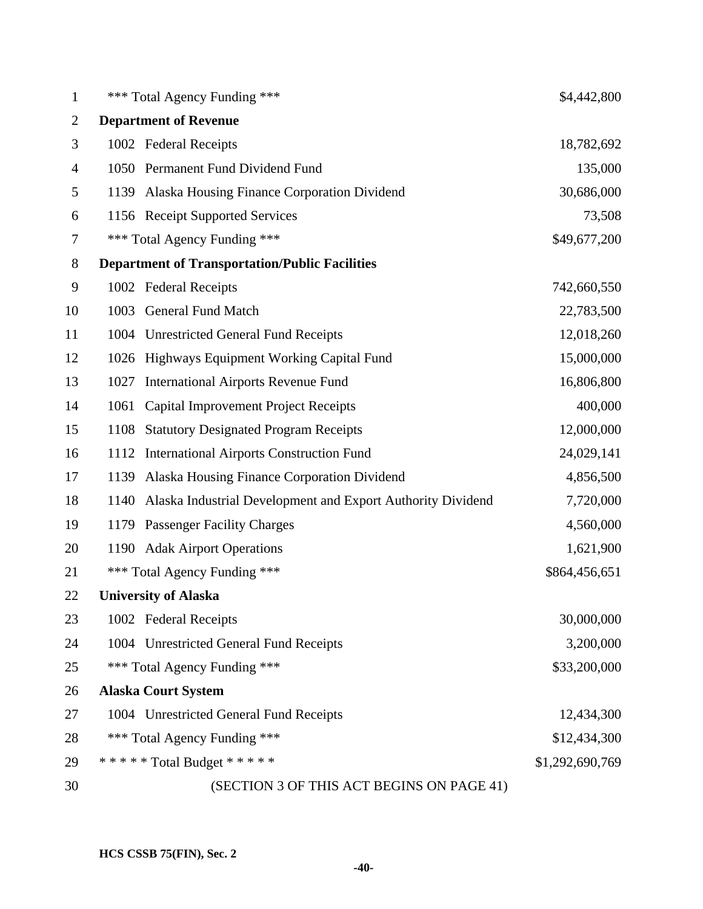| $\mathbf{1}$   |      | *** Total Agency Funding ***                                | \$4,442,800     |
|----------------|------|-------------------------------------------------------------|-----------------|
| $\overline{2}$ |      | <b>Department of Revenue</b>                                |                 |
| 3              |      | 1002 Federal Receipts                                       | 18,782,692      |
| 4              |      | 1050 Permanent Fund Dividend Fund                           | 135,000         |
| 5              | 1139 | Alaska Housing Finance Corporation Dividend                 | 30,686,000      |
| 6              |      | 1156 Receipt Supported Services                             | 73,508          |
| 7              |      | *** Total Agency Funding ***                                | \$49,677,200    |
| 8              |      | <b>Department of Transportation/Public Facilities</b>       |                 |
| 9              |      | 1002 Federal Receipts                                       | 742,660,550     |
| 10             | 1003 | <b>General Fund Match</b>                                   | 22,783,500      |
| 11             |      | 1004 Unrestricted General Fund Receipts                     | 12,018,260      |
| 12             | 1026 | Highways Equipment Working Capital Fund                     | 15,000,000      |
| 13             | 1027 | <b>International Airports Revenue Fund</b>                  | 16,806,800      |
| 14             | 1061 | <b>Capital Improvement Project Receipts</b>                 | 400,000         |
| 15             | 1108 | <b>Statutory Designated Program Receipts</b>                | 12,000,000      |
| 16             | 1112 | <b>International Airports Construction Fund</b>             | 24,029,141      |
| 17             | 1139 | Alaska Housing Finance Corporation Dividend                 | 4,856,500       |
| 18             | 1140 | Alaska Industrial Development and Export Authority Dividend | 7,720,000       |
| 19             |      | 1179 Passenger Facility Charges                             | 4,560,000       |
| 20             | 1190 | <b>Adak Airport Operations</b>                              | 1,621,900       |
| 21             | ***  | Total Agency Funding ***                                    | \$864,456,651   |
| 22             |      | <b>University of Alaska</b>                                 |                 |
| 23             |      | 1002 Federal Receipts                                       | 30,000,000      |
| 24             |      | 1004 Unrestricted General Fund Receipts                     | 3,200,000       |
| 25             |      | *** Total Agency Funding ***                                | \$33,200,000    |
| 26             |      | <b>Alaska Court System</b>                                  |                 |
| 27             |      | 1004 Unrestricted General Fund Receipts                     | 12,434,300      |
| 28             |      | *** Total Agency Funding ***                                | \$12,434,300    |
| 29             |      | ***** Total Budget *****                                    | \$1,292,690,769 |
| 30             |      | (SECTION 3 OF THIS ACT BEGINS ON PAGE 41)                   |                 |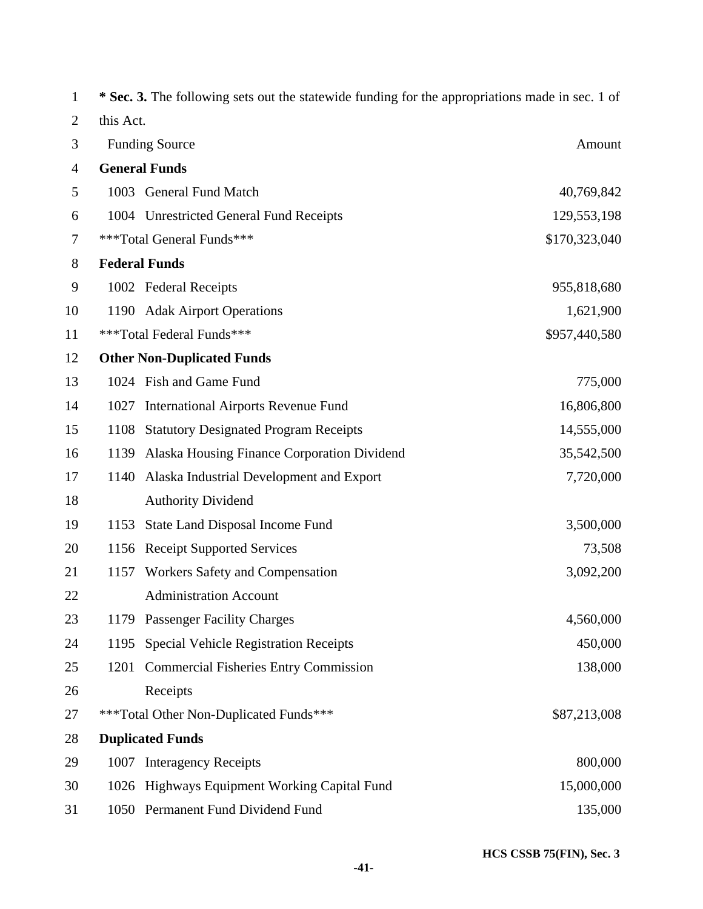| 1              |           | * Sec. 3. The following sets out the statewide funding for the appropriations made in sec. 1 of |               |
|----------------|-----------|-------------------------------------------------------------------------------------------------|---------------|
| $\overline{2}$ | this Act. |                                                                                                 |               |
| 3              |           | <b>Funding Source</b>                                                                           | Amount        |
| 4              |           | <b>General Funds</b>                                                                            |               |
| 5              |           | 1003 General Fund Match                                                                         | 40,769,842    |
| 6              |           | 1004 Unrestricted General Fund Receipts                                                         | 129,553,198   |
| 7              |           | ***Total General Funds***                                                                       | \$170,323,040 |
| 8              |           | <b>Federal Funds</b>                                                                            |               |
| 9              |           | 1002 Federal Receipts                                                                           | 955,818,680   |
| 10             |           | 1190 Adak Airport Operations                                                                    | 1,621,900     |
| 11             |           | ***Total Federal Funds***                                                                       | \$957,440,580 |
| 12             |           | <b>Other Non-Duplicated Funds</b>                                                               |               |
| 13             |           | 1024 Fish and Game Fund                                                                         | 775,000       |
| 14             | 1027      | <b>International Airports Revenue Fund</b>                                                      | 16,806,800    |
| 15             | 1108      | <b>Statutory Designated Program Receipts</b>                                                    | 14,555,000    |
| 16             | 1139      | Alaska Housing Finance Corporation Dividend                                                     | 35,542,500    |
| 17             | 1140      | Alaska Industrial Development and Export                                                        | 7,720,000     |
| 18             |           | <b>Authority Dividend</b>                                                                       |               |
| 19             | 1153      | State Land Disposal Income Fund                                                                 | 3,500,000     |
| 20             | 1156      | <b>Receipt Supported Services</b>                                                               | 73,508        |
| 21             | 1157      | Workers Safety and Compensation                                                                 | 3,092,200     |
| 22             |           | <b>Administration Account</b>                                                                   |               |
| 23             |           | 1179 Passenger Facility Charges                                                                 | 4,560,000     |
| 24             | 1195      | <b>Special Vehicle Registration Receipts</b>                                                    | 450,000       |
| 25             | 1201      | <b>Commercial Fisheries Entry Commission</b>                                                    | 138,000       |
| 26             |           | Receipts                                                                                        |               |
| 27             |           | ***Total Other Non-Duplicated Funds***                                                          | \$87,213,008  |
| 28             |           | <b>Duplicated Funds</b>                                                                         |               |
| 29             | 1007      | <b>Interagency Receipts</b>                                                                     | 800,000       |
| 30             |           | 1026 Highways Equipment Working Capital Fund                                                    | 15,000,000    |
| 31             |           | 1050 Permanent Fund Dividend Fund                                                               | 135,000       |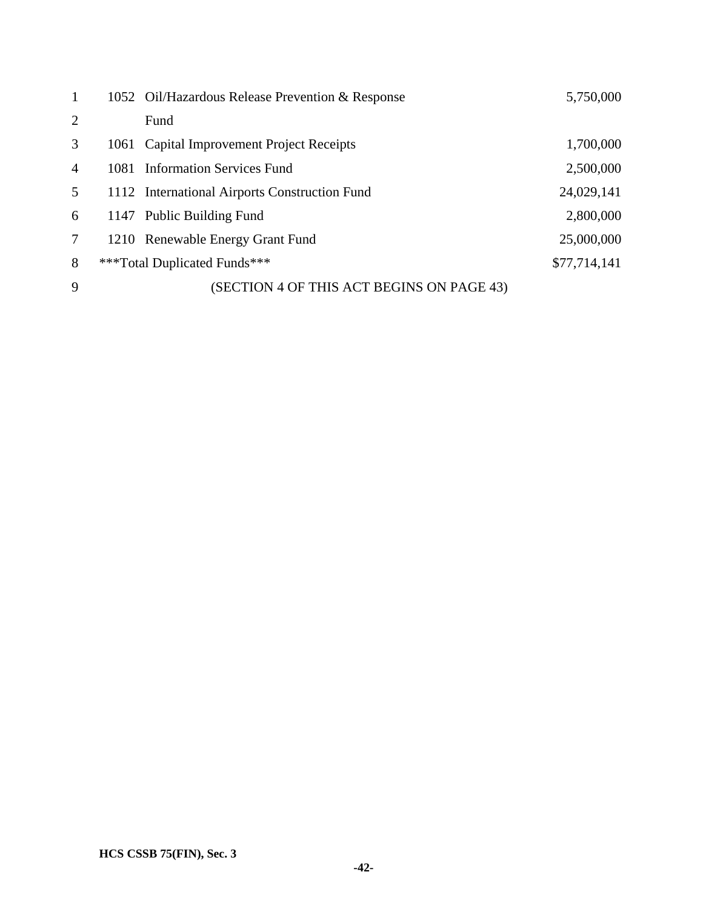| $\mathbf{1}$   | 1052 Oil/Hazardous Release Prevention & Response | 5,750,000    |
|----------------|--------------------------------------------------|--------------|
| $\overline{2}$ | Fund                                             |              |
| 3              | 1061 Capital Improvement Project Receipts        | 1,700,000    |
| $\overline{4}$ | 1081 Information Services Fund                   | 2,500,000    |
| 5              | 1112 International Airports Construction Fund    | 24,029,141   |
| 6              | 1147 Public Building Fund                        | 2,800,000    |
| $\tau$         | 1210 Renewable Energy Grant Fund                 | 25,000,000   |
| 8              | ***Total Duplicated Funds***                     | \$77,714,141 |
| 9              | (SECTION 4 OF THIS ACT BEGINS ON PAGE 43)        |              |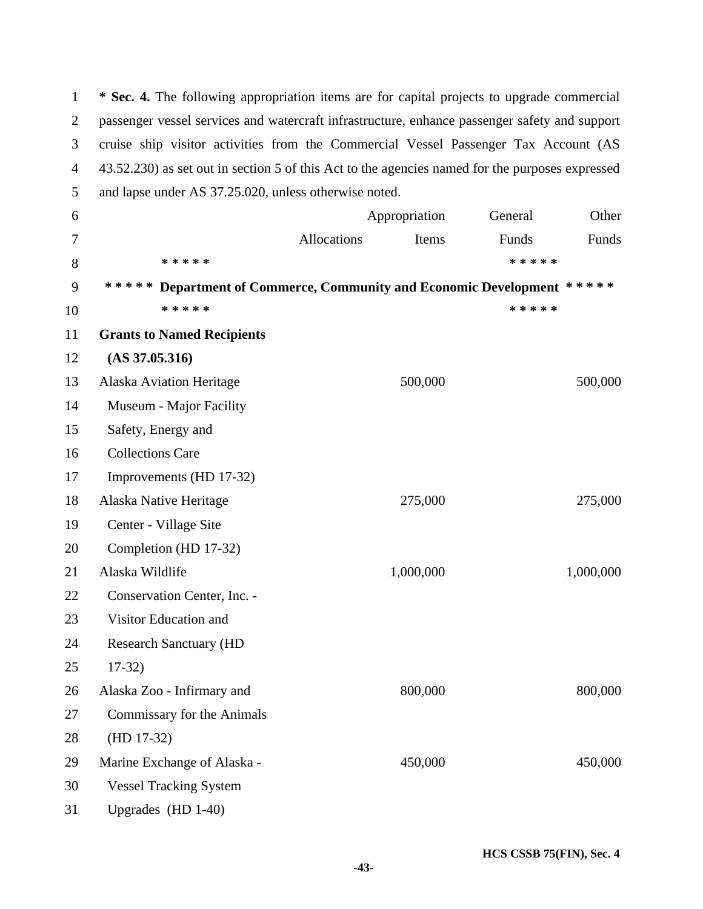1 **\* Sec. 4.** The following appropriation items are for capital projects to upgrade commercial 2 passenger vessel services and watercraft infrastructure, enhance passenger safety and support 3 cruise ship visitor activities from the Commercial Vessel Passenger Tax Account (AS 4 43.52.230) as set out in section 5 of this Act to the agencies named for the purposes expressed 5 and lapse under AS 37.25.020, unless otherwise noted.

| 6      |                                                                        | Appropriation |           | General   | Other     |
|--------|------------------------------------------------------------------------|---------------|-----------|-----------|-----------|
| $\tau$ |                                                                        | Allocations   | Items     | Funds     | Funds     |
| 8      | * * * * *                                                              |               |           | * * * * * |           |
| 9      | ***** Department of Commerce, Community and Economic Development ***** |               |           |           |           |
| 10     | * * * * *                                                              |               |           | * * * * * |           |
| 11     | <b>Grants to Named Recipients</b>                                      |               |           |           |           |
| 12     | $(AS\,37.05.316)$                                                      |               |           |           |           |
| 13     | <b>Alaska Aviation Heritage</b>                                        |               | 500,000   |           | 500,000   |
| 14     | Museum - Major Facility                                                |               |           |           |           |
| 15     | Safety, Energy and                                                     |               |           |           |           |
| 16     | <b>Collections Care</b>                                                |               |           |           |           |
| 17     | Improvements (HD 17-32)                                                |               |           |           |           |
| 18     | Alaska Native Heritage                                                 |               | 275,000   |           | 275,000   |
| 19     | Center - Village Site                                                  |               |           |           |           |
| 20     | Completion (HD 17-32)                                                  |               |           |           |           |
| 21     | Alaska Wildlife                                                        |               | 1,000,000 |           | 1,000,000 |
| 22     | Conservation Center, Inc. -                                            |               |           |           |           |
| 23     | Visitor Education and                                                  |               |           |           |           |
| 24     | <b>Research Sanctuary (HD</b>                                          |               |           |           |           |
| 25     | $17-32)$                                                               |               |           |           |           |
| 26     | Alaska Zoo - Infirmary and                                             |               | 800,000   |           | 800,000   |
| 27     | Commissary for the Animals                                             |               |           |           |           |
| 28     | $(HD 17-32)$                                                           |               |           |           |           |
| 29     | Marine Exchange of Alaska -                                            |               | 450,000   |           | 450,000   |
| 30     | <b>Vessel Tracking System</b>                                          |               |           |           |           |
| 31     | Upgrades (HD 1-40)                                                     |               |           |           |           |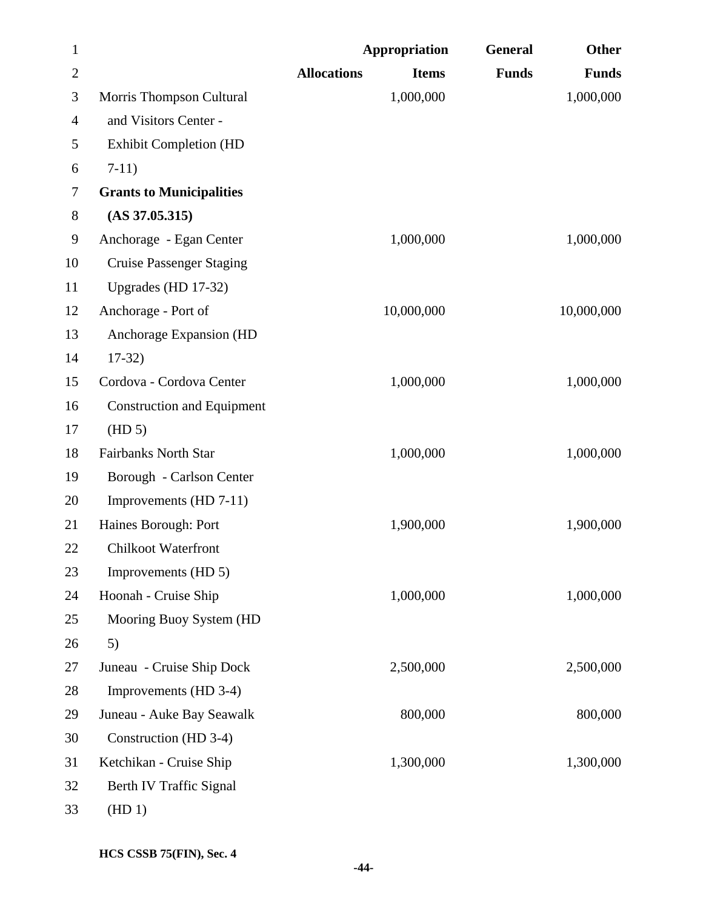| $\mathbf{1}$   |                                   | <b>Appropriation</b> |              | General      | Other        |
|----------------|-----------------------------------|----------------------|--------------|--------------|--------------|
| $\overline{2}$ |                                   | <b>Allocations</b>   | <b>Items</b> | <b>Funds</b> | <b>Funds</b> |
| 3              | Morris Thompson Cultural          |                      | 1,000,000    |              | 1,000,000    |
| 4              | and Visitors Center -             |                      |              |              |              |
| 5              | <b>Exhibit Completion (HD</b>     |                      |              |              |              |
| 6              | $7-11)$                           |                      |              |              |              |
| 7              | <b>Grants to Municipalities</b>   |                      |              |              |              |
| 8              | $(AS\,37.05.315)$                 |                      |              |              |              |
| 9              | Anchorage - Egan Center           |                      | 1,000,000    |              | 1,000,000    |
| 10             | <b>Cruise Passenger Staging</b>   |                      |              |              |              |
| 11             | Upgrades (HD 17-32)               |                      |              |              |              |
| 12             | Anchorage - Port of               |                      | 10,000,000   |              | 10,000,000   |
| 13             | Anchorage Expansion (HD           |                      |              |              |              |
| 14             | $17-32$                           |                      |              |              |              |
| 15             | Cordova - Cordova Center          |                      | 1,000,000    |              | 1,000,000    |
| 16             | <b>Construction and Equipment</b> |                      |              |              |              |
| 17             | (HD 5)                            |                      |              |              |              |
| 18             | <b>Fairbanks North Star</b>       |                      | 1,000,000    |              | 1,000,000    |
| 19             | Borough - Carlson Center          |                      |              |              |              |
| 20             | Improvements (HD 7-11)            |                      |              |              |              |
| 21             | Haines Borough: Port              |                      | 1,900,000    |              | 1,900,000    |
| 22             | <b>Chilkoot Waterfront</b>        |                      |              |              |              |
| 23             | Improvements (HD 5)               |                      |              |              |              |
| 24             | Hoonah - Cruise Ship              |                      | 1,000,000    |              | 1,000,000    |
| 25             | Mooring Buoy System (HD           |                      |              |              |              |
| 26             | 5)                                |                      |              |              |              |
| 27             | Juneau - Cruise Ship Dock         |                      | 2,500,000    |              | 2,500,000    |
| 28             | Improvements (HD 3-4)             |                      |              |              |              |
| 29             | Juneau - Auke Bay Seawalk         |                      | 800,000      |              | 800,000      |
| 30             | Construction (HD 3-4)             |                      |              |              |              |
| 31             | Ketchikan - Cruise Ship           |                      | 1,300,000    |              | 1,300,000    |
| 32             | Berth IV Traffic Signal           |                      |              |              |              |
| 33             | (HD1)                             |                      |              |              |              |

**HCS CSSB 75(FIN), Sec. 4**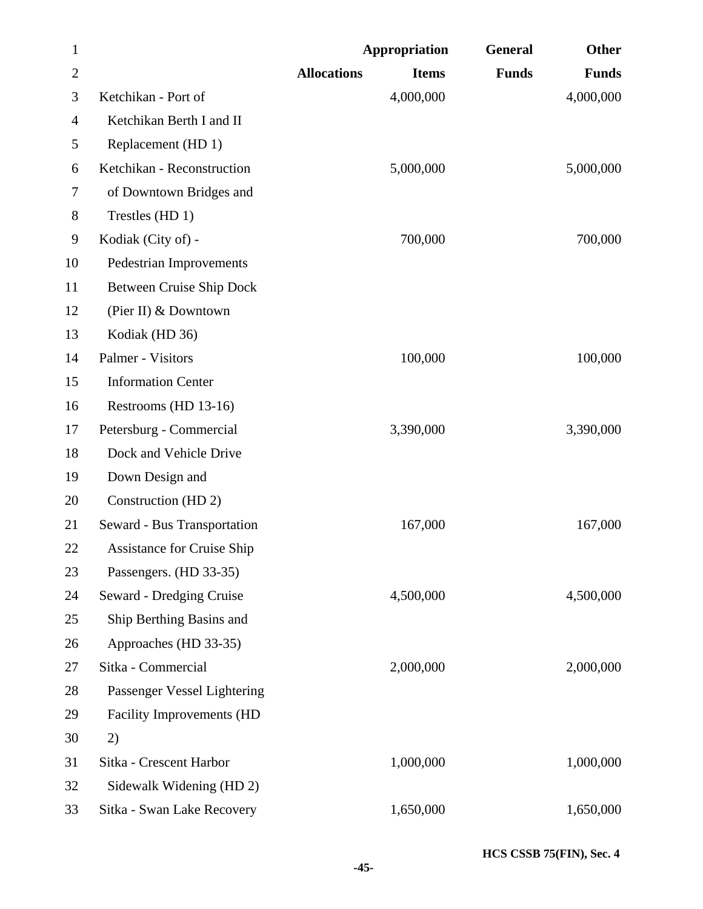| $\mathbf{1}$   |                                   | <b>Appropriation</b> | <b>General</b>               | Other        |
|----------------|-----------------------------------|----------------------|------------------------------|--------------|
| $\overline{2}$ |                                   | <b>Allocations</b>   | <b>Funds</b><br><b>Items</b> | <b>Funds</b> |
| 3              | Ketchikan - Port of               | 4,000,000            |                              | 4,000,000    |
| 4              | Ketchikan Berth I and II          |                      |                              |              |
| 5              | Replacement (HD 1)                |                      |                              |              |
| 6              | Ketchikan - Reconstruction        | 5,000,000            |                              | 5,000,000    |
| 7              | of Downtown Bridges and           |                      |                              |              |
| 8              | Trestles (HD 1)                   |                      |                              |              |
| 9              | Kodiak (City of) -                | 700,000              |                              | 700,000      |
| 10             | <b>Pedestrian Improvements</b>    |                      |                              |              |
| 11             | Between Cruise Ship Dock          |                      |                              |              |
| 12             | (Pier II) & Downtown              |                      |                              |              |
| 13             | Kodiak (HD 36)                    |                      |                              |              |
| 14             | Palmer - Visitors                 | 100,000              |                              | 100,000      |
| 15             | <b>Information Center</b>         |                      |                              |              |
| 16             | Restrooms (HD 13-16)              |                      |                              |              |
| 17             | Petersburg - Commercial           | 3,390,000            |                              | 3,390,000    |
| 18             | Dock and Vehicle Drive            |                      |                              |              |
| 19             | Down Design and                   |                      |                              |              |
| 20             | Construction (HD 2)               |                      |                              |              |
| 21             | Seward - Bus Transportation       | 167,000              |                              | 167,000      |
| 22             | <b>Assistance for Cruise Ship</b> |                      |                              |              |
| 23             | Passengers. (HD 33-35)            |                      |                              |              |
| 24             | Seward - Dredging Cruise          | 4,500,000            |                              | 4,500,000    |
| 25             | Ship Berthing Basins and          |                      |                              |              |
| 26             | Approaches (HD 33-35)             |                      |                              |              |
| 27             | Sitka - Commercial                | 2,000,000            |                              | 2,000,000    |
| 28             | Passenger Vessel Lightering       |                      |                              |              |
| 29             | <b>Facility Improvements (HD</b>  |                      |                              |              |
| 30             | 2)                                |                      |                              |              |
| 31             | Sitka - Crescent Harbor           | 1,000,000            |                              | 1,000,000    |
| 32             | Sidewalk Widening (HD 2)          |                      |                              |              |
| 33             | Sitka - Swan Lake Recovery        | 1,650,000            |                              | 1,650,000    |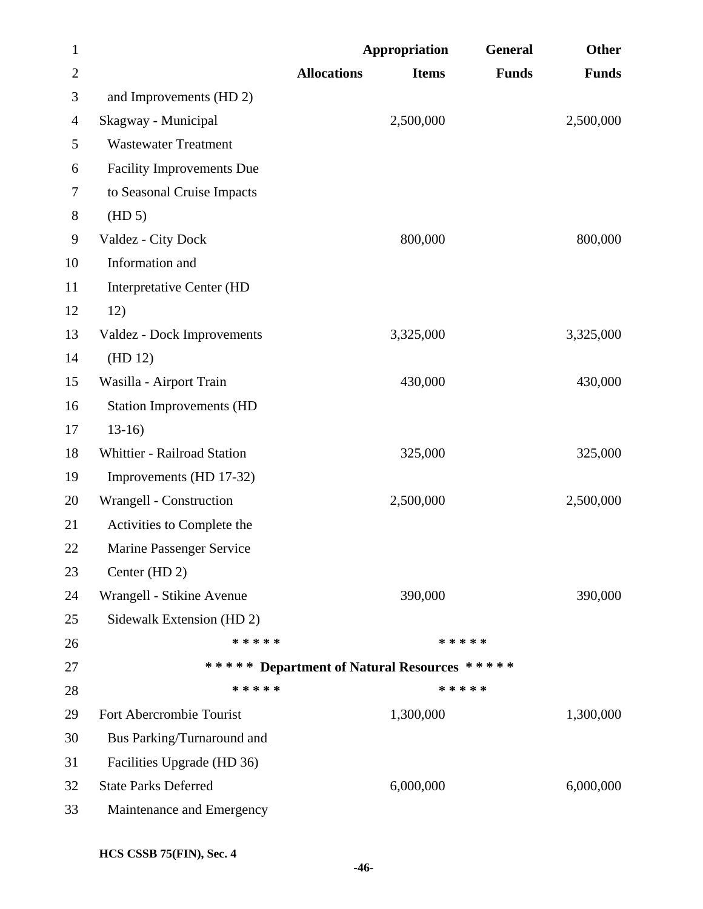| $\mathbf{1}$   |                                  | <b>Appropriation</b>                        | General      | Other        |
|----------------|----------------------------------|---------------------------------------------|--------------|--------------|
| $\overline{2}$ |                                  | <b>Allocations</b><br><b>Items</b>          | <b>Funds</b> | <b>Funds</b> |
| 3              | and Improvements (HD 2)          |                                             |              |              |
| 4              | Skagway - Municipal              | 2,500,000                                   |              | 2,500,000    |
| 5              | <b>Wastewater Treatment</b>      |                                             |              |              |
| 6              | <b>Facility Improvements Due</b> |                                             |              |              |
| 7              | to Seasonal Cruise Impacts       |                                             |              |              |
| 8              | (HD 5)                           |                                             |              |              |
| 9              | Valdez - City Dock               | 800,000                                     |              | 800,000      |
| 10             | Information and                  |                                             |              |              |
| 11             | <b>Interpretative Center (HD</b> |                                             |              |              |
| 12             | 12)                              |                                             |              |              |
| 13             | Valdez - Dock Improvements       | 3,325,000                                   |              | 3,325,000    |
| 14             | (HD 12)                          |                                             |              |              |
| 15             | Wasilla - Airport Train          | 430,000                                     |              | 430,000      |
| 16             | <b>Station Improvements (HD</b>  |                                             |              |              |
| 17             | $13-16$                          |                                             |              |              |
| 18             | Whittier - Railroad Station      | 325,000                                     |              | 325,000      |
| 19             | Improvements (HD 17-32)          |                                             |              |              |
| 20             | Wrangell - Construction          | 2,500,000                                   |              | 2,500,000    |
| 21             | Activities to Complete the       |                                             |              |              |
| 22             | Marine Passenger Service         |                                             |              |              |
| 23             | Center (HD 2)                    |                                             |              |              |
| 24             | Wrangell - Stikine Avenue        | 390,000                                     |              | 390,000      |
| 25             | Sidewalk Extension (HD 2)        |                                             |              |              |
| 26             | * * * * *                        |                                             | * * * * *    |              |
| 27             |                                  | ***** Department of Natural Resources ***** |              |              |
| 28             | * * * * *                        |                                             | * * * * *    |              |
| 29             | Fort Abercrombie Tourist         | 1,300,000                                   |              | 1,300,000    |
| 30             | Bus Parking/Turnaround and       |                                             |              |              |
| 31             | Facilities Upgrade (HD 36)       |                                             |              |              |
| 32             | <b>State Parks Deferred</b>      | 6,000,000                                   |              | 6,000,000    |
| 33             | Maintenance and Emergency        |                                             |              |              |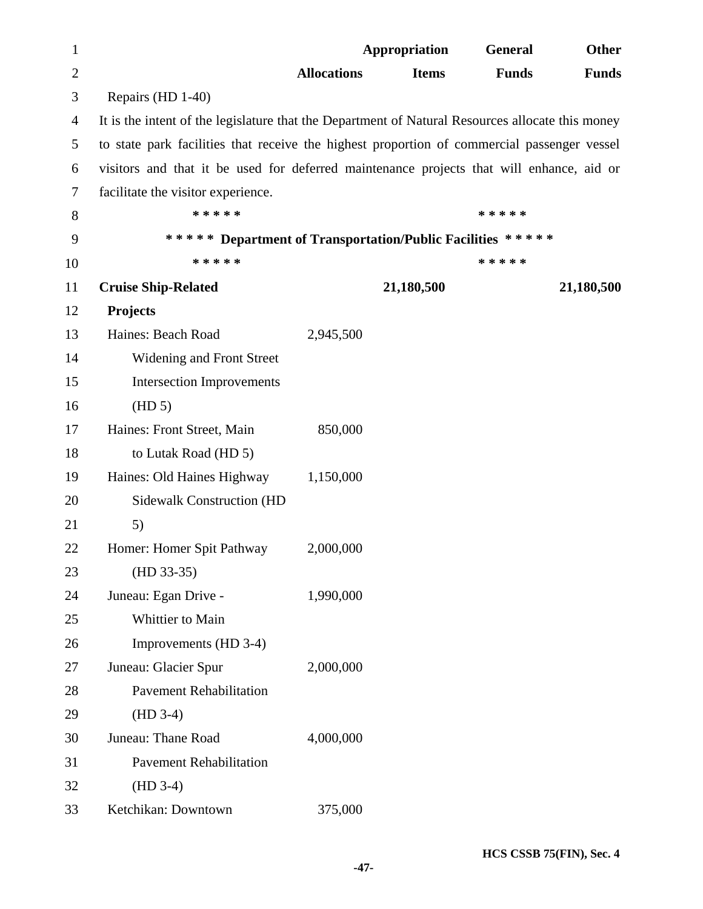| 1              |                                                                                                  |                    | <b>Appropriation</b> | General      | <b>Other</b> |
|----------------|--------------------------------------------------------------------------------------------------|--------------------|----------------------|--------------|--------------|
| $\overline{2}$ |                                                                                                  | <b>Allocations</b> | <b>Items</b>         | <b>Funds</b> | <b>Funds</b> |
| 3              | Repairs (HD 1-40)                                                                                |                    |                      |              |              |
| $\overline{4}$ | It is the intent of the legislature that the Department of Natural Resources allocate this money |                    |                      |              |              |
| 5              | to state park facilities that receive the highest proportion of commercial passenger vessel      |                    |                      |              |              |
| 6              | visitors and that it be used for deferred maintenance projects that will enhance, aid or         |                    |                      |              |              |
| 7              | facilitate the visitor experience.                                                               |                    |                      |              |              |
| 8              | * * * * *                                                                                        |                    |                      | * * * * *    |              |
| 9              | ***** Department of Transportation/Public Facilities *****                                       |                    |                      |              |              |
| 10             | * * * * *                                                                                        |                    |                      | * * * * *    |              |
| 11             | <b>Cruise Ship-Related</b>                                                                       |                    | 21,180,500           |              | 21,180,500   |
| 12             | Projects                                                                                         |                    |                      |              |              |
| 13             | Haines: Beach Road                                                                               | 2,945,500          |                      |              |              |
| 14             | Widening and Front Street                                                                        |                    |                      |              |              |
| 15             | <b>Intersection Improvements</b>                                                                 |                    |                      |              |              |
| 16             | (HD 5)                                                                                           |                    |                      |              |              |
| 17             | Haines: Front Street, Main                                                                       | 850,000            |                      |              |              |
| 18             | to Lutak Road (HD 5)                                                                             |                    |                      |              |              |
| 19             | Haines: Old Haines Highway                                                                       | 1,150,000          |                      |              |              |
| 20             | <b>Sidewalk Construction (HD</b>                                                                 |                    |                      |              |              |
| 21             | 5)                                                                                               |                    |                      |              |              |
| 22             | Homer: Homer Spit Pathway                                                                        | 2,000,000          |                      |              |              |
| 23             | $(HD 33-35)$                                                                                     |                    |                      |              |              |
| 24             | Juneau: Egan Drive -                                                                             | 1,990,000          |                      |              |              |
| 25             | Whittier to Main                                                                                 |                    |                      |              |              |
| 26             | Improvements (HD 3-4)                                                                            |                    |                      |              |              |
| 27             | Juneau: Glacier Spur                                                                             | 2,000,000          |                      |              |              |
| 28             | <b>Pavement Rehabilitation</b>                                                                   |                    |                      |              |              |
| 29             | $(HD 3-4)$                                                                                       |                    |                      |              |              |
| 30             | Juneau: Thane Road                                                                               | 4,000,000          |                      |              |              |
| 31             | <b>Pavement Rehabilitation</b>                                                                   |                    |                      |              |              |
| 32             | $(HD 3-4)$                                                                                       |                    |                      |              |              |
| 33             | Ketchikan: Downtown                                                                              | 375,000            |                      |              |              |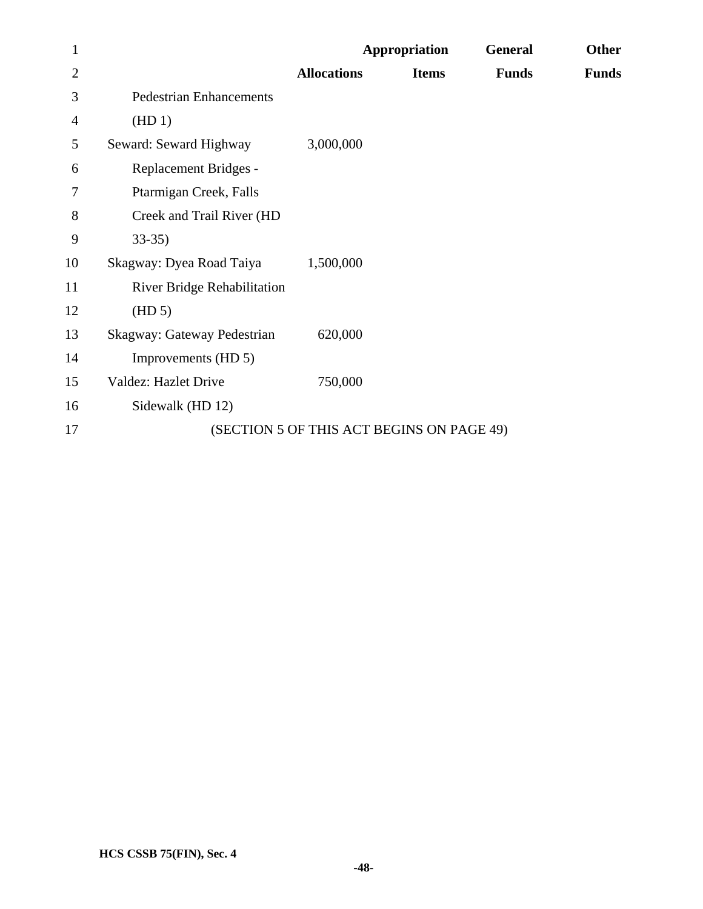| $\mathbf{1}$   |                                    |                                           | Appropriation | <b>General</b> | <b>Other</b> |
|----------------|------------------------------------|-------------------------------------------|---------------|----------------|--------------|
| $\overline{2}$ |                                    | <b>Allocations</b>                        | <b>Items</b>  | <b>Funds</b>   | <b>Funds</b> |
| 3              | <b>Pedestrian Enhancements</b>     |                                           |               |                |              |
| $\overline{4}$ | (HD1)                              |                                           |               |                |              |
| 5              | Seward: Seward Highway             | 3,000,000                                 |               |                |              |
| 6              | Replacement Bridges -              |                                           |               |                |              |
| 7              | Ptarmigan Creek, Falls             |                                           |               |                |              |
| 8              | Creek and Trail River (HD          |                                           |               |                |              |
| 9              | $33-35$                            |                                           |               |                |              |
| 10             | Skagway: Dyea Road Taiya           | 1,500,000                                 |               |                |              |
| 11             | <b>River Bridge Rehabilitation</b> |                                           |               |                |              |
| 12             | (HD 5)                             |                                           |               |                |              |
| 13             | Skagway: Gateway Pedestrian        | 620,000                                   |               |                |              |
| 14             | Improvements (HD 5)                |                                           |               |                |              |
| 15             | <b>Valdez: Hazlet Drive</b>        | 750,000                                   |               |                |              |
| 16             | Sidewalk (HD 12)                   |                                           |               |                |              |
| 17             |                                    | (SECTION 5 OF THIS ACT BEGINS ON PAGE 49) |               |                |              |
|                |                                    |                                           |               |                |              |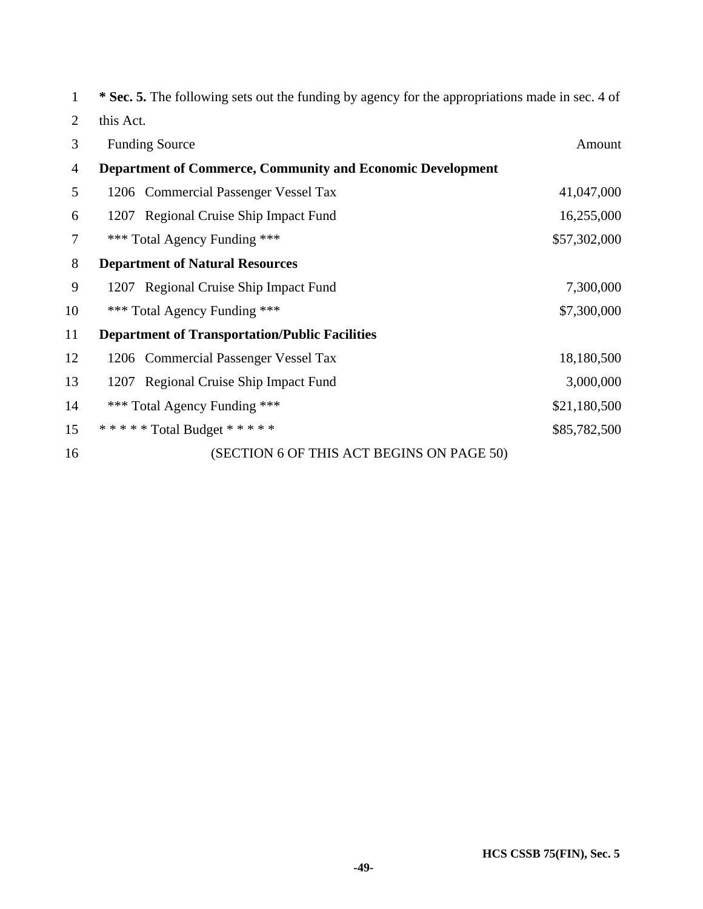| $\mathbf{1}$   | * Sec. 5. The following sets out the funding by agency for the appropriations made in sec. 4 of |              |
|----------------|-------------------------------------------------------------------------------------------------|--------------|
| $\overline{2}$ | this Act.                                                                                       |              |
| 3              | <b>Funding Source</b>                                                                           | Amount       |
| 4              | <b>Department of Commerce, Community and Economic Development</b>                               |              |
| 5              | 1206 Commercial Passenger Vessel Tax                                                            | 41,047,000   |
| 6              | 1207 Regional Cruise Ship Impact Fund                                                           | 16,255,000   |
| 7              | *** Total Agency Funding ***                                                                    | \$57,302,000 |
| 8              | <b>Department of Natural Resources</b>                                                          |              |
| 9              | 1207 Regional Cruise Ship Impact Fund                                                           | 7,300,000    |
| 10             | *** Total Agency Funding ***                                                                    | \$7,300,000  |
| 11             | <b>Department of Transportation/Public Facilities</b>                                           |              |
| 12             | 1206 Commercial Passenger Vessel Tax                                                            | 18,180,500   |
| 13             | 1207 Regional Cruise Ship Impact Fund                                                           | 3,000,000    |
| 14             | *** Total Agency Funding ***                                                                    | \$21,180,500 |
| 15             | ***** Total Budget *****                                                                        | \$85,782,500 |
| 16             | (SECTION 6 OF THIS ACT BEGINS ON PAGE 50)                                                       |              |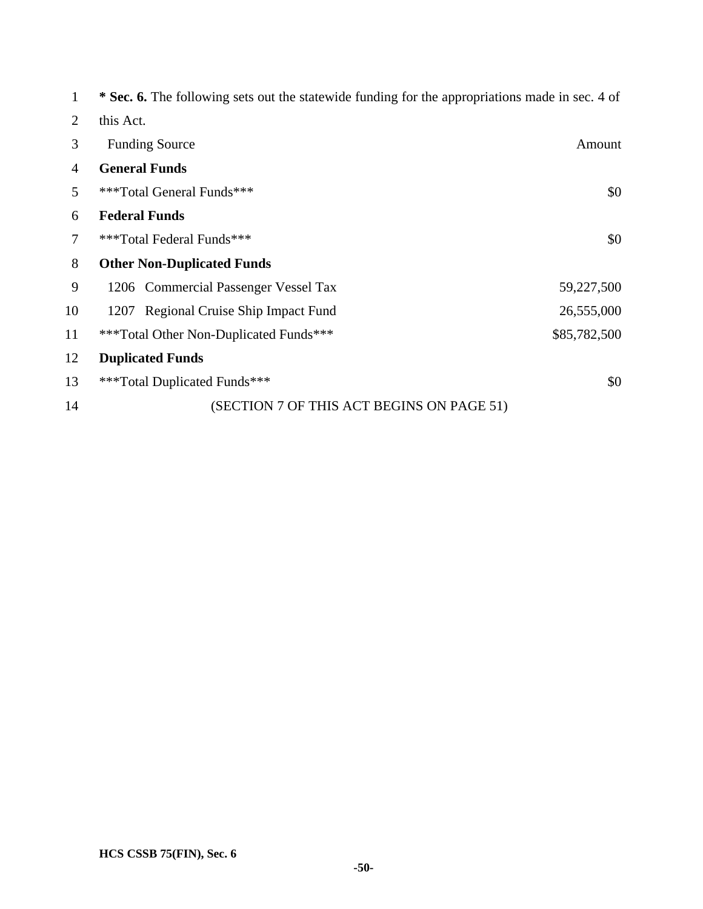| 1              | * Sec. 6. The following sets out the statewide funding for the appropriations made in sec. 4 of |              |
|----------------|-------------------------------------------------------------------------------------------------|--------------|
| 2              | this Act.                                                                                       |              |
| 3              | <b>Funding Source</b>                                                                           | Amount       |
| $\overline{4}$ | <b>General Funds</b>                                                                            |              |
| 5              | ***Total General Funds***                                                                       | \$0          |
| 6              | <b>Federal Funds</b>                                                                            |              |
| 7              | ***Total Federal Funds***                                                                       | \$0          |
| 8              | <b>Other Non-Duplicated Funds</b>                                                               |              |
| 9              | 1206 Commercial Passenger Vessel Tax                                                            | 59,227,500   |
| 10             | 1207 Regional Cruise Ship Impact Fund                                                           | 26,555,000   |
| 11             | ***Total Other Non-Duplicated Funds***                                                          | \$85,782,500 |
| 12             | <b>Duplicated Funds</b>                                                                         |              |
| 13             | ***Total Duplicated Funds***                                                                    | \$0          |
| 14             | (SECTION 7 OF THIS ACT BEGINS ON PAGE 51)                                                       |              |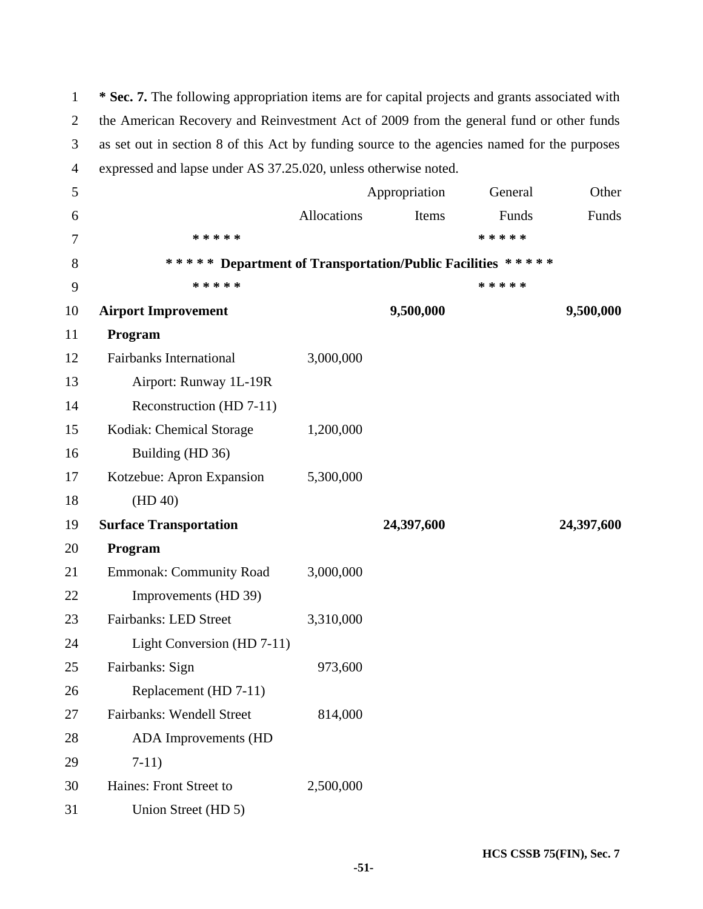| $\mathbf{1}$   | * Sec. 7. The following appropriation items are for capital projects and grants associated with |             |               |           |            |
|----------------|-------------------------------------------------------------------------------------------------|-------------|---------------|-----------|------------|
| $\overline{2}$ | the American Recovery and Reinvestment Act of 2009 from the general fund or other funds         |             |               |           |            |
| 3              | as set out in section 8 of this Act by funding source to the agencies named for the purposes    |             |               |           |            |
| $\overline{4}$ | expressed and lapse under AS 37.25.020, unless otherwise noted.                                 |             |               |           |            |
| 5              |                                                                                                 |             | Appropriation | General   | Other      |
| 6              |                                                                                                 | Allocations | Items         | Funds     | Funds      |
| 7              | * * * * *                                                                                       |             |               | * * * * * |            |
| 8              | ***** Department of Transportation/Public Facilities *****                                      |             |               |           |            |
| 9              | * * * * *                                                                                       |             |               | * * * * * |            |
| 10             | <b>Airport Improvement</b>                                                                      |             | 9,500,000     |           | 9,500,000  |
| 11             | Program                                                                                         |             |               |           |            |
| 12             | <b>Fairbanks International</b>                                                                  | 3,000,000   |               |           |            |
| 13             | Airport: Runway 1L-19R                                                                          |             |               |           |            |
| 14             | Reconstruction (HD 7-11)                                                                        |             |               |           |            |
| 15             | Kodiak: Chemical Storage                                                                        | 1,200,000   |               |           |            |
| 16             | Building (HD 36)                                                                                |             |               |           |            |
| 17             | Kotzebue: Apron Expansion                                                                       | 5,300,000   |               |           |            |
| 18             | (HD 40)                                                                                         |             |               |           |            |
| 19             | <b>Surface Transportation</b>                                                                   |             | 24,397,600    |           | 24,397,600 |
| 20             | Program                                                                                         |             |               |           |            |
| 21             | <b>Emmonak: Community Road</b>                                                                  | 3,000,000   |               |           |            |
| 22             | Improvements (HD 39)                                                                            |             |               |           |            |
| 23             | Fairbanks: LED Street                                                                           | 3,310,000   |               |           |            |
| 24             | Light Conversion (HD 7-11)                                                                      |             |               |           |            |
| 25             | Fairbanks: Sign                                                                                 | 973,600     |               |           |            |
| 26             | Replacement (HD 7-11)                                                                           |             |               |           |            |
| 27             | Fairbanks: Wendell Street                                                                       | 814,000     |               |           |            |
| 28             | <b>ADA</b> Improvements (HD                                                                     |             |               |           |            |
| 29             | $7-11)$                                                                                         |             |               |           |            |
| 30             | Haines: Front Street to                                                                         | 2,500,000   |               |           |            |
| 31             | Union Street (HD 5)                                                                             |             |               |           |            |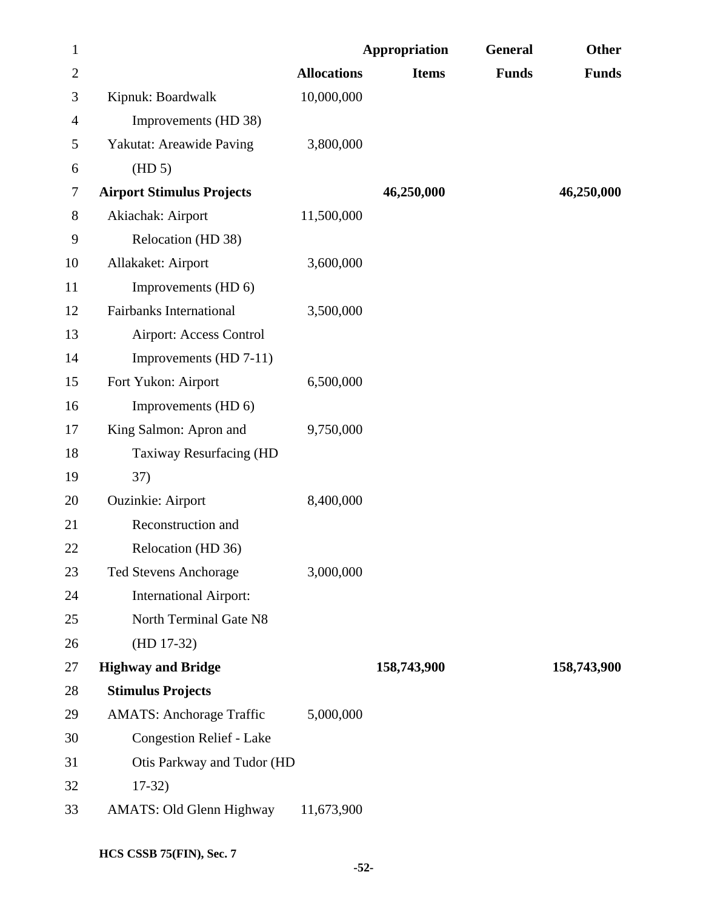| $\mathbf{1}$   |                                  |                    | <b>Appropriation</b> | General      | <b>Other</b> |
|----------------|----------------------------------|--------------------|----------------------|--------------|--------------|
| $\overline{2}$ |                                  | <b>Allocations</b> | <b>Items</b>         | <b>Funds</b> | <b>Funds</b> |
| 3              | Kipnuk: Boardwalk                | 10,000,000         |                      |              |              |
| 4              | Improvements (HD 38)             |                    |                      |              |              |
| 5              | Yakutat: Areawide Paving         | 3,800,000          |                      |              |              |
| 6              | (HD 5)                           |                    |                      |              |              |
| 7              | <b>Airport Stimulus Projects</b> |                    | 46,250,000           |              | 46,250,000   |
| 8              | Akiachak: Airport                | 11,500,000         |                      |              |              |
| 9              | Relocation (HD 38)               |                    |                      |              |              |
| 10             | Allakaket: Airport               | 3,600,000          |                      |              |              |
| 11             | Improvements (HD 6)              |                    |                      |              |              |
| 12             | <b>Fairbanks International</b>   | 3,500,000          |                      |              |              |
| 13             | <b>Airport: Access Control</b>   |                    |                      |              |              |
| 14             | Improvements (HD 7-11)           |                    |                      |              |              |
| 15             | Fort Yukon: Airport              | 6,500,000          |                      |              |              |
| 16             | Improvements (HD 6)              |                    |                      |              |              |
| 17             | King Salmon: Apron and           | 9,750,000          |                      |              |              |
| 18             | Taxiway Resurfacing (HD          |                    |                      |              |              |
| 19             | 37)                              |                    |                      |              |              |
| 20             | <b>Ouzinkie: Airport</b>         | 8,400,000          |                      |              |              |
| 21             | Reconstruction and               |                    |                      |              |              |
| 22             | Relocation (HD 36)               |                    |                      |              |              |
| 23             | <b>Ted Stevens Anchorage</b>     | 3,000,000          |                      |              |              |
| 24             | <b>International Airport:</b>    |                    |                      |              |              |
| 25             | North Terminal Gate N8           |                    |                      |              |              |
| 26             | $(HD 17-32)$                     |                    |                      |              |              |
| 27             | <b>Highway and Bridge</b>        |                    | 158,743,900          |              | 158,743,900  |
| 28             | <b>Stimulus Projects</b>         |                    |                      |              |              |
| 29             | <b>AMATS: Anchorage Traffic</b>  | 5,000,000          |                      |              |              |
| 30             | <b>Congestion Relief - Lake</b>  |                    |                      |              |              |
| 31             | Otis Parkway and Tudor (HD       |                    |                      |              |              |
| 32             | $17-32)$                         |                    |                      |              |              |
| 33             | <b>AMATS: Old Glenn Highway</b>  | 11,673,900         |                      |              |              |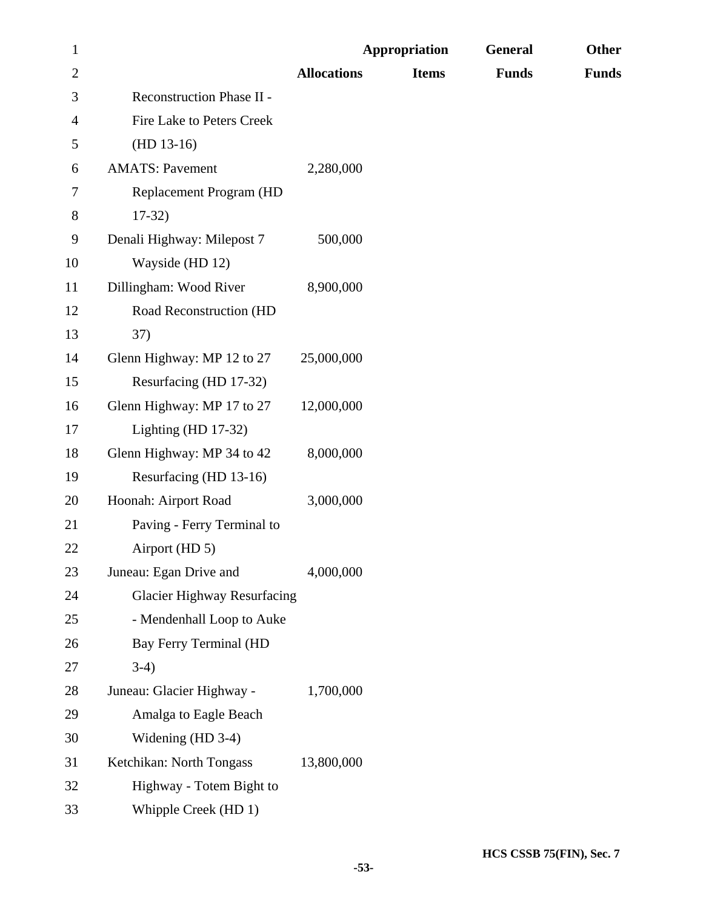| $\mathbf{1}$   |                                    |                    | <b>Appropriation</b> | General      | Other        |
|----------------|------------------------------------|--------------------|----------------------|--------------|--------------|
| $\overline{2}$ |                                    | <b>Allocations</b> | <b>Items</b>         | <b>Funds</b> | <b>Funds</b> |
| 3              | Reconstruction Phase II -          |                    |                      |              |              |
| 4              | Fire Lake to Peters Creek          |                    |                      |              |              |
| 5              | $(HD 13-16)$                       |                    |                      |              |              |
| 6              | <b>AMATS: Pavement</b>             | 2,280,000          |                      |              |              |
| 7              | Replacement Program (HD            |                    |                      |              |              |
| 8              | $17-32$                            |                    |                      |              |              |
| 9              | Denali Highway: Milepost 7         | 500,000            |                      |              |              |
| 10             | Wayside (HD 12)                    |                    |                      |              |              |
| 11             | Dillingham: Wood River             | 8,900,000          |                      |              |              |
| 12             | Road Reconstruction (HD            |                    |                      |              |              |
| 13             | 37)                                |                    |                      |              |              |
| 14             | Glenn Highway: MP 12 to 27         | 25,000,000         |                      |              |              |
| 15             | Resurfacing (HD 17-32)             |                    |                      |              |              |
| 16             | Glenn Highway: MP 17 to 27         | 12,000,000         |                      |              |              |
| 17             | Lighting (HD $17-32$ )             |                    |                      |              |              |
| 18             | Glenn Highway: MP 34 to 42         | 8,000,000          |                      |              |              |
| 19             | Resurfacing (HD 13-16)             |                    |                      |              |              |
| 20             | Hoonah: Airport Road               | 3,000,000          |                      |              |              |
| 21             | Paving - Ferry Terminal to         |                    |                      |              |              |
| 22             | Airport (HD 5)                     |                    |                      |              |              |
| 23             | Juneau: Egan Drive and             | 4,000,000          |                      |              |              |
| 24             | <b>Glacier Highway Resurfacing</b> |                    |                      |              |              |
| 25             | - Mendenhall Loop to Auke          |                    |                      |              |              |
| 26             | Bay Ferry Terminal (HD             |                    |                      |              |              |
| 27             | $3-4)$                             |                    |                      |              |              |
| 28             | Juneau: Glacier Highway -          | 1,700,000          |                      |              |              |
| 29             | Amalga to Eagle Beach              |                    |                      |              |              |
| 30             | Widening (HD 3-4)                  |                    |                      |              |              |
| 31             | Ketchikan: North Tongass           | 13,800,000         |                      |              |              |
| 32             | Highway - Totem Bight to           |                    |                      |              |              |
| 33             | Whipple Creek (HD 1)               |                    |                      |              |              |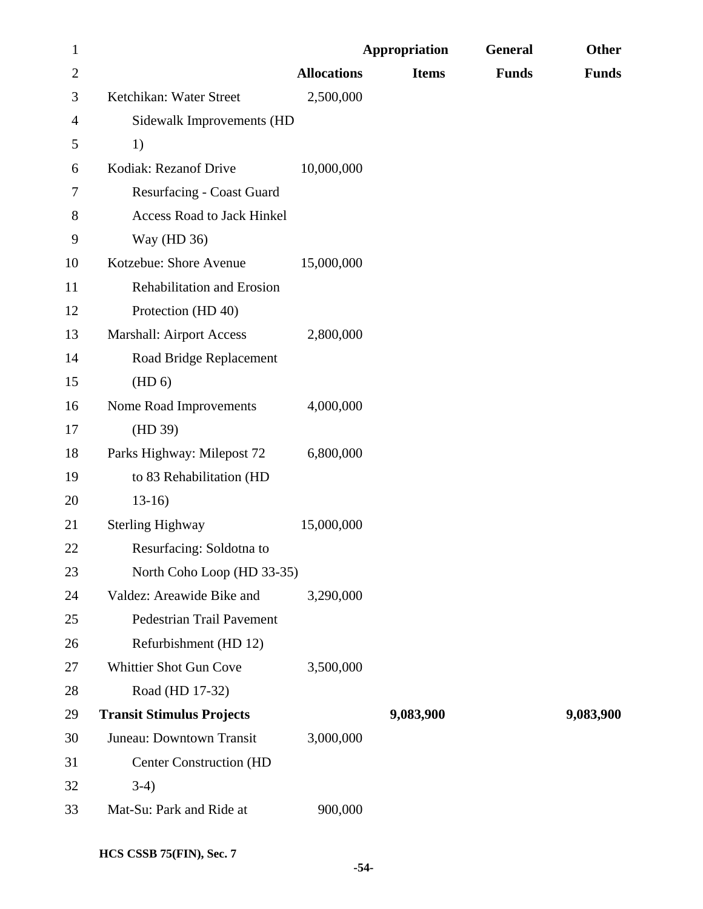| $\mathbf{1}$   |                                   |                    | <b>Appropriation</b> | General      | Other        |
|----------------|-----------------------------------|--------------------|----------------------|--------------|--------------|
| $\overline{c}$ |                                   | <b>Allocations</b> | <b>Items</b>         | <b>Funds</b> | <b>Funds</b> |
| 3              | Ketchikan: Water Street           | 2,500,000          |                      |              |              |
| 4              | Sidewalk Improvements (HD         |                    |                      |              |              |
| 5              | 1)                                |                    |                      |              |              |
| 6              | Kodiak: Rezanof Drive             | 10,000,000         |                      |              |              |
| 7              | <b>Resurfacing - Coast Guard</b>  |                    |                      |              |              |
| 8              | <b>Access Road to Jack Hinkel</b> |                    |                      |              |              |
| 9              | Way (HD 36)                       |                    |                      |              |              |
| 10             | Kotzebue: Shore Avenue            | 15,000,000         |                      |              |              |
| 11             | Rehabilitation and Erosion        |                    |                      |              |              |
| 12             | Protection (HD 40)                |                    |                      |              |              |
| 13             | <b>Marshall: Airport Access</b>   | 2,800,000          |                      |              |              |
| 14             | Road Bridge Replacement           |                    |                      |              |              |
| 15             | (HD 6)                            |                    |                      |              |              |
| 16             | Nome Road Improvements            | 4,000,000          |                      |              |              |
| 17             | (HD 39)                           |                    |                      |              |              |
| 18             | Parks Highway: Milepost 72        | 6,800,000          |                      |              |              |
| 19             | to 83 Rehabilitation (HD          |                    |                      |              |              |
| 20             | $13-16$                           |                    |                      |              |              |
| 21             | <b>Sterling Highway</b>           | 15,000,000         |                      |              |              |
| 22             | Resurfacing: Soldotna to          |                    |                      |              |              |
| 23             | North Coho Loop (HD 33-35)        |                    |                      |              |              |
| 24             | Valdez: Areawide Bike and         | 3,290,000          |                      |              |              |
| 25             | Pedestrian Trail Pavement         |                    |                      |              |              |
| 26             | Refurbishment (HD 12)             |                    |                      |              |              |
| 27             | Whittier Shot Gun Cove            | 3,500,000          |                      |              |              |
| 28             | Road (HD 17-32)                   |                    |                      |              |              |
| 29             | <b>Transit Stimulus Projects</b>  |                    | 9,083,900            |              | 9,083,900    |
| 30             | Juneau: Downtown Transit          | 3,000,000          |                      |              |              |
| 31             | <b>Center Construction (HD</b>    |                    |                      |              |              |
| 32             | $3-4)$                            |                    |                      |              |              |
| 33             | Mat-Su: Park and Ride at          | 900,000            |                      |              |              |
|                |                                   |                    |                      |              |              |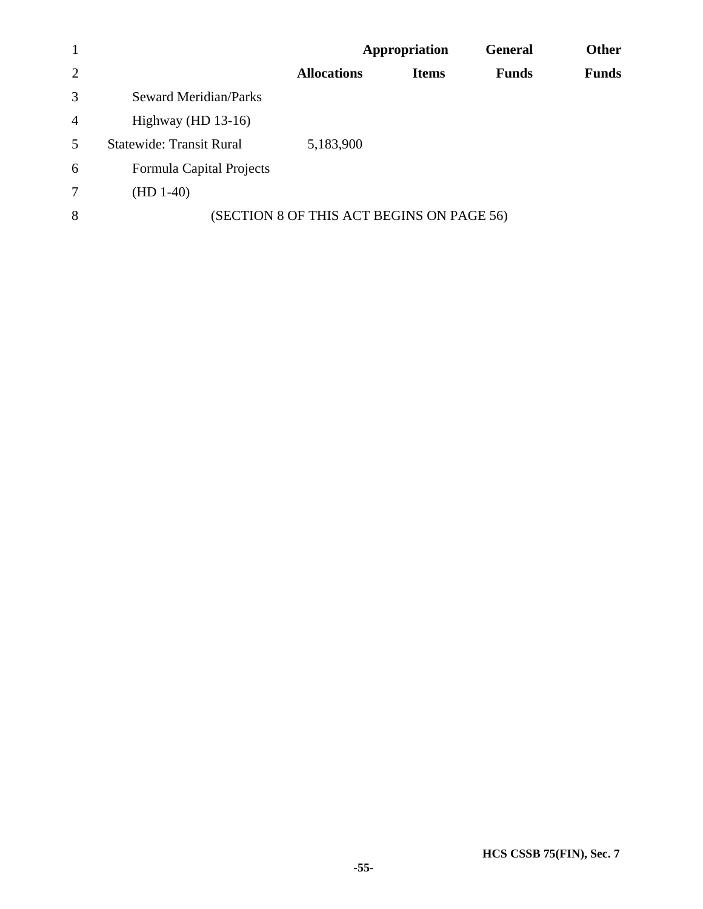| $\mathbf{1}$   |                                 |                                           | Appropriation | <b>General</b> | <b>Other</b> |
|----------------|---------------------------------|-------------------------------------------|---------------|----------------|--------------|
| 2              |                                 | <b>Allocations</b>                        | <b>Items</b>  | <b>Funds</b>   | <b>Funds</b> |
| 3              | <b>Seward Meridian/Parks</b>    |                                           |               |                |              |
| $\overline{4}$ | Highway (HD $13-16$ )           |                                           |               |                |              |
| $\overline{5}$ | <b>Statewide: Transit Rural</b> | 5,183,900                                 |               |                |              |
| 6              | Formula Capital Projects        |                                           |               |                |              |
| $\overline{7}$ | $(HD 1-40)$                     |                                           |               |                |              |
| 8              |                                 | (SECTION 8 OF THIS ACT BEGINS ON PAGE 56) |               |                |              |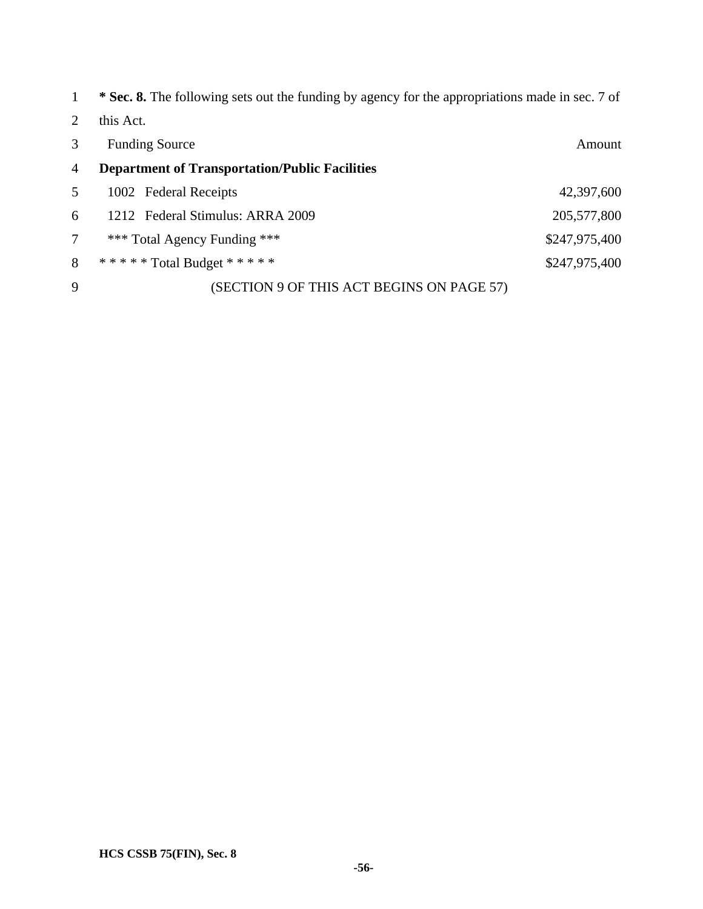| $\mathbf{1}$   | <b>* Sec. 8.</b> The following sets out the funding by agency for the appropriations made in sec. 7 of |               |
|----------------|--------------------------------------------------------------------------------------------------------|---------------|
| 2              | this Act.                                                                                              |               |
| 3              | <b>Funding Source</b>                                                                                  | Amount        |
| $\overline{4}$ | <b>Department of Transportation/Public Facilities</b>                                                  |               |
| 5              | 1002 Federal Receipts                                                                                  | 42,397,600    |
| 6              | 1212 Federal Stimulus: ARRA 2009                                                                       | 205,577,800   |
| 7              | *** Total Agency Funding ***                                                                           | \$247,975,400 |
| 8              | ****** Total Budget *****                                                                              | \$247,975,400 |
| 9              | (SECTION 9 OF THIS ACT BEGINS ON PAGE 57)                                                              |               |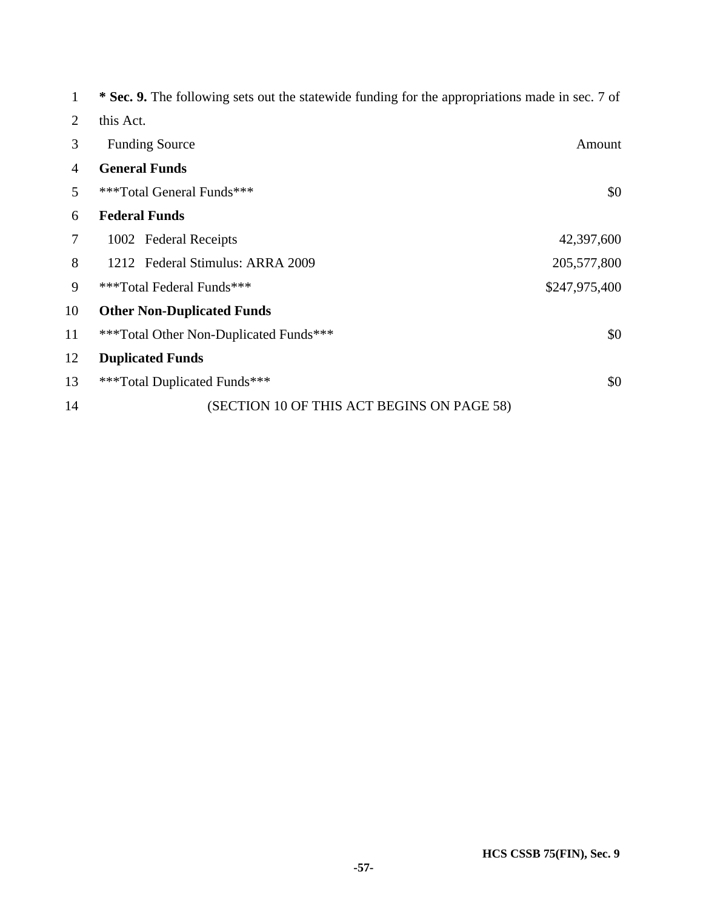|    | * Sec. 9. The following sets out the statewide funding for the appropriations made in sec. 7 of |               |
|----|-------------------------------------------------------------------------------------------------|---------------|
| 2  | this Act.                                                                                       |               |
| 3  | <b>Funding Source</b>                                                                           | Amount        |
| 4  | <b>General Funds</b>                                                                            |               |
| 5  | ***Total General Funds***                                                                       | \$0           |
| 6  | <b>Federal Funds</b>                                                                            |               |
| 7  | 1002 Federal Receipts                                                                           | 42,397,600    |
| 8  | 1212 Federal Stimulus: ARRA 2009                                                                | 205,577,800   |
| 9  | ***Total Federal Funds***                                                                       | \$247,975,400 |
| 10 | <b>Other Non-Duplicated Funds</b>                                                               |               |
| 11 | ***Total Other Non-Duplicated Funds***                                                          | \$0           |
| 12 | <b>Duplicated Funds</b>                                                                         |               |
| 13 | ***Total Duplicated Funds***                                                                    | \$0           |
| 14 | (SECTION 10 OF THIS ACT BEGINS ON PAGE 58)                                                      |               |
|    |                                                                                                 |               |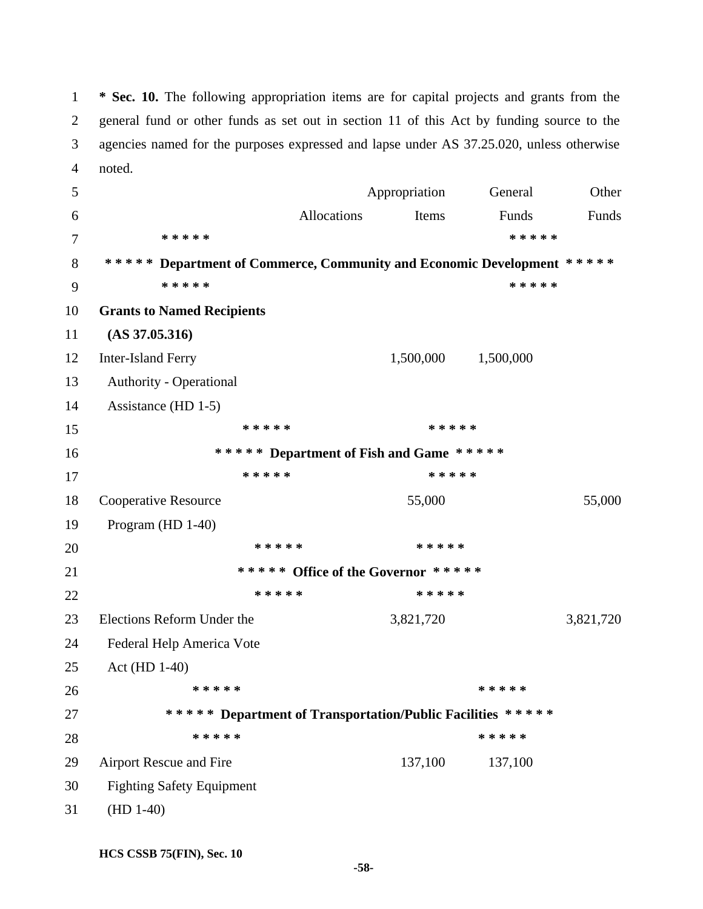1 **\* Sec. 10.** The following appropriation items are for capital projects and grants from the 2 general fund or other funds as set out in section 11 of this Act by funding source to the 3 agencies named for the purposes expressed and lapse under AS 37.25.020, unless otherwise 4 noted.

5 Appropriation General Other 6 Allocations Items Funds Funds 7 **\* \* \* \* \* \* \* \* \* \***  8 **\* \* \* \* \* Department of Commerce, Community and Economic Development \* \* \* \* \***  9 **\* \* \* \* \* \* \* \* \* \***  10 **Grants to Named Recipients**  11 **(AS 37.05.316)**  12 Inter-Island Ferry 1,500,000 1,500,000 13 Authority - Operational 14 Assistance (HD 1-5) 15 **\* \* \* \* \* \* \* \* \* \***  16 **\* \* \* \* \* Department of Fish and Game \* \* \* \* \***  17 **\* \* \* \* \* \* \* \* \* \***  18 Cooperative Resource 55,000 55,000 55,000 19 Program (HD 1-40) 20 **\* \* \* \* \* \* \* \* \* \***  21 **\* \* \* \* \* Office of the Governor \* \* \* \* \***  22 **\* \* \* \* \* \* \* \* \* \***  23 Elections Reform Under the 3,821,720 3,821,720 24 Federal Help America Vote 25 Act (HD 1-40) 26 **\* \* \* \* \* \* \* \* \* \***  27 **\* \* \* \* \* Department of Transportation/Public Facilities \* \* \* \* \***  28 **\* \* \* \* \* \* \* \* \* \***  29 Airport Rescue and Fire 137,100 137,100 30 Fighting Safety Equipment 31 (HD 1-40)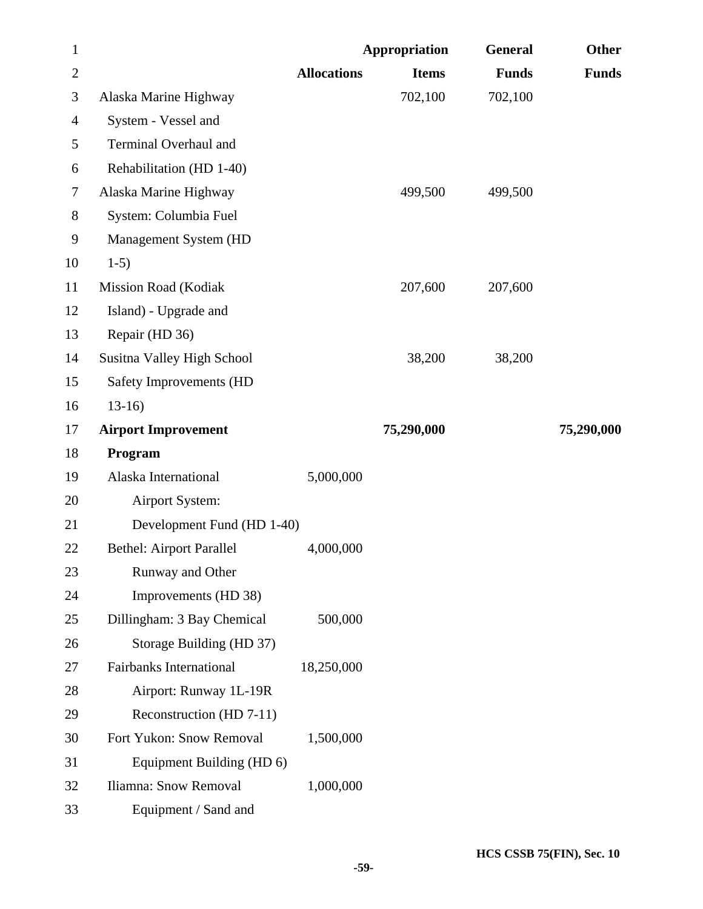| $\mathbf{1}$   |                                 |                    | <b>Appropriation</b> | <b>General</b> | <b>Other</b> |
|----------------|---------------------------------|--------------------|----------------------|----------------|--------------|
| $\overline{2}$ |                                 | <b>Allocations</b> | <b>Items</b>         | <b>Funds</b>   | <b>Funds</b> |
| 3              | Alaska Marine Highway           |                    | 702,100              | 702,100        |              |
| 4              | System - Vessel and             |                    |                      |                |              |
| 5              | Terminal Overhaul and           |                    |                      |                |              |
| 6              | Rehabilitation (HD 1-40)        |                    |                      |                |              |
| 7              | Alaska Marine Highway           |                    | 499,500              | 499,500        |              |
| $8\,$          | System: Columbia Fuel           |                    |                      |                |              |
| 9              | Management System (HD           |                    |                      |                |              |
| 10             | $1-5)$                          |                    |                      |                |              |
| 11             | <b>Mission Road (Kodiak</b>     |                    | 207,600              | 207,600        |              |
| 12             | Island) - Upgrade and           |                    |                      |                |              |
| 13             | Repair (HD 36)                  |                    |                      |                |              |
| 14             | Susitna Valley High School      |                    | 38,200               | 38,200         |              |
| 15             | Safety Improvements (HD         |                    |                      |                |              |
| 16             | $13-16$                         |                    |                      |                |              |
| 17             | <b>Airport Improvement</b>      |                    | 75,290,000           |                | 75,290,000   |
| 18             | Program                         |                    |                      |                |              |
| 19             | Alaska International            | 5,000,000          |                      |                |              |
| 20             | Airport System:                 |                    |                      |                |              |
| 21             | Development Fund (HD 1-40)      |                    |                      |                |              |
| 22             | <b>Bethel: Airport Parallel</b> | 4,000,000          |                      |                |              |
| 23             | Runway and Other                |                    |                      |                |              |
| 24             | Improvements (HD 38)            |                    |                      |                |              |
| 25             | Dillingham: 3 Bay Chemical      | 500,000            |                      |                |              |
| 26             | Storage Building (HD 37)        |                    |                      |                |              |
| 27             | <b>Fairbanks International</b>  | 18,250,000         |                      |                |              |
| 28             | Airport: Runway 1L-19R          |                    |                      |                |              |
| 29             | Reconstruction (HD 7-11)        |                    |                      |                |              |
| 30             | Fort Yukon: Snow Removal        | 1,500,000          |                      |                |              |
| 31             | Equipment Building (HD 6)       |                    |                      |                |              |
| 32             | Iliamna: Snow Removal           | 1,000,000          |                      |                |              |
| 33             | Equipment / Sand and            |                    |                      |                |              |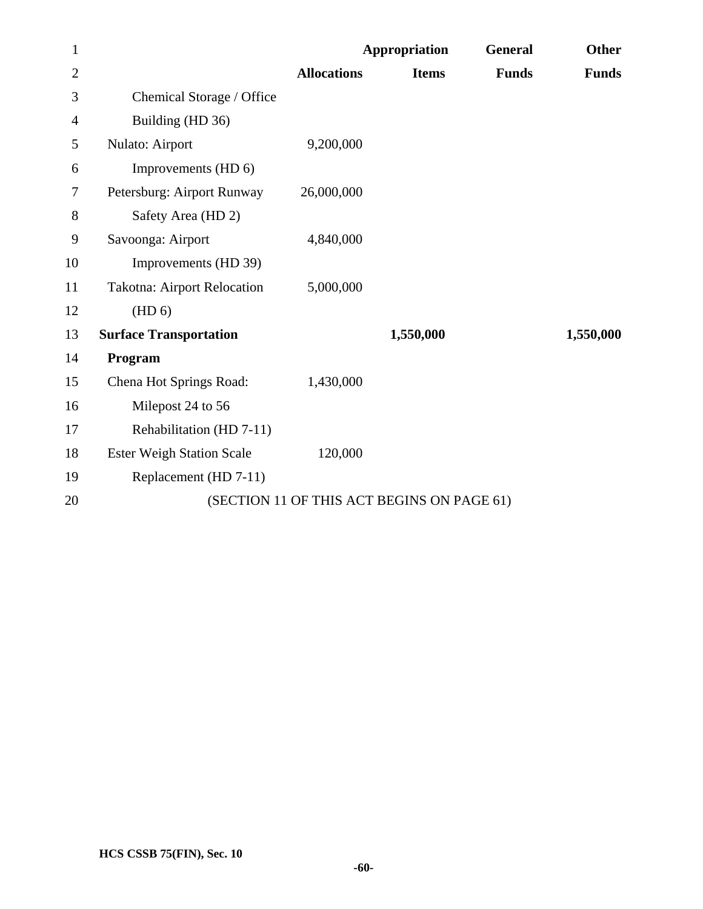| $\mathbf{1}$   |                                    |                    | <b>Appropriation</b>                       | <b>General</b> | <b>Other</b> |
|----------------|------------------------------------|--------------------|--------------------------------------------|----------------|--------------|
| $\overline{2}$ |                                    | <b>Allocations</b> | <b>Items</b>                               | <b>Funds</b>   | <b>Funds</b> |
| 3              | Chemical Storage / Office          |                    |                                            |                |              |
| 4              | Building (HD 36)                   |                    |                                            |                |              |
| 5              | Nulato: Airport                    | 9,200,000          |                                            |                |              |
| 6              | Improvements (HD 6)                |                    |                                            |                |              |
| 7              | Petersburg: Airport Runway         | 26,000,000         |                                            |                |              |
| 8              | Safety Area (HD 2)                 |                    |                                            |                |              |
| 9              | Savoonga: Airport                  | 4,840,000          |                                            |                |              |
| 10             | Improvements (HD 39)               |                    |                                            |                |              |
| 11             | <b>Takotna: Airport Relocation</b> | 5,000,000          |                                            |                |              |
| 12             | (HD 6)                             |                    |                                            |                |              |
| 13             | <b>Surface Transportation</b>      |                    | 1,550,000                                  |                | 1,550,000    |
| 14             | Program                            |                    |                                            |                |              |
| 15             | Chena Hot Springs Road:            | 1,430,000          |                                            |                |              |
| 16             | Milepost 24 to 56                  |                    |                                            |                |              |
| 17             | Rehabilitation (HD 7-11)           |                    |                                            |                |              |
| 18             | <b>Ester Weigh Station Scale</b>   | 120,000            |                                            |                |              |
| 19             | Replacement (HD 7-11)              |                    |                                            |                |              |
| 20             |                                    |                    | (SECTION 11 OF THIS ACT BEGINS ON PAGE 61) |                |              |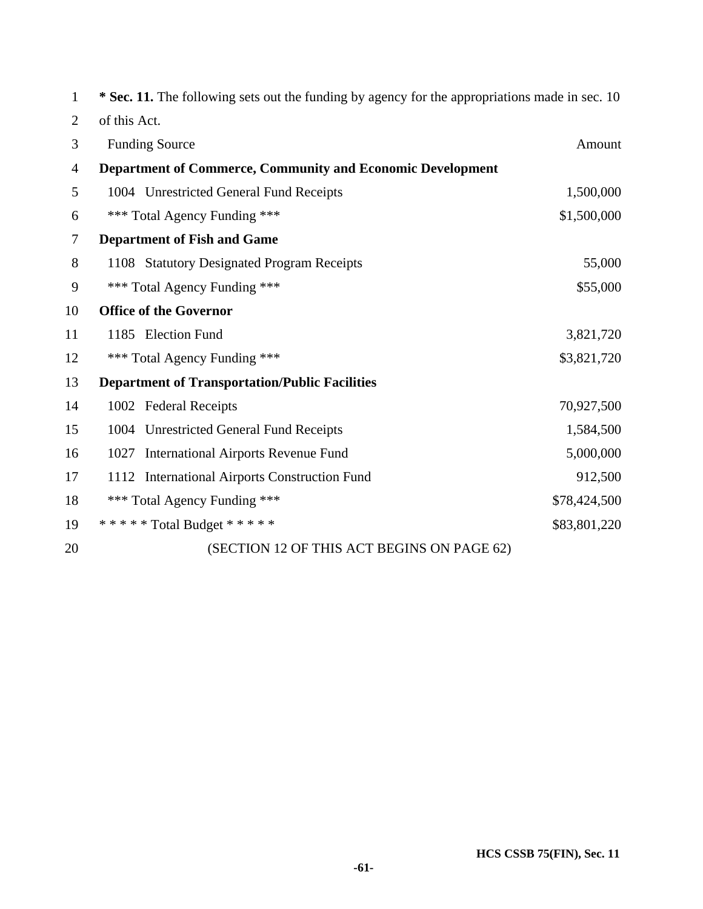| $\mathbf{1}$   | * Sec. 11. The following sets out the funding by agency for the appropriations made in sec. 10 |              |
|----------------|------------------------------------------------------------------------------------------------|--------------|
| $\overline{2}$ | of this Act.                                                                                   |              |
| 3              | <b>Funding Source</b>                                                                          | Amount       |
| $\overline{4}$ | <b>Department of Commerce, Community and Economic Development</b>                              |              |
| 5              | 1004 Unrestricted General Fund Receipts                                                        | 1,500,000    |
| 6              | *** Total Agency Funding ***                                                                   | \$1,500,000  |
| $\tau$         | <b>Department of Fish and Game</b>                                                             |              |
| $8\,$          | 1108 Statutory Designated Program Receipts                                                     | 55,000       |
| 9              | *** Total Agency Funding ***                                                                   | \$55,000     |
| 10             | <b>Office of the Governor</b>                                                                  |              |
| 11             | 1185 Election Fund                                                                             | 3,821,720    |
| 12             | *** Total Agency Funding ***                                                                   | \$3,821,720  |
| 13             | <b>Department of Transportation/Public Facilities</b>                                          |              |
| 14             | 1002 Federal Receipts                                                                          | 70,927,500   |
| 15             | 1004 Unrestricted General Fund Receipts                                                        | 1,584,500    |
| 16             | 1027 International Airports Revenue Fund                                                       | 5,000,000    |
| 17             | <b>International Airports Construction Fund</b><br>1112                                        | 912,500      |
| 18             | *** Total Agency Funding ***                                                                   | \$78,424,500 |
| 19             | ***** Total Budget *****                                                                       | \$83,801,220 |
| 20             | (SECTION 12 OF THIS ACT BEGINS ON PAGE 62)                                                     |              |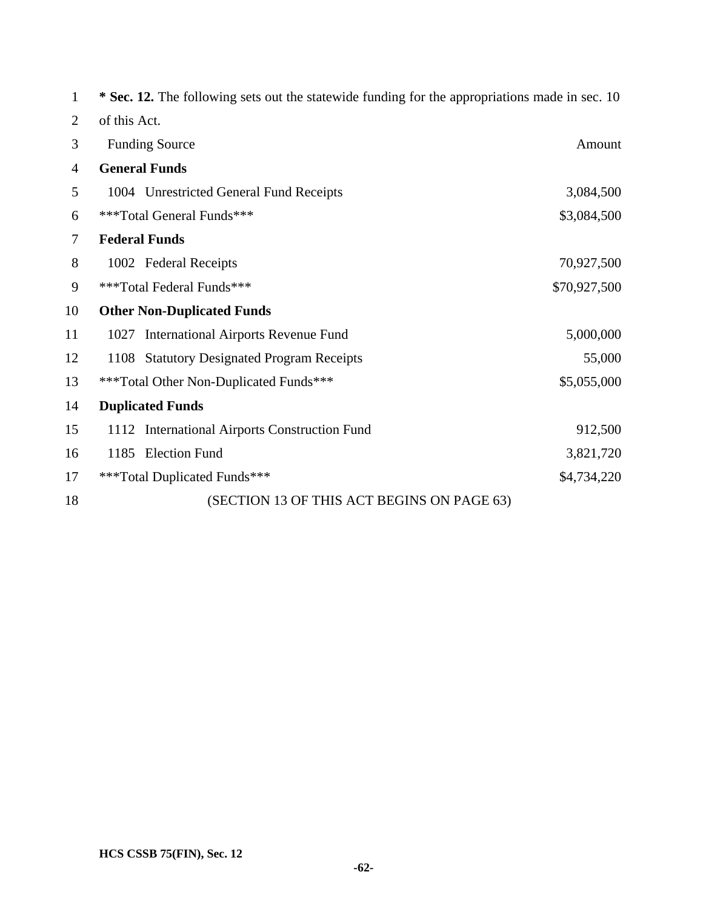| 1              | * Sec. 12. The following sets out the statewide funding for the appropriations made in sec. 10 |              |  |
|----------------|------------------------------------------------------------------------------------------------|--------------|--|
| $\overline{2}$ | of this Act.                                                                                   |              |  |
| 3              | <b>Funding Source</b><br>Amount                                                                |              |  |
| $\overline{4}$ | <b>General Funds</b>                                                                           |              |  |
| 5              | 1004 Unrestricted General Fund Receipts                                                        | 3,084,500    |  |
| 6              | ***Total General Funds***<br>\$3,084,500                                                       |              |  |
| 7              | <b>Federal Funds</b>                                                                           |              |  |
| 8              | 1002 Federal Receipts                                                                          | 70,927,500   |  |
| 9              | ***Total Federal Funds***                                                                      | \$70,927,500 |  |
| 10             | <b>Other Non-Duplicated Funds</b>                                                              |              |  |
| 11             | 1027 International Airports Revenue Fund                                                       | 5,000,000    |  |
| 12             | <b>Statutory Designated Program Receipts</b><br>1108                                           | 55,000       |  |
| 13             | \$5,055,000<br>***Total Other Non-Duplicated Funds***                                          |              |  |
| 14             | <b>Duplicated Funds</b>                                                                        |              |  |
| 15             | 1112 International Airports Construction Fund                                                  | 912,500      |  |
| 16             | 1185 Election Fund                                                                             | 3,821,720    |  |
| 17             | ***Total Duplicated Funds***                                                                   | \$4,734,220  |  |
| 18             | (SECTION 13 OF THIS ACT BEGINS ON PAGE 63)                                                     |              |  |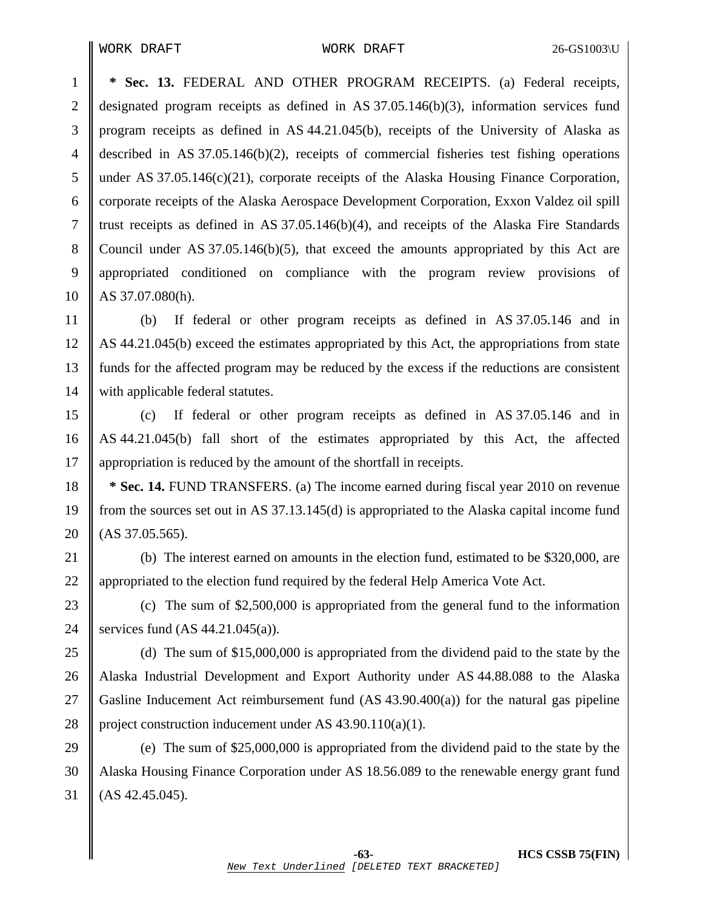1 **\* Sec. 13.** FEDERAL AND OTHER PROGRAM RECEIPTS. (a) Federal receipts, 2 designated program receipts as defined in AS 37.05.146(b)(3), information services fund 3 program receipts as defined in AS 44.21.045(b), receipts of the University of Alaska as 4 described in AS 37.05.146(b)(2), receipts of commercial fisheries test fishing operations 5 under AS 37.05.146(c)(21), corporate receipts of the Alaska Housing Finance Corporation, 6 corporate receipts of the Alaska Aerospace Development Corporation, Exxon Valdez oil spill 7 If trust receipts as defined in AS 37.05.146(b)(4), and receipts of the Alaska Fire Standards 8 Council under AS 37.05.146(b)(5), that exceed the amounts appropriated by this Act are 9 appropriated conditioned on compliance with the program review provisions of  $10$  | AS 37.07.080(h).

11 (b) If federal or other program receipts as defined in AS 37.05.146 and in 12 AS 44.21.045(b) exceed the estimates appropriated by this Act, the appropriations from state 13 funds for the affected program may be reduced by the excess if the reductions are consistent 14 | with applicable federal statutes.

15 (c) If federal or other program receipts as defined in AS 37.05.146 and in 16 AS 44.21.045(b) fall short of the estimates appropriated by this Act, the affected 17 appropriation is reduced by the amount of the shortfall in receipts.

18 **\*** Sec. 14. FUND TRANSFERS. (a) The income earned during fiscal year 2010 on revenue 19 from the sources set out in AS 37.13.145(d) is appropriated to the Alaska capital income fund 20  $(AS\,37.05.565)$ .

21 (b) The interest earned on amounts in the election fund, estimated to be \$320,000, are 22 Appropriated to the election fund required by the federal Help America Vote Act.

23 (c) The sum of \$2,500,000 is appropriated from the general fund to the information 24 Services fund  $(AS\ 44.21.045(a))$ .

25 (d) The sum of \$15,000,000 is appropriated from the dividend paid to the state by the 26 Alaska Industrial Development and Export Authority under AS 44.88.088 to the Alaska 27 Gasline Inducement Act reimbursement fund  $(AS 43.90.400(a))$  for the natural gas pipeline 28 project construction inducement under AS  $43.90.110(a)(1)$ .

29 (e) The sum of \$25,000,000 is appropriated from the dividend paid to the state by the 30 Alaska Housing Finance Corporation under AS 18.56.089 to the renewable energy grant fund  $31$  (AS 42.45.045).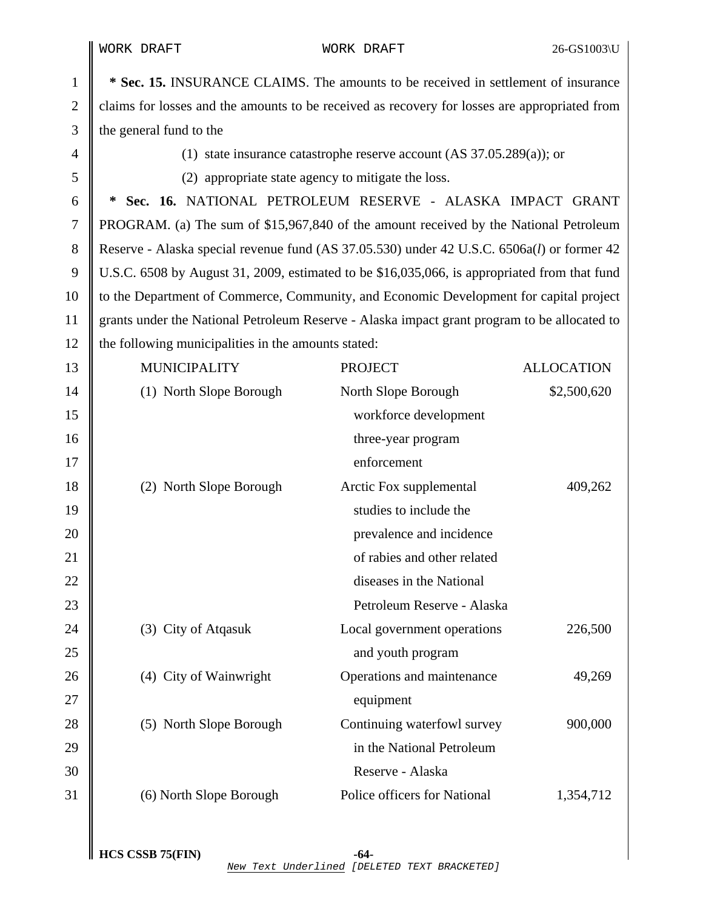I I

| 1              | * Sec. 15. INSURANCE CLAIMS. The amounts to be received in settlement of insurance            |                              |                   |  |
|----------------|-----------------------------------------------------------------------------------------------|------------------------------|-------------------|--|
| $\overline{2}$ | claims for losses and the amounts to be received as recovery for losses are appropriated from |                              |                   |  |
| 3              | the general fund to the                                                                       |                              |                   |  |
| $\overline{4}$ | (1) state insurance catastrophe reserve account $(AS\ 37.05.289(a))$ ; or                     |                              |                   |  |
| 5              | (2) appropriate state agency to mitigate the loss.                                            |                              |                   |  |
| 6              | Sec. 16. NATIONAL PETROLEUM RESERVE - ALASKA IMPACT GRANT<br>∗                                |                              |                   |  |
| 7              | PROGRAM. (a) The sum of \$15,967,840 of the amount received by the National Petroleum         |                              |                   |  |
| 8              | Reserve - Alaska special revenue fund (AS 37.05.530) under 42 U.S.C. 6506a(l) or former 42    |                              |                   |  |
| 9              | U.S.C. 6508 by August 31, 2009, estimated to be \$16,035,066, is appropriated from that fund  |                              |                   |  |
| 10             | to the Department of Commerce, Community, and Economic Development for capital project        |                              |                   |  |
| 11             | grants under the National Petroleum Reserve - Alaska impact grant program to be allocated to  |                              |                   |  |
| 12             | the following municipalities in the amounts stated:                                           |                              |                   |  |
| 13             | <b>MUNICIPALITY</b>                                                                           | <b>PROJECT</b>               | <b>ALLOCATION</b> |  |
| 14             | (1) North Slope Borough                                                                       | North Slope Borough          | \$2,500,620       |  |
| 15             |                                                                                               | workforce development        |                   |  |
| 16             |                                                                                               | three-year program           |                   |  |
| 17             |                                                                                               | enforcement                  |                   |  |
| 18             | (2) North Slope Borough                                                                       | Arctic Fox supplemental      | 409,262           |  |
| 19             |                                                                                               | studies to include the       |                   |  |
| 20             |                                                                                               | prevalence and incidence     |                   |  |
| 21             |                                                                                               | of rabies and other related  |                   |  |
| 22             |                                                                                               | diseases in the National     |                   |  |
| 23             |                                                                                               | Petroleum Reserve - Alaska   |                   |  |
| 24             | (3) City of Atqasuk                                                                           | Local government operations  | 226,500           |  |
| 25             |                                                                                               | and youth program            |                   |  |
| 26             | (4) City of Wainwright                                                                        | Operations and maintenance   | 49,269            |  |
| 27             |                                                                                               | equipment                    |                   |  |
| 28             | (5) North Slope Borough                                                                       | Continuing waterfowl survey  | 900,000           |  |
| 29             |                                                                                               | in the National Petroleum    |                   |  |
| 30             |                                                                                               | Reserve - Alaska             |                   |  |
| 31             | (6) North Slope Borough                                                                       | Police officers for National | 1,354,712         |  |
|                |                                                                                               |                              |                   |  |

 $\parallel$  HCS CSSB 75(FIN)  $-64$ New Text Underlined [DELETED TEXT BRACKETED]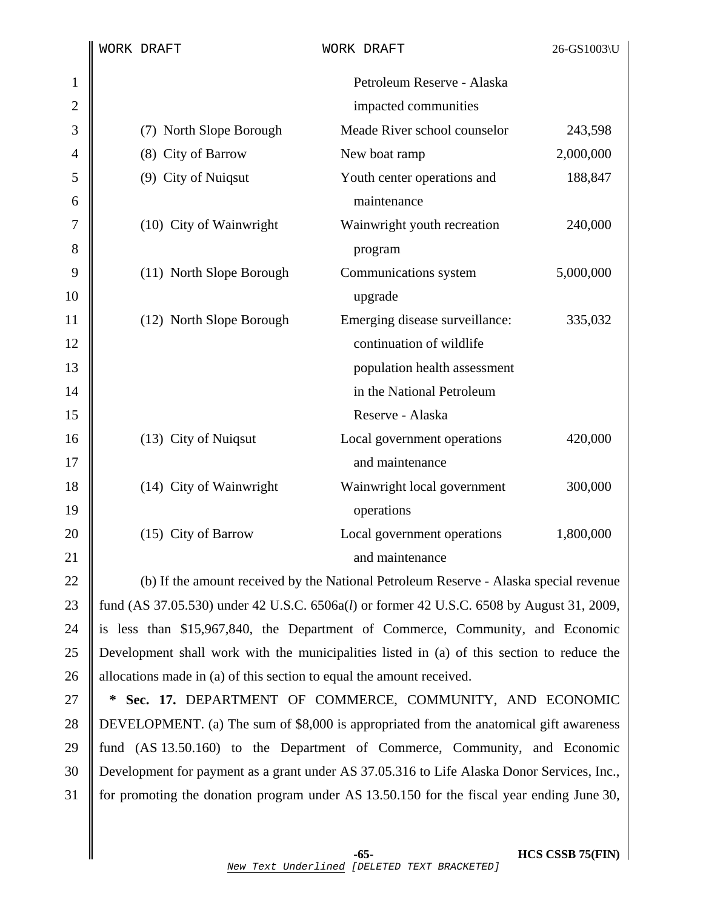|              |                                                                                                    | WORK DRAFT               | WORK DRAFT                                                                            | 26-GS1003\U |
|--------------|----------------------------------------------------------------------------------------------------|--------------------------|---------------------------------------------------------------------------------------|-------------|
| $\mathbf{1}$ |                                                                                                    |                          | Petroleum Reserve - Alaska                                                            |             |
| $\mathbf{2}$ |                                                                                                    |                          | impacted communities                                                                  |             |
| 3            |                                                                                                    | (7) North Slope Borough  | Meade River school counselor                                                          | 243,598     |
| 4            |                                                                                                    | (8) City of Barrow       | New boat ramp                                                                         | 2,000,000   |
| 5            |                                                                                                    | (9) City of Nuiqsut      | Youth center operations and                                                           | 188,847     |
| 6            |                                                                                                    |                          | maintenance                                                                           |             |
| 7            |                                                                                                    | (10) City of Wainwright  | Wainwright youth recreation                                                           | 240,000     |
| 8            |                                                                                                    |                          | program                                                                               |             |
| 9            |                                                                                                    | (11) North Slope Borough | Communications system                                                                 | 5,000,000   |
| 10           |                                                                                                    |                          | upgrade                                                                               |             |
| 11           |                                                                                                    | (12) North Slope Borough | Emerging disease surveillance:                                                        | 335,032     |
| 12           |                                                                                                    |                          | continuation of wildlife                                                              |             |
| 13           |                                                                                                    |                          | population health assessment                                                          |             |
| 14           |                                                                                                    |                          | in the National Petroleum                                                             |             |
| 15           |                                                                                                    |                          | Reserve - Alaska                                                                      |             |
| 16           |                                                                                                    | (13) City of Nuiqsut     | Local government operations                                                           | 420,000     |
| 17           |                                                                                                    |                          | and maintenance                                                                       |             |
| 18           |                                                                                                    | (14) City of Wainwright  | Wainwright local government                                                           | 300,000     |
| 19           |                                                                                                    |                          | operations                                                                            |             |
| 20           |                                                                                                    | (15) City of Barrow      | Local government operations                                                           | 1,800,000   |
| 21           |                                                                                                    |                          | and maintenance                                                                       |             |
| 22           |                                                                                                    |                          | (b) If the amount received by the National Petroleum Reserve - Alaska special revenue |             |
| 23           | fund (AS 37.05.530) under 42 U.S.C. 6506a( <i>l</i> ) or former 42 U.S.C. 6508 by August 31, 2009, |                          |                                                                                       |             |
| 24           | is less than \$15,967,840, the Department of Commerce, Community, and Economic                     |                          |                                                                                       |             |
| 25           | Development shall work with the municipalities listed in (a) of this section to reduce the         |                          |                                                                                       |             |
| 26           | allocations made in (a) of this section to equal the amount received.                              |                          |                                                                                       |             |

27 **\* Sec. 17.** DEPARTMENT OF COMMERCE, COMMUNITY, AND ECONOMIC 28 DEVELOPMENT. (a) The sum of \$8,000 is appropriated from the anatomical gift awareness 29 fund (AS 13.50.160) to the Department of Commerce, Community, and Economic 30 Development for payment as a grant under AS 37.05.316 to Life Alaska Donor Services, Inc., 31 for promoting the donation program under AS 13.50.150 for the fiscal year ending June 30,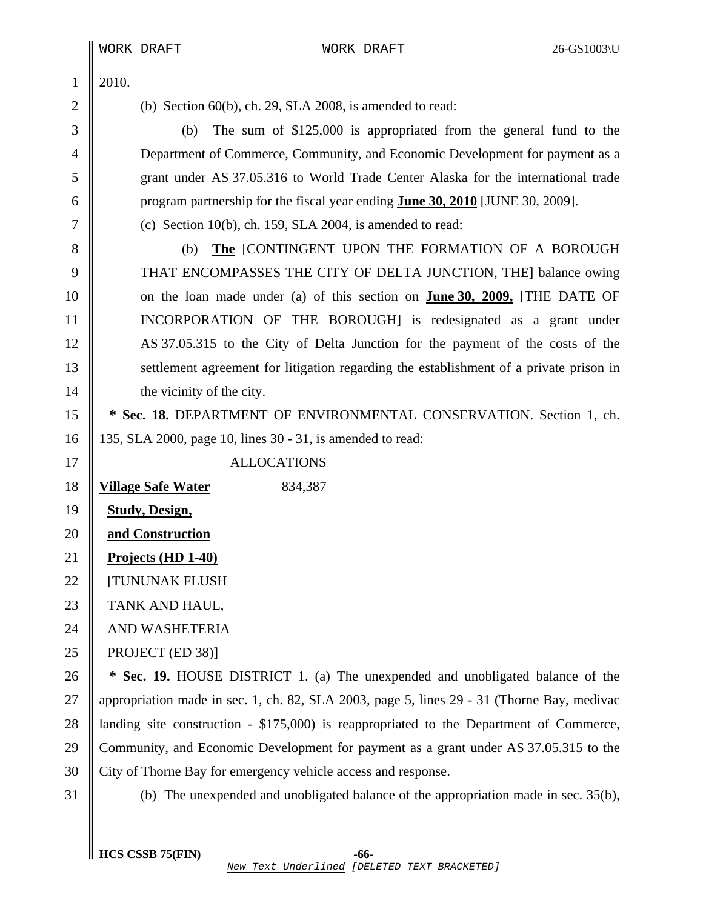|              |                                                                                        | WORK DRAFT                | WORK DRAFT                                                                                 | 26-GS1003\U |
|--------------|----------------------------------------------------------------------------------------|---------------------------|--------------------------------------------------------------------------------------------|-------------|
| $\mathbf{1}$ | 2010.                                                                                  |                           |                                                                                            |             |
| $\mathbf{2}$ |                                                                                        |                           | (b) Section $60(b)$ , ch. 29, SLA 2008, is amended to read:                                |             |
| 3            |                                                                                        | (b)                       | The sum of $$125,000$ is appropriated from the general fund to the                         |             |
| 4            |                                                                                        |                           | Department of Commerce, Community, and Economic Development for payment as a               |             |
| 5            |                                                                                        |                           | grant under AS 37.05.316 to World Trade Center Alaska for the international trade          |             |
| 6            |                                                                                        |                           | program partnership for the fiscal year ending <b>June 30, 2010</b> [JUNE 30, 2009].       |             |
| 7            |                                                                                        |                           | (c) Section 10(b), ch. 159, SLA 2004, is amended to read:                                  |             |
| 8            |                                                                                        | (b)                       | The [CONTINGENT UPON THE FORMATION OF A BOROUGH                                            |             |
| 9            |                                                                                        |                           | THAT ENCOMPASSES THE CITY OF DELTA JUNCTION, THE] balance owing                            |             |
| 10           |                                                                                        |                           | on the loan made under (a) of this section on <b>June 30, 2009</b> , [THE DATE OF          |             |
| 11           |                                                                                        |                           | INCORPORATION OF THE BOROUGH] is redesignated as a grant under                             |             |
| 12           |                                                                                        |                           | AS 37.05.315 to the City of Delta Junction for the payment of the costs of the             |             |
| 13           | settlement agreement for litigation regarding the establishment of a private prison in |                           |                                                                                            |             |
| 14           |                                                                                        | the vicinity of the city. |                                                                                            |             |
| 15           | * Sec. 18. DEPARTMENT OF ENVIRONMENTAL CONSERVATION. Section 1, ch.                    |                           |                                                                                            |             |
| 16           | 135, SLA 2000, page 10, lines 30 - 31, is amended to read:                             |                           |                                                                                            |             |
| 17           | <b>ALLOCATIONS</b>                                                                     |                           |                                                                                            |             |
| 18           |                                                                                        | <b>Village Safe Water</b> | 834,387                                                                                    |             |
| 19           |                                                                                        | <b>Study, Design,</b>     |                                                                                            |             |
| 20           |                                                                                        | and Construction          |                                                                                            |             |
| 21           |                                                                                        | Projects (HD 1-40)        |                                                                                            |             |
| 22           | <b>[TUNUNAK FLUSH</b>                                                                  |                           |                                                                                            |             |
| 23           | TANK AND HAUL,                                                                         |                           |                                                                                            |             |
| 24           |                                                                                        | AND WASHETERIA            |                                                                                            |             |
| 25           |                                                                                        | PROJECT (ED 38)]          |                                                                                            |             |
| 26           | * Sec. 19. HOUSE DISTRICT 1. (a) The unexpended and unobligated balance of the         |                           |                                                                                            |             |
| 27           |                                                                                        |                           | appropriation made in sec. 1, ch. 82, SLA 2003, page 5, lines 29 - 31 (Thorne Bay, medivac |             |
| 28           |                                                                                        |                           | landing site construction - \$175,000) is reappropriated to the Department of Commerce,    |             |
| 29           |                                                                                        |                           | Community, and Economic Development for payment as a grant under AS 37.05.315 to the       |             |
| 30           |                                                                                        |                           | City of Thorne Bay for emergency vehicle access and response.                              |             |
| 31           |                                                                                        |                           | (b) The unexpended and unobligated balance of the appropriation made in sec. 35(b),        |             |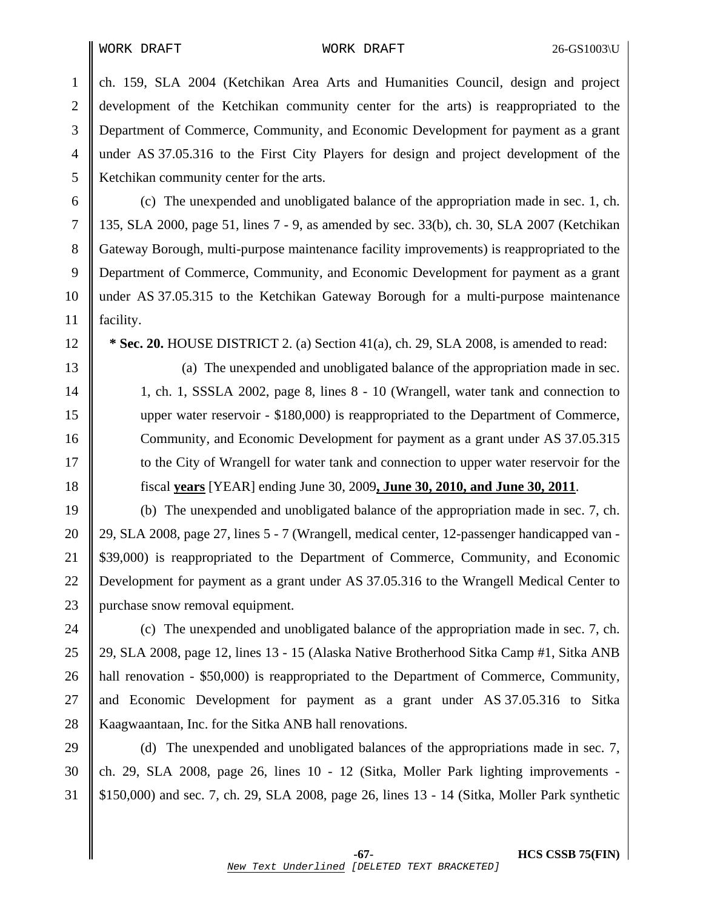WORK DRAFT WORK DRAFT 26-GS1003\U

1 ch. 159, SLA 2004 (Ketchikan Area Arts and Humanities Council, design and project 2 development of the Ketchikan community center for the arts) is reappropriated to the 3 Department of Commerce, Community, and Economic Development for payment as a grant 4 under AS 37.05.316 to the First City Players for design and project development of the 5 Ketchikan community center for the arts.

6 (c) The unexpended and unobligated balance of the appropriation made in sec. 1, ch. 7 135, SLA 2000, page 51, lines 7 - 9, as amended by sec. 33(b), ch. 30, SLA 2007 (Ketchikan 8 Gateway Borough, multi-purpose maintenance facility improvements) is reappropriated to the 9 Department of Commerce, Community, and Economic Development for payment as a grant 10 under AS 37.05.315 to the Ketchikan Gateway Borough for a multi-purpose maintenance 11 facility.

12 **\* Sec. 20.** HOUSE DISTRICT 2. (a) Section 41(a), ch. 29, SLA 2008, is amended to read:

13 (a) The unexpended and unobligated balance of the appropriation made in sec. 14 | 1, ch. 1, SSSLA 2002, page 8, lines 8 - 10 (Wrangell, water tank and connection to 15 upper water reservoir - \$180,000) is reappropriated to the Department of Commerce, 16 Community, and Economic Development for payment as a grant under AS 37.05.315 17 to the City of Wrangell for water tank and connection to upper water reservoir for the 18 fiscal **years** [YEAR] ending June 30, 2009**, June 30, 2010, and June 30, 2011**.

19 (b) The unexpended and unobligated balance of the appropriation made in sec. 7, ch. 20 29, SLA 2008, page 27, lines 5 - 7 (Wrangell, medical center, 12-passenger handicapped van - 21 \$39,000) is reappropriated to the Department of Commerce, Community, and Economic 22 Development for payment as a grant under AS 37.05.316 to the Wrangell Medical Center to 23 | purchase snow removal equipment.

24 (c) The unexpended and unobligated balance of the appropriation made in sec. 7, ch. 25 || 29, SLA 2008, page 12, lines 13 - 15 (Alaska Native Brotherhood Sitka Camp #1, Sitka ANB 26 hall renovation - \$50,000) is reappropriated to the Department of Commerce, Community, 27 and Economic Development for payment as a grant under AS 37.05.316 to Sitka 28 Kaagwaantaan, Inc. for the Sitka ANB hall renovations.

29 (d) The unexpended and unobligated balances of the appropriations made in sec. 7, 30 ch. 29, SLA 2008, page 26, lines  $10 - 12$  (Sitka, Moller Park lighting improvements -31 \$150,000) and sec. 7, ch. 29, SLA 2008, page 26, lines 13 - 14 (Sitka, Moller Park synthetic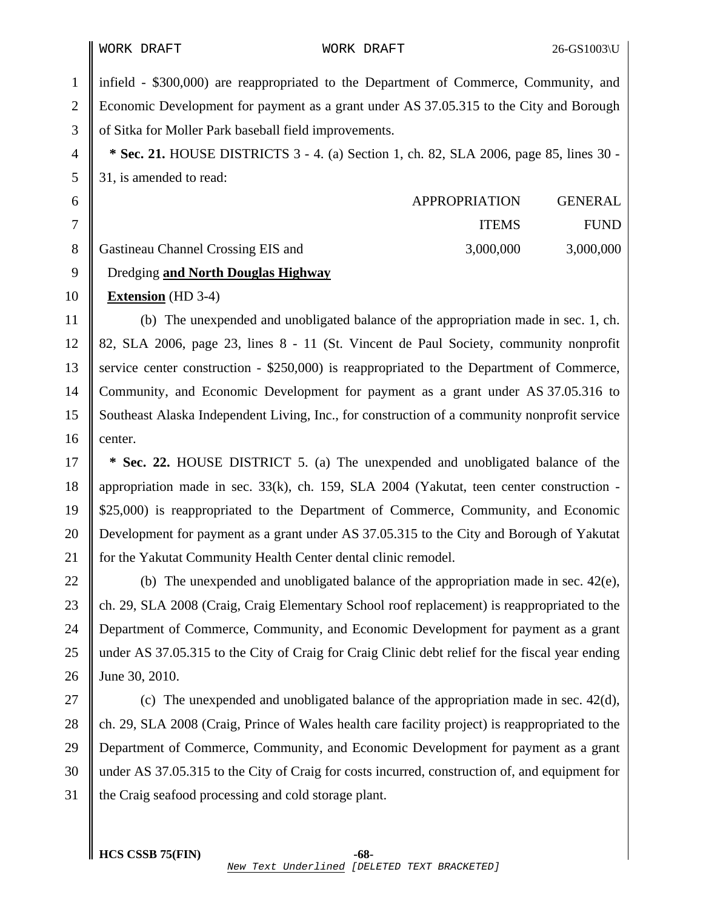1 infield - \$300,000) are reappropriated to the Department of Commerce, Community, and 2 Economic Development for payment as a grant under AS 37.05.315 to the City and Borough 3 of Sitka for Moller Park baseball field improvements. 4 **\* Sec. 21.** HOUSE DISTRICTS 3 - 4. (a) Section 1, ch. 82, SLA 2006, page 85, lines 30 - 5 31, is amended to read: 6 APPROPRIATION GENERAL 7 || ITEMS FUND 8 Gastineau Channel Crossing EIS and 3,000,000 3,000,000 3,000,000 9 Dredging **and North Douglas Highway** 10 **Extension** (HD 3-4) 11 (b) The unexpended and unobligated balance of the appropriation made in sec. 1, ch. 12 82, SLA 2006, page 23, lines 8 - 11 (St. Vincent de Paul Society, community nonprofit 13 service center construction - \$250,000) is reappropriated to the Department of Commerce, 14 Community, and Economic Development for payment as a grant under AS 37.05.316 to 15 Southeast Alaska Independent Living, Inc., for construction of a community nonprofit service 16  $\parallel$  center. 17 **\* Sec. 22.** HOUSE DISTRICT 5. (a) The unexpended and unobligated balance of the 18 appropriation made in sec. 33(k), ch. 159, SLA 2004 (Yakutat, teen center construction - 19 \$25,000) is reappropriated to the Department of Commerce, Community, and Economic 20 Development for payment as a grant under AS 37.05.315 to the City and Borough of Yakutat 21 for the Yakutat Community Health Center dental clinic remodel. 22  $\parallel$  (b) The unexpended and unobligated balance of the appropriation made in sec. 42(e), 23 ch. 29, SLA 2008 (Craig, Craig Elementary School roof replacement) is reappropriated to the

24 Department of Commerce, Community, and Economic Development for payment as a grant 25 under AS 37.05.315 to the City of Craig for Craig Clinic debt relief for the fiscal year ending 26 June 30, 2010.

27  $\parallel$  (c) The unexpended and unobligated balance of the appropriation made in sec. 42(d), 28 ch. 29, SLA 2008 (Craig, Prince of Wales health care facility project) is reappropriated to the 29 Department of Commerce, Community, and Economic Development for payment as a grant 30 under AS 37.05.315 to the City of Craig for costs incurred, construction of, and equipment for 31 the Craig seafood processing and cold storage plant.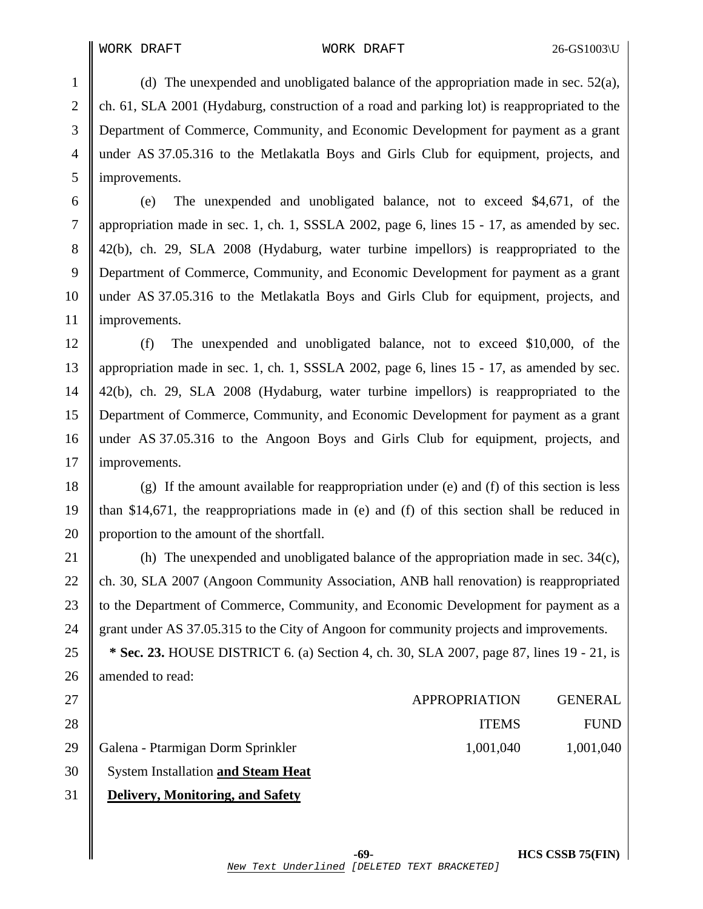1 (d) The unexpended and unobligated balance of the appropriation made in sec.  $52(a)$ , 2 ch. 61, SLA 2001 (Hydaburg, construction of a road and parking lot) is reappropriated to the 3 Department of Commerce, Community, and Economic Development for payment as a grant 4 under AS 37.05.316 to the Metlakatla Boys and Girls Club for equipment, projects, and 5 | improvements.

6 (e) The unexpended and unobligated balance, not to exceed \$4,671, of the 7 appropriation made in sec. 1, ch. 1, SSSLA 2002, page 6, lines 15 - 17, as amended by sec. 8 42(b), ch. 29, SLA 2008 (Hydaburg, water turbine impellors) is reappropriated to the 9 Department of Commerce, Community, and Economic Development for payment as a grant 10 under AS 37.05.316 to the Metlakatla Boys and Girls Club for equipment, projects, and 11 | improvements.

12 (f) The unexpended and unobligated balance, not to exceed \$10,000, of the 13 appropriation made in sec. 1, ch. 1, SSSLA 2002, page 6, lines 15 - 17, as amended by sec. 14 42(b), ch. 29, SLA 2008 (Hydaburg, water turbine impellors) is reappropriated to the 15 Department of Commerce, Community, and Economic Development for payment as a grant 16 under AS 37.05.316 to the Angoon Boys and Girls Club for equipment, projects, and 17 | improvements.

18  $\parallel$  (g) If the amount available for reappropriation under (e) and (f) of this section is less 19  $\parallel$  than \$14,671, the reappropriations made in (e) and (f) of this section shall be reduced in 20 proportion to the amount of the shortfall.

21  $\parallel$  (h) The unexpended and unobligated balance of the appropriation made in sec. 34(c), 22 ch. 30, SLA 2007 (Angoon Community Association, ANB hall renovation) is reappropriated 23 d to the Department of Commerce, Community, and Economic Development for payment as a 24 grant under AS 37.05.315 to the City of Angoon for community projects and improvements.

25 **\* Sec. 23.** HOUSE DISTRICT 6. (a) Section 4, ch. 30, SLA 2007, page 87, lines 19 - 21, is 26 | amended to read:

| 27 |                                         | APPROPRIATION | <b>GENERAL</b> |
|----|-----------------------------------------|---------------|----------------|
| 28 |                                         | <b>ITEMS</b>  | <b>FUND</b>    |
|    | 29    Galena - Ptarmigan Dorm Sprinkler | 1,001,040     | 1,001,040      |

29 Galena - Ptarmigan Dorm Sprinkler

30 System Installation **and Steam Heat** 

## 31 **Delivery, Monitoring, and Safety**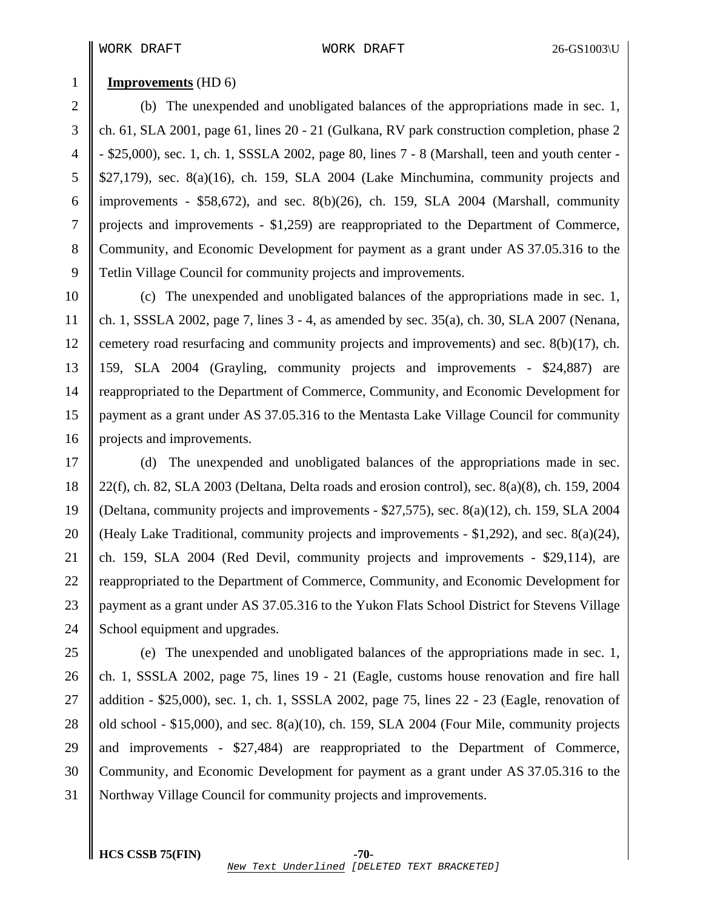## 1 **Improvements** (HD 6)

2 (b) The unexpended and unobligated balances of the appropriations made in sec. 1, 3 ch. 61, SLA 2001, page 61, lines 20 - 21 (Gulkana, RV park construction completion, phase 2 4 - \$25,000), sec. 1, ch. 1, SSSLA 2002, page 80, lines 7 - 8 (Marshall, teen and youth center -  $5 \parallel$  \$27,179), sec. 8(a)(16), ch. 159, SLA 2004 (Lake Minchumina, community projects and 6 | improvements - \$58,672), and sec. 8(b)(26), ch. 159, SLA 2004 (Marshall, community 7 projects and improvements - \$1,259) are reappropriated to the Department of Commerce, 8 Community, and Economic Development for payment as a grant under AS 37.05.316 to the 9 Tetlin Village Council for community projects and improvements.

10 (c) The unexpended and unobligated balances of the appropriations made in sec. 1, 11 ch. 1, SSSLA 2002, page 7, lines 3 - 4, as amended by sec. 35(a), ch. 30, SLA 2007 (Nenana, 12 cemetery road resurfacing and community projects and improvements) and sec.  $8(b)(17)$ , ch. 13 159, SLA 2004 (Grayling, community projects and improvements - \$24,887) are 14 Treappropriated to the Department of Commerce, Community, and Economic Development for 15 payment as a grant under AS 37.05.316 to the Mentasta Lake Village Council for community 16 | projects and improvements.

17 (d) The unexpended and unobligated balances of the appropriations made in sec. 18 22(f), ch. 82, SLA 2003 (Deltana, Delta roads and erosion control), sec. 8(a)(8), ch. 159, 2004 19 (Deltana, community projects and improvements - \$27,575), sec. 8(a)(12), ch. 159, SLA 2004 20 (Healy Lake Traditional, community projects and improvements - \$1,292), and sec.  $8(a)(24)$ , 21 ch. 159, SLA 2004 (Red Devil, community projects and improvements - \$29,114), are 22 Treappropriated to the Department of Commerce, Community, and Economic Development for 23 || payment as a grant under AS 37.05.316 to the Yukon Flats School District for Stevens Village 24 School equipment and upgrades.

25 (e) The unexpended and unobligated balances of the appropriations made in sec. 1, 26 ch. 1, SSSLA 2002, page 75, lines  $19 - 21$  (Eagle, customs house renovation and fire hall 27 addition - \$25,000), sec. 1, ch. 1, SSSLA 2002, page 75, lines 22 - 23 (Eagle, renovation of 28  $\parallel$  old school - \$15,000), and sec. 8(a)(10), ch. 159, SLA 2004 (Four Mile, community projects 29  $\parallel$  and improvements - \$27,484) are reappropriated to the Department of Commerce, 30 Community, and Economic Development for payment as a grant under AS 37.05.316 to the 31 Northway Village Council for community projects and improvements.

**HCS CSSB 75(FIN) -70-**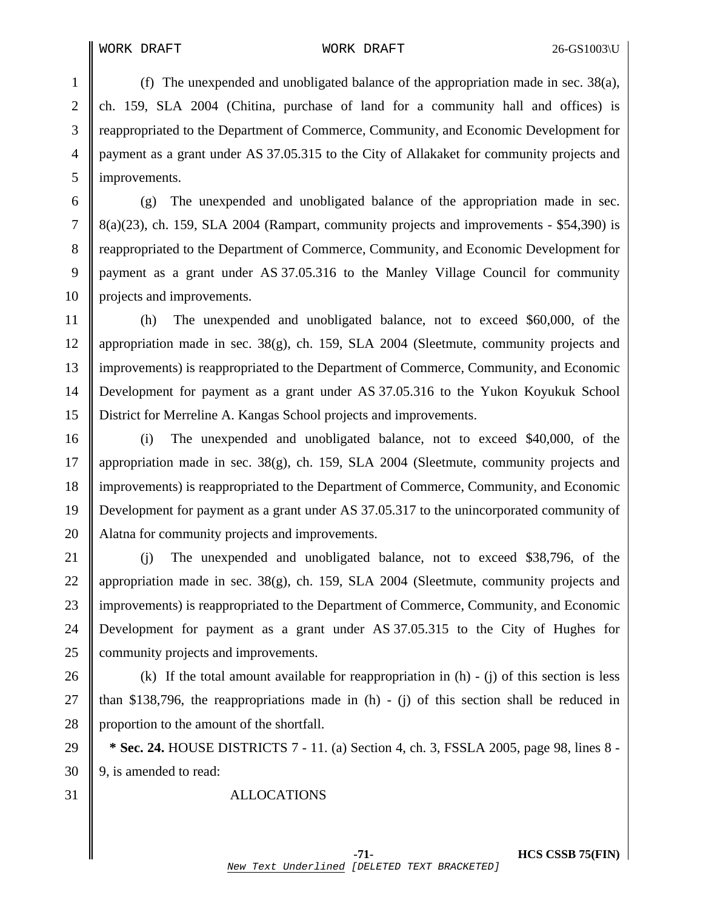1 (f) The unexpended and unobligated balance of the appropriation made in sec.  $38(a)$ , 2 ch. 159, SLA 2004 (Chitina, purchase of land for a community hall and offices) is 3 reappropriated to the Department of Commerce, Community, and Economic Development for 4 payment as a grant under AS 37.05.315 to the City of Allakaket for community projects and 5 | improvements.

6 (g) The unexpended and unobligated balance of the appropriation made in sec. 7  $\parallel$  8(a)(23), ch. 159, SLA 2004 (Rampart, community projects and improvements - \$54,390) is 8 Treappropriated to the Department of Commerce, Community, and Economic Development for 9 payment as a grant under AS 37.05.316 to the Manley Village Council for community 10 || projects and improvements.

11 (h) The unexpended and unobligated balance, not to exceed \$60,000, of the 12 appropriation made in sec. 38(g), ch. 159, SLA 2004 (Sleetmute, community projects and 13 improvements) is reappropriated to the Department of Commerce, Community, and Economic 14 Development for payment as a grant under AS 37.05.316 to the Yukon Koyukuk School 15 District for Merreline A. Kangas School projects and improvements.

16 (i) The unexpended and unobligated balance, not to exceed \$40,000, of the 17 appropriation made in sec. 38(g), ch. 159, SLA 2004 (Sleetmute, community projects and 18 improvements) is reappropriated to the Department of Commerce, Community, and Economic 19 Development for payment as a grant under AS 37.05.317 to the unincorporated community of 20 Alatna for community projects and improvements.

21 (i) The unexpended and unobligated balance, not to exceed \$38,796, of the 22 || appropriation made in sec. 38(g), ch. 159, SLA 2004 (Sleetmute, community projects and 23 Il improvements) is reappropriated to the Department of Commerce, Community, and Economic 24 Development for payment as a grant under AS 37.05.315 to the City of Hughes for 25 **community projects and improvements.** 

26 (k) If the total amount available for reappropriation in  $(h) - (i)$  of this section is less 27  $\parallel$  than \$138,796, the reappropriations made in (h) - (j) of this section shall be reduced in 28 | proportion to the amount of the shortfall.

29 **\* Sec. 24.** HOUSE DISTRICTS 7 - 11. (a) Section 4, ch. 3, FSSLA 2005, page 98, lines 8 -  $30 \parallel 9$ , is amended to read:

31 ALLOCATIONS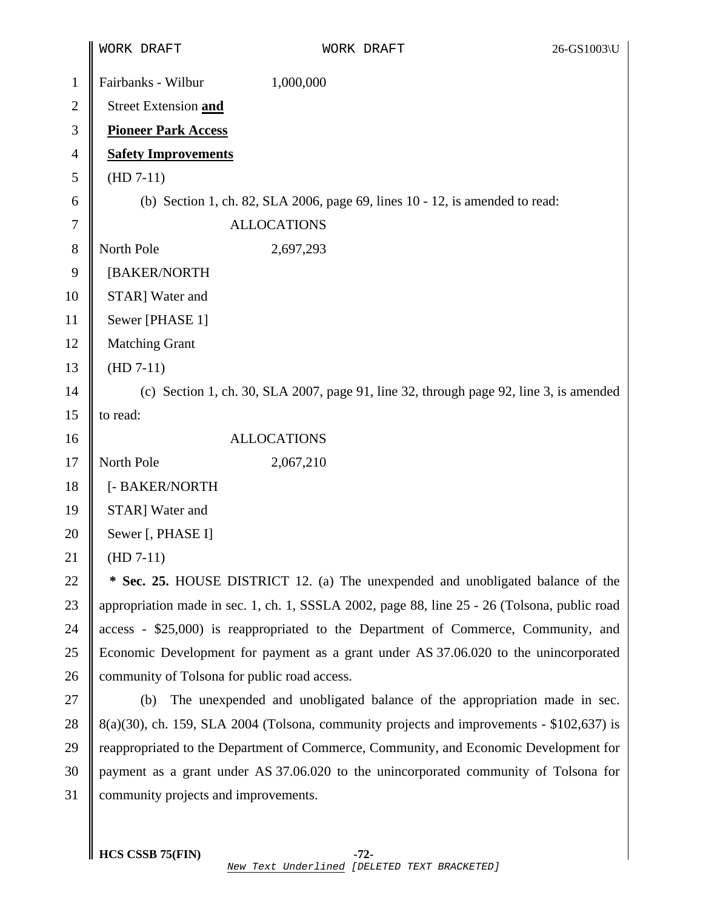|                | WORK DRAFT                                                                                   | WORK DRAFT                                                                                   | 26-GS1003\U |
|----------------|----------------------------------------------------------------------------------------------|----------------------------------------------------------------------------------------------|-------------|
| $\mathbf{1}$   | Fairbanks - Wilbur                                                                           | 1,000,000                                                                                    |             |
| $\overline{c}$ | Street Extension and                                                                         |                                                                                              |             |
| 3              | <b>Pioneer Park Access</b>                                                                   |                                                                                              |             |
| 4              | <b>Safety Improvements</b>                                                                   |                                                                                              |             |
| 5              | $(HD 7-11)$                                                                                  |                                                                                              |             |
| 6              | (b) Section 1, ch. 82, SLA 2006, page 69, lines 10 - 12, is amended to read:                 |                                                                                              |             |
| 7              |                                                                                              | <b>ALLOCATIONS</b>                                                                           |             |
| 8              | North Pole                                                                                   | 2,697,293                                                                                    |             |
| 9              | [BAKER/NORTH                                                                                 |                                                                                              |             |
| 10             | STAR] Water and                                                                              |                                                                                              |             |
| 11             | Sewer [PHASE 1]                                                                              |                                                                                              |             |
| 12             | <b>Matching Grant</b>                                                                        |                                                                                              |             |
| 13             | $(HD 7-11)$                                                                                  |                                                                                              |             |
| 14             | (c) Section 1, ch. 30, SLA 2007, page 91, line 32, through page 92, line 3, is amended       |                                                                                              |             |
| 15             | to read:                                                                                     |                                                                                              |             |
| 16             | <b>ALLOCATIONS</b>                                                                           |                                                                                              |             |
| 17             | North Pole                                                                                   | 2,067,210                                                                                    |             |
| 18             | [- BAKER/NORTH                                                                               |                                                                                              |             |
| 19             | STAR] Water and                                                                              |                                                                                              |             |
| 20             | Sewer [, PHASE I]                                                                            |                                                                                              |             |
| 21             | $(HD 7-11)$                                                                                  |                                                                                              |             |
| 22             | * Sec. 25. HOUSE DISTRICT 12. (a) The unexpended and unobligated balance of the              |                                                                                              |             |
| 23             | appropriation made in sec. 1, ch. 1, SSSLA 2002, page 88, line 25 - 26 (Tolsona, public road |                                                                                              |             |
| 24             | access - \$25,000) is reappropriated to the Department of Commerce, Community, and           |                                                                                              |             |
| 25             | Economic Development for payment as a grant under AS 37.06.020 to the unincorporated         |                                                                                              |             |
| 26             | community of Tolsona for public road access.                                                 |                                                                                              |             |
| 27             | (b)                                                                                          | The unexpended and unobligated balance of the appropriation made in sec.                     |             |
| 28             |                                                                                              | $8(a)(30)$ , ch. 159, SLA 2004 (Tolsona, community projects and improvements - \$102,637) is |             |
| 29             |                                                                                              | reappropriated to the Department of Commerce, Community, and Economic Development for        |             |
| 30             |                                                                                              | payment as a grant under AS 37.06.020 to the unincorporated community of Tolsona for         |             |
| 31             | community projects and improvements.                                                         |                                                                                              |             |
|                |                                                                                              |                                                                                              |             |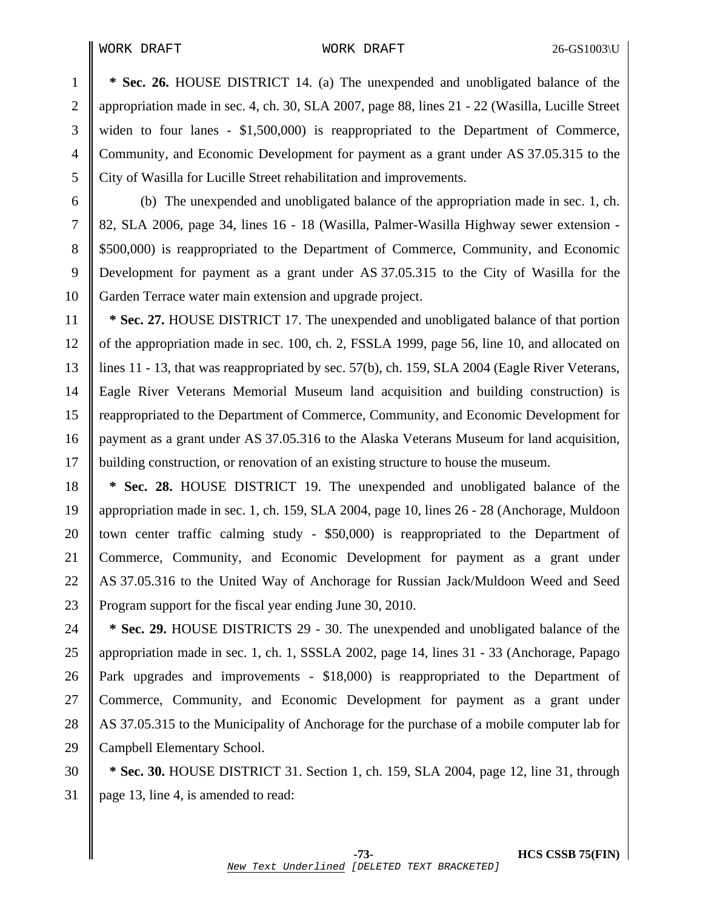1 **\* Sec. 26.** HOUSE DISTRICT 14. (a) The unexpended and unobligated balance of the 2 appropriation made in sec. 4, ch. 30, SLA 2007, page 88, lines 21 - 22 (Wasilla, Lucille Street 3 widen to four lanes - \$1,500,000) is reappropriated to the Department of Commerce, 4 Community, and Economic Development for payment as a grant under AS 37.05.315 to the 5 City of Wasilla for Lucille Street rehabilitation and improvements.

6 (b) The unexpended and unobligated balance of the appropriation made in sec. 1, ch. 7 82, SLA 2006, page 34, lines 16 - 18 (Wasilla, Palmer-Wasilla Highway sewer extension - 8 \$500,000) is reappropriated to the Department of Commerce, Community, and Economic 9 Development for payment as a grant under AS 37.05.315 to the City of Wasilla for the 10 Garden Terrace water main extension and upgrade project.

11 **\* Sec. 27.** HOUSE DISTRICT 17. The unexpended and unobligated balance of that portion 12 of the appropriation made in sec. 100, ch. 2, FSSLA 1999, page 56, line 10, and allocated on 13 lines 11 - 13, that was reappropriated by sec. 57(b), ch. 159, SLA 2004 (Eagle River Veterans, 14 Eagle River Veterans Memorial Museum land acquisition and building construction) is 15 Treappropriated to the Department of Commerce, Community, and Economic Development for 16 payment as a grant under AS 37.05.316 to the Alaska Veterans Museum for land acquisition, 17 building construction, or renovation of an existing structure to house the museum.

18 **\* Sec. 28.** HOUSE DISTRICT 19. The unexpended and unobligated balance of the 19 appropriation made in sec. 1, ch. 159, SLA 2004, page 10, lines 26 - 28 (Anchorage, Muldoon 20 || town center traffic calming study -  $$50,000$  is reappropriated to the Department of 21 Commerce, Community, and Economic Development for payment as a grant under 22 AS 37.05.316 to the United Way of Anchorage for Russian Jack/Muldoon Weed and Seed 23 Program support for the fiscal year ending June 30, 2010.

24 **\* Sec. 29.** HOUSE DISTRICTS 29 - 30. The unexpended and unobligated balance of the 25 appropriation made in sec. 1, ch. 1, SSSLA 2002, page 14, lines 31 - 33 (Anchorage, Papago 26 Park upgrades and improvements - \$18,000) is reappropriated to the Department of 27 Commerce, Community, and Economic Development for payment as a grant under 28 AS 37.05.315 to the Municipality of Anchorage for the purchase of a mobile computer lab for 29 Campbell Elementary School.

30 **\* Sec. 30.** HOUSE DISTRICT 31. Section 1, ch. 159, SLA 2004, page 12, line 31, through 31 page 13, line 4, is amended to read: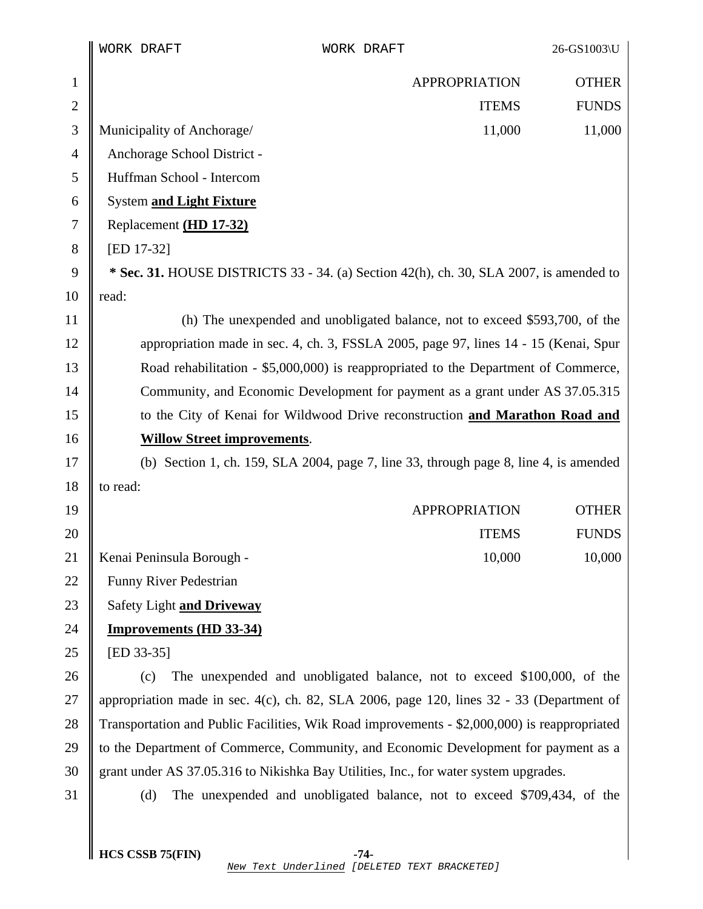|              | WORK DRAFT                                                                           | WORK DRAFT                                                                                   | 26-GS1003\U                  |
|--------------|--------------------------------------------------------------------------------------|----------------------------------------------------------------------------------------------|------------------------------|
| $\mathbf{1}$ |                                                                                      | <b>APPROPRIATION</b>                                                                         | <b>OTHER</b>                 |
| $\mathbf{2}$ |                                                                                      |                                                                                              | <b>FUNDS</b><br><b>ITEMS</b> |
| 3            | Municipality of Anchorage/                                                           |                                                                                              | 11,000<br>11,000             |
| 4            | Anchorage School District -                                                          |                                                                                              |                              |
| 5            | Huffman School - Intercom                                                            |                                                                                              |                              |
| 6            | System and Light Fixture                                                             |                                                                                              |                              |
| 7            | Replacement (HD 17-32)                                                               |                                                                                              |                              |
| 8            | [ED 17-32]                                                                           |                                                                                              |                              |
| 9            |                                                                                      | * Sec. 31. HOUSE DISTRICTS 33 - 34. (a) Section 42(h), ch. 30, SLA 2007, is amended to       |                              |
| 10           | read:                                                                                |                                                                                              |                              |
| 11           |                                                                                      | (h) The unexpended and unobligated balance, not to exceed \$593,700, of the                  |                              |
| 12           | appropriation made in sec. 4, ch. 3, FSSLA 2005, page 97, lines 14 - 15 (Kenai, Spur |                                                                                              |                              |
| 13           | Road rehabilitation - \$5,000,000) is reappropriated to the Department of Commerce,  |                                                                                              |                              |
| 14           |                                                                                      | Community, and Economic Development for payment as a grant under AS 37.05.315                |                              |
| 15           |                                                                                      | to the City of Kenai for Wildwood Drive reconstruction and Marathon Road and                 |                              |
| 16           | <b>Willow Street improvements.</b>                                                   |                                                                                              |                              |
| 17           |                                                                                      | (b) Section 1, ch. 159, SLA 2004, page 7, line 33, through page 8, line 4, is amended        |                              |
| 18           | to read:                                                                             |                                                                                              |                              |
| 19           |                                                                                      | <b>APPROPRIATION</b>                                                                         | <b>OTHER</b>                 |
| 20           |                                                                                      |                                                                                              | <b>ITEMS</b><br><b>FUNDS</b> |
| 21           | Kenai Peninsula Borough -                                                            |                                                                                              | 10,000<br>10,000             |
| 22           | <b>Funny River Pedestrian</b>                                                        |                                                                                              |                              |
| 23           | Safety Light and Driveway                                                            |                                                                                              |                              |
| 24           | <b>Improvements (HD 33-34)</b>                                                       |                                                                                              |                              |
| 25           | [ED 33-35]                                                                           |                                                                                              |                              |
| 26           | (c)                                                                                  | The unexpended and unobligated balance, not to exceed \$100,000, of the                      |                              |
| 27           |                                                                                      | appropriation made in sec. 4(c), ch. 82, SLA 2006, page 120, lines 32 - 33 (Department of    |                              |
| 28           |                                                                                      | Transportation and Public Facilities, Wik Road improvements - \$2,000,000) is reappropriated |                              |
| 29           |                                                                                      | to the Department of Commerce, Community, and Economic Development for payment as a          |                              |
| 30           |                                                                                      | grant under AS 37.05.316 to Nikishka Bay Utilities, Inc., for water system upgrades.         |                              |
| 31           | (d)                                                                                  | The unexpended and unobligated balance, not to exceed \$709,434, of the                      |                              |
|              |                                                                                      |                                                                                              |                              |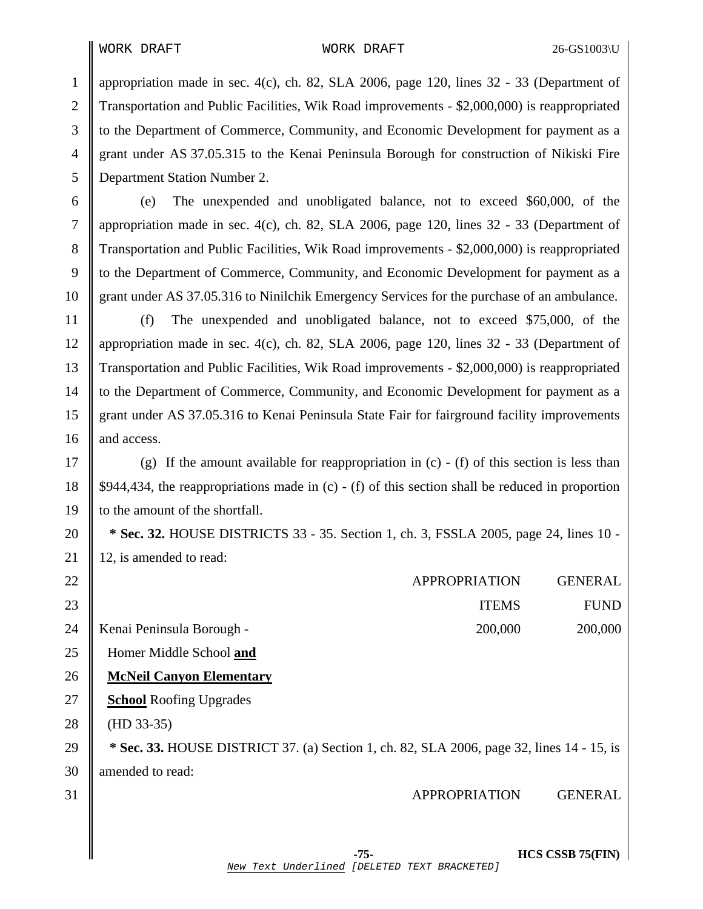28

30

1 appropriation made in sec. 4(c), ch. 82, SLA 2006, page 120, lines  $32 - 33$  (Department of 2 Transportation and Public Facilities, Wik Road improvements - \$2,000,000) is reappropriated 3 to the Department of Commerce, Community, and Economic Development for payment as a 4 grant under AS 37.05.315 to the Kenai Peninsula Borough for construction of Nikiski Fire 5 Department Station Number 2.

6 (e) The unexpended and unobligated balance, not to exceed \$60,000, of the 7 appropriation made in sec. 4(c), ch. 82, SLA 2006, page 120, lines 32 - 33 (Department of 8 Transportation and Public Facilities, Wik Road improvements - \$2,000,000) is reappropriated 9 to the Department of Commerce, Community, and Economic Development for payment as a 10 grant under AS 37.05.316 to Ninilchik Emergency Services for the purchase of an ambulance.

11 (f) The unexpended and unobligated balance, not to exceed \$75,000, of the 12 || appropriation made in sec. 4(c), ch. 82, SLA 2006, page 120, lines  $32 - 33$  (Department of 13 Transportation and Public Facilities, Wik Road improvements - \$2,000,000) is reappropriated 14 to the Department of Commerce, Community, and Economic Development for payment as a 15 grant under AS 37.05.316 to Kenai Peninsula State Fair for fairground facility improvements 16 and access.

17  $\parallel$  (g) If the amount available for reappropriation in (c) - (f) of this section is less than 18  $\parallel$  \$944,434, the reappropriations made in (c) - (f) of this section shall be reduced in proportion 19 | to the amount of the shortfall.

20 **\* Sec. 32.** HOUSE DISTRICTS 33 - 35. Section 1, ch. 3, FSSLA 2005, page 24, lines 10 - 21 | 12, is amended to read:

| 22 | <b>APPROPRIATION</b>                                                                             | <b>GENERAL</b> |
|----|--------------------------------------------------------------------------------------------------|----------------|
| 23 | <b>ITEMS</b>                                                                                     | <b>FUND</b>    |
| 24 | 200,000<br>Kenai Peninsula Borough -                                                             | 200,000        |
| 25 | Homer Middle School and                                                                          |                |
| 26 | <b>McNeil Canyon Elementary</b>                                                                  |                |
| 27 | <b>School</b> Roofing Upgrades                                                                   |                |
| 28 | $(HD 33-35)$                                                                                     |                |
| 29 | <b>* Sec. 33.</b> HOUSE DISTRICT 37. (a) Section 1, ch. 82, SLA 2006, page 32, lines 14 - 15, is |                |
| 30 | amended to read:                                                                                 |                |
| 31 | <b>APPROPRIATION</b>                                                                             | <b>GENERAL</b> |

 **-75- HCS CSSB 75(FIN)**  New Text Underlined [DELETED TEXT BRACKETED]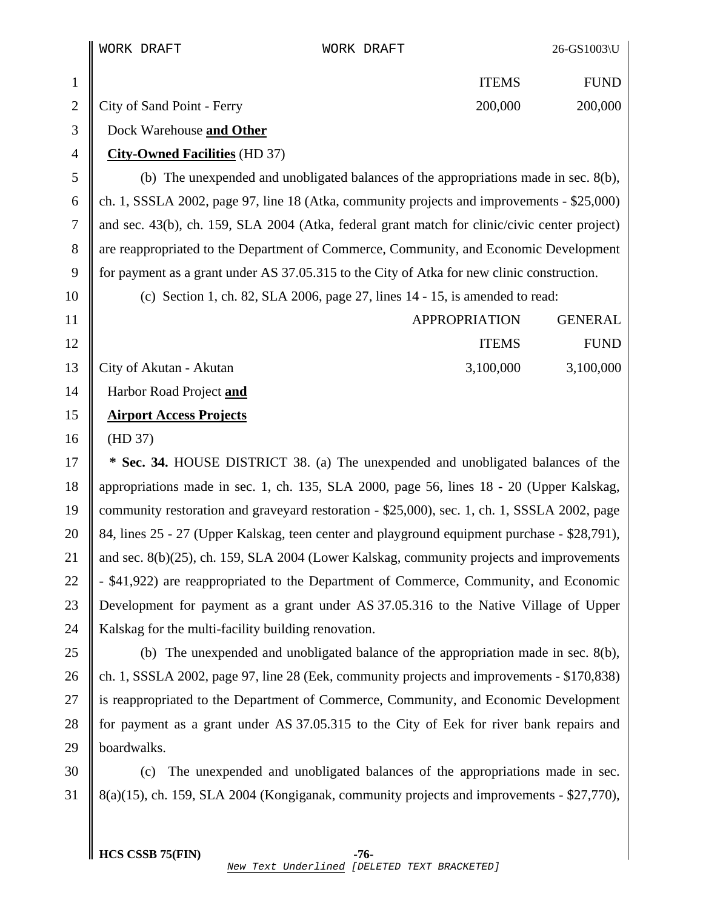1 || ITEMS FUND 2 City of Sand Point - Ferry 200,000 200,000 200,000 3 Dock Warehouse **and Other** 4 **City-Owned Facilities** (HD 37)  $5 \parallel$  (b) The unexpended and unobligated balances of the appropriations made in sec. 8(b), 6 ch. 1, SSSLA 2002, page 97, line 18 (Atka, community projects and improvements - \$25,000) 7 and sec. 43(b), ch. 159, SLA 2004 (Atka, federal grant match for clinic/civic center project) 8 are reappropriated to the Department of Commerce, Community, and Economic Development 9 for payment as a grant under AS 37.05.315 to the City of Atka for new clinic construction. 10 (c) Section 1, ch. 82, SLA 2006, page 27, lines 14 - 15, is amended to read: 11 || APPROPRIATION GENERAL 12 || ITEMS FUND 13 City of Akutan - Akutan 13 City of Akutan 3,100,000 3,100,000 3,100,000 14 Harbor Road Project **and** 15 **Airport Access Projects** 16 (HD 37) 17 **\* Sec. 34.** HOUSE DISTRICT 38. (a) The unexpended and unobligated balances of the 18 appropriations made in sec. 1, ch. 135, SLA 2000, page 56, lines 18 - 20 (Upper Kalskag, 19 community restoration and graveyard restoration - \$25,000), sec. 1, ch. 1, SSSLA 2002, page 20 84, lines 25 - 27 (Upper Kalskag, teen center and playground equipment purchase - \$28,791), 21  $\parallel$  and sec. 8(b)(25), ch. 159, SLA 2004 (Lower Kalskag, community projects and improvements 22  $\parallel$  - \$41,922) are reappropriated to the Department of Commerce, Community, and Economic 23 Development for payment as a grant under AS 37.05.316 to the Native Village of Upper

25 (b) The unexpended and unobligated balance of the appropriation made in sec.  $8(b)$ , 26 ch. 1, SSSLA 2002, page 97, line 28 (Eek, community projects and improvements  $-$  \$170,838) 27 is reappropriated to the Department of Commerce, Community, and Economic Development 28 for payment as a grant under AS 37.05.315 to the City of Eek for river bank repairs and 29 **boardwalks**.

30 (c) The unexpended and unobligated balances of the appropriations made in sec. 31  $\parallel$  8(a)(15), ch. 159, SLA 2004 (Kongiganak, community projects and improvements - \$27,770),

24 Kalskag for the multi-facility building renovation.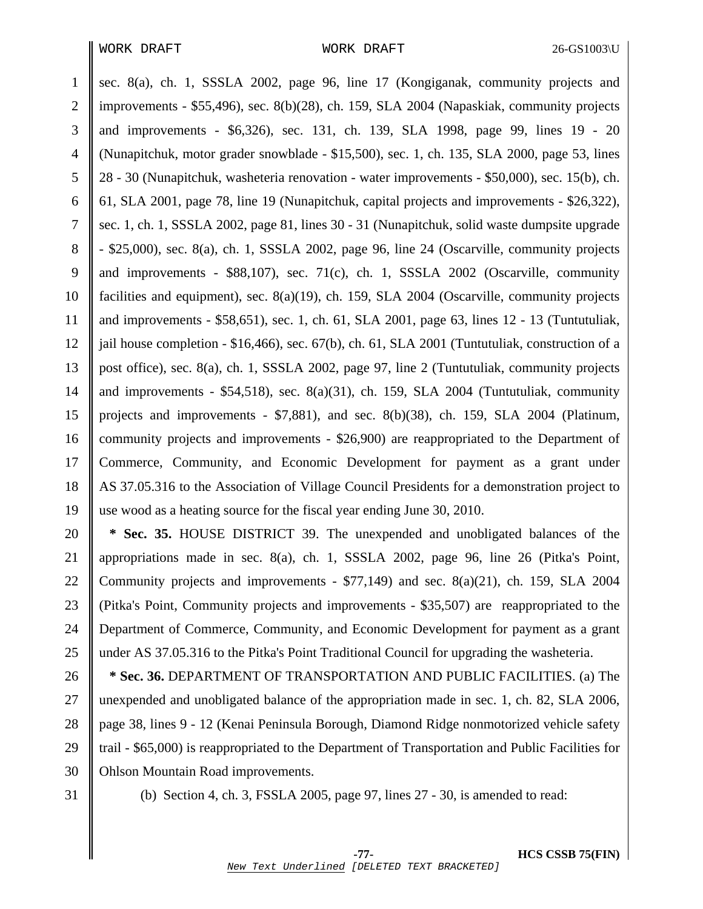1 sec. 8(a), ch. 1, SSSLA 2002, page 96, line 17 (Kongiganak, community projects and 2 improvements - \$55,496), sec. 8(b)(28), ch. 159, SLA 2004 (Napaskiak, community projects 3 and improvements - \$6,326), sec. 131, ch. 139, SLA 1998, page 99, lines 19 - 20 4 (Nunapitchuk, motor grader snowblade - \$15,500), sec. 1, ch. 135, SLA 2000, page 53, lines 5 28 - 30 (Nunapitchuk, washeteria renovation - water improvements - \$50,000), sec. 15(b), ch. 6  $\parallel$  61, SLA 2001, page 78, line 19 (Nunapitchuk, capital projects and improvements - \$26,322), 7 sec. 1, ch. 1, SSSLA 2002, page 81, lines 30 - 31 (Nunapitchuk, solid waste dumpsite upgrade 8  $\parallel$  - \$25,000), sec. 8(a), ch. 1, SSSLA 2002, page 96, line 24 (Oscarville, community projects 9 and improvements - \$88,107), sec. 71(c), ch. 1, SSSLA 2002 (Oscarville, community 10 facilities and equipment), sec. 8(a)(19), ch. 159, SLA 2004 (Oscarville, community projects 11 and improvements - \$58,651), sec. 1, ch. 61, SLA 2001, page 63, lines 12 - 13 (Tuntutuliak, 12  $\parallel$  jail house completion - \$16,466), sec. 67(b), ch. 61, SLA 2001 (Tuntutuliak, construction of a 13 post office), sec. 8(a), ch. 1, SSSLA 2002, page 97, line 2 (Tuntutuliak, community projects 14  $\parallel$  and improvements - \$54,518), sec. 8(a)(31), ch. 159, SLA 2004 (Tuntutuliak, community 15 projects and improvements - \$7,881), and sec. 8(b)(38), ch. 159, SLA 2004 (Platinum, 16 Community projects and improvements - \$26,900) are reappropriated to the Department of 17 Commerce, Community, and Economic Development for payment as a grant under 18 AS 37.05.316 to the Association of Village Council Presidents for a demonstration project to 19 use wood as a heating source for the fiscal year ending June 30, 2010.

20 **\* Sec. 35.** HOUSE DISTRICT 39. The unexpended and unobligated balances of the 21 appropriations made in sec. 8(a), ch. 1, SSSLA 2002, page 96, line 26 (Pitka's Point, 22 Community projects and improvements -  $$77,149$  and sec. 8(a)(21), ch. 159, SLA 2004 23 (Pitka's Point, Community projects and improvements - \$35,507) are reappropriated to the 24 Department of Commerce, Community, and Economic Development for payment as a grant 25 under AS 37.05.316 to the Pitka's Point Traditional Council for upgrading the washeteria.

26 **\* Sec. 36.** DEPARTMENT OF TRANSPORTATION AND PUBLIC FACILITIES. (a) The 27 unexpended and unobligated balance of the appropriation made in sec. 1, ch. 82, SLA 2006, 28 || page 38, lines 9 - 12 (Kenai Peninsula Borough, Diamond Ridge nonmotorized vehicle safety 29 trail - \$65,000) is reappropriated to the Department of Transportation and Public Facilities for 30 | Ohlson Mountain Road improvements.

31 (b) Section 4, ch. 3, FSSLA 2005, page 97, lines 27 - 30, is amended to read: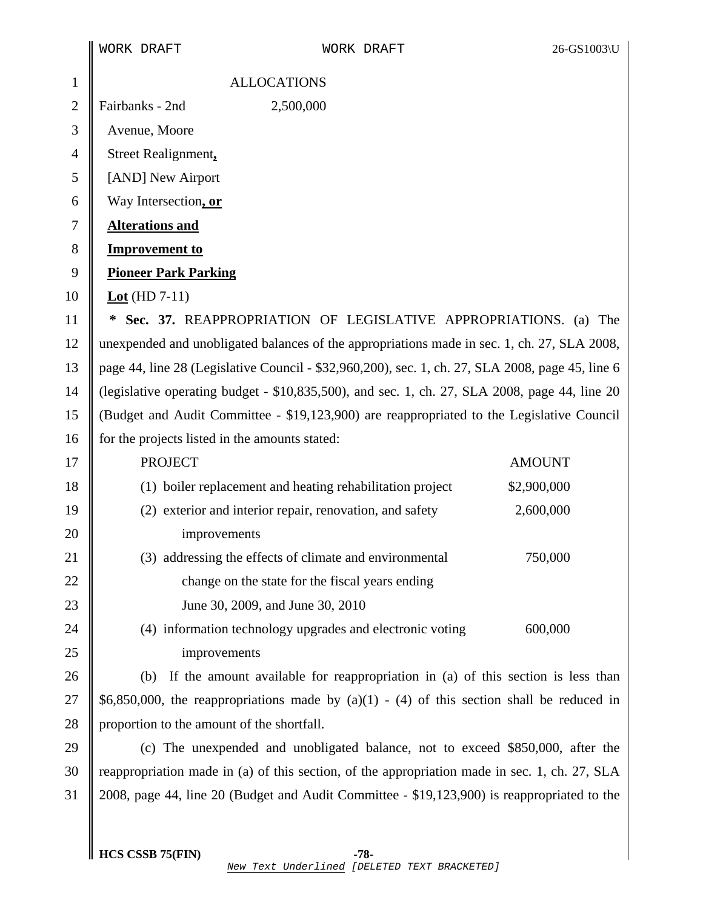|                | WORK DRAFT                                                                                       | WORK DRAFT                                                                                    | 26-GS1003\U   |
|----------------|--------------------------------------------------------------------------------------------------|-----------------------------------------------------------------------------------------------|---------------|
| $\mathbf{1}$   | <b>ALLOCATIONS</b>                                                                               |                                                                                               |               |
| $\overline{2}$ | Fairbanks - 2nd                                                                                  | 2,500,000                                                                                     |               |
| 3              | Avenue, Moore                                                                                    |                                                                                               |               |
| $\overline{4}$ | Street Realignment,                                                                              |                                                                                               |               |
| 5              | [AND] New Airport                                                                                |                                                                                               |               |
| 6              | Way Intersection, or                                                                             |                                                                                               |               |
| $\tau$         | <b>Alterations and</b>                                                                           |                                                                                               |               |
| 8              | <b>Improvement to</b>                                                                            |                                                                                               |               |
| 9              | <b>Pioneer Park Parking</b>                                                                      |                                                                                               |               |
| 10             | Lot (HD $7-11$ )                                                                                 |                                                                                               |               |
| 11             | ∗                                                                                                | Sec. 37. REAPPROPRIATION OF LEGISLATIVE APPROPRIATIONS. (a) The                               |               |
| 12             | unexpended and unobligated balances of the appropriations made in sec. 1, ch. 27, SLA 2008,      |                                                                                               |               |
| 13             | page 44, line 28 (Legislative Council - \$32,960,200), sec. 1, ch. 27, SLA 2008, page 45, line 6 |                                                                                               |               |
| 14             | (legislative operating budget - \$10,835,500), and sec. 1, ch. 27, SLA 2008, page 44, line 20    |                                                                                               |               |
| 15             | (Budget and Audit Committee - \$19,123,900) are reappropriated to the Legislative Council        |                                                                                               |               |
| 16             | for the projects listed in the amounts stated:                                                   |                                                                                               |               |
| 17             | <b>PROJECT</b>                                                                                   |                                                                                               | <b>AMOUNT</b> |
| 18             |                                                                                                  | (1) boiler replacement and heating rehabilitation project                                     | \$2,900,000   |
| 19             |                                                                                                  | (2) exterior and interior repair, renovation, and safety                                      | 2,600,000     |
| 20             | improvements                                                                                     |                                                                                               |               |
| 21             |                                                                                                  | (3) addressing the effects of climate and environmental                                       | 750,000       |
| 22             |                                                                                                  | change on the state for the fiscal years ending                                               |               |
| 23             |                                                                                                  | June 30, 2009, and June 30, 2010                                                              |               |
| 24             |                                                                                                  | (4) information technology upgrades and electronic voting                                     | 600,000       |
| 25             | improvements                                                                                     |                                                                                               |               |
| 26             | (b)                                                                                              | If the amount available for reappropriation in (a) of this section is less than               |               |
| 27             | \$6,850,000, the reappropriations made by $(a)(1) - (4)$ of this section shall be reduced in     |                                                                                               |               |
| 28             | proportion to the amount of the shortfall.                                                       |                                                                                               |               |
| 29             |                                                                                                  | (c) The unexpended and unobligated balance, not to exceed \$850,000, after the                |               |
| 30             |                                                                                                  | reappropriation made in (a) of this section, of the appropriation made in sec. 1, ch. 27, SLA |               |
| 31             |                                                                                                  | 2008, page 44, line 20 (Budget and Audit Committee - \$19,123,900) is reappropriated to the   |               |
|                |                                                                                                  |                                                                                               |               |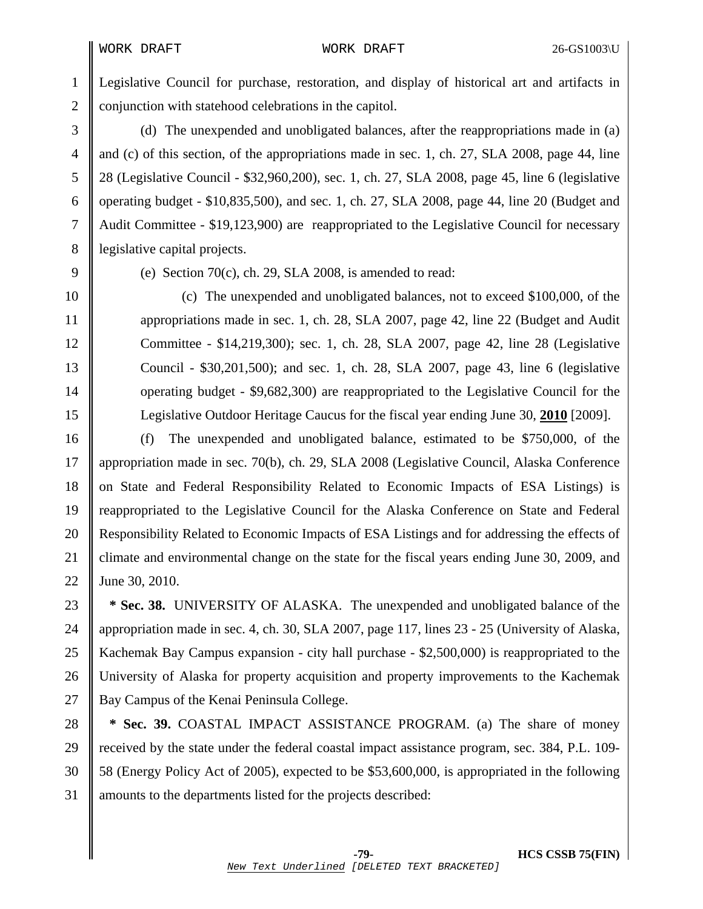1 Legislative Council for purchase, restoration, and display of historical art and artifacts in 2 conjunction with statehood celebrations in the capitol.

3 (d) The unexpended and unobligated balances, after the reappropriations made in (a) 4 and (c) of this section, of the appropriations made in sec. 1, ch. 27, SLA 2008, page 44, line 5 28 (Legislative Council - \$32,960,200), sec. 1, ch. 27, SLA 2008, page 45, line 6 (legislative 6 | operating budget -  $$10,835,500$ , and sec. 1, ch. 27, SLA 2008, page 44, line 20 (Budget and 7 Audit Committee - \$19,123,900) are reappropriated to the Legislative Council for necessary 8 | legislative capital projects.

9 (e) Section 70(c), ch. 29, SLA 2008, is amended to read:

10 (c) The unexpended and unobligated balances, not to exceed \$100,000, of the 11 appropriations made in sec. 1, ch. 28, SLA 2007, page 42, line 22 (Budget and Audit 12 Committee - \$14,219,300); sec. 1, ch. 28, SLA 2007, page 42, line 28 (Legislative 13 Council - \$30,201,500); and sec. 1, ch. 28, SLA 2007, page 43, line 6 (legislative 14 operating budget - \$9,682,300) are reappropriated to the Legislative Council for the 15 Legislative Outdoor Heritage Caucus for the fiscal year ending June 30, **2010** [2009].

16 (f) The unexpended and unobligated balance, estimated to be \$750,000, of the 17 appropriation made in sec. 70(b), ch. 29, SLA 2008 (Legislative Council, Alaska Conference 18 || on State and Federal Responsibility Related to Economic Impacts of ESA Listings) is 19 reappropriated to the Legislative Council for the Alaska Conference on State and Federal 20 Responsibility Related to Economic Impacts of ESA Listings and for addressing the effects of 21 climate and environmental change on the state for the fiscal years ending June 30, 2009, and 22 June 30, 2010.

23 **\* Sec. 38.** UNIVERSITY OF ALASKA. The unexpended and unobligated balance of the 24 appropriation made in sec. 4, ch. 30, SLA 2007, page 117, lines 23 - 25 (University of Alaska, 25 Kachemak Bay Campus expansion - city hall purchase - \$2,500,000) is reappropriated to the 26 University of Alaska for property acquisition and property improvements to the Kachemak 27 Bay Campus of the Kenai Peninsula College.

28 **\* Sec. 39.** COASTAL IMPACT ASSISTANCE PROGRAM. (a) The share of money 29 received by the state under the federal coastal impact assistance program, sec. 384, P.L. 109- 30 58 (Energy Policy Act of 2005), expected to be \$53,600,000, is appropriated in the following 31 amounts to the departments listed for the projects described: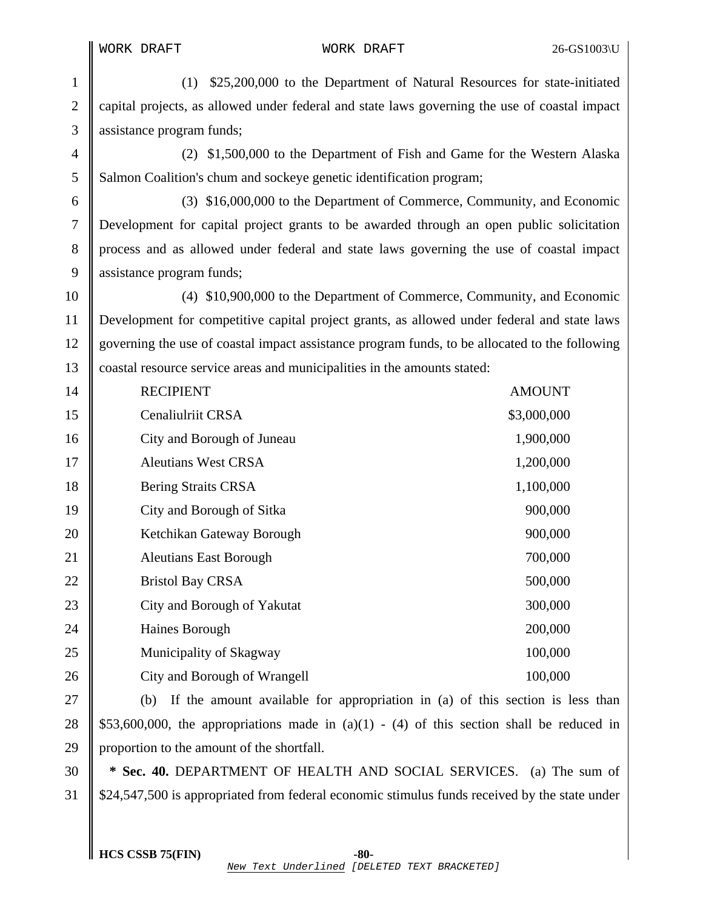1 (1) \$25,200,000 to the Department of Natural Resources for state-initiated 2 capital projects, as allowed under federal and state laws governing the use of coastal impact 3 assistance program funds;

4 (2) \$1,500,000 to the Department of Fish and Game for the Western Alaska 5 Salmon Coalition's chum and sockeye genetic identification program;

6 (3) \$16,000,000 to the Department of Commerce, Community, and Economic 7 Development for capital project grants to be awarded through an open public solicitation 8 process and as allowed under federal and state laws governing the use of coastal impact 9 assistance program funds;

10 (4) \$10,900,000 to the Department of Commerce, Community, and Economic 11 Development for competitive capital project grants, as allowed under federal and state laws 12 governing the use of coastal impact assistance program funds, to be allocated to the following 13 coastal resource service areas and municipalities in the amounts stated:

| 14 | <b>RECIPIENT</b>              | <b>AMOUNT</b> |
|----|-------------------------------|---------------|
| 15 | Cenaliulriit CRSA             | \$3,000,000   |
| 16 | City and Borough of Juneau    | 1,900,000     |
| 17 | <b>Aleutians West CRSA</b>    | 1,200,000     |
| 18 | <b>Bering Straits CRSA</b>    | 1,100,000     |
| 19 | City and Borough of Sitka     | 900,000       |
| 20 | Ketchikan Gateway Borough     | 900,000       |
| 21 | <b>Aleutians East Borough</b> | 700,000       |
| 22 | <b>Bristol Bay CRSA</b>       | 500,000       |
| 23 | City and Borough of Yakutat   | 300,000       |
| 24 | Haines Borough                | 200,000       |
| 25 | Municipality of Skagway       | 100,000       |
| 26 | City and Borough of Wrangell  | 100,000       |
|    |                               |               |

27  $\parallel$  (b) If the amount available for appropriation in (a) of this section is less than 28  $\parallel$  \$53,600,000, the appropriations made in (a)(1) - (4) of this section shall be reduced in 29 proportion to the amount of the shortfall.

30 **\* Sec. 40.** DEPARTMENT OF HEALTH AND SOCIAL SERVICES. (a) The sum of 31 \$24,547,500 is appropriated from federal economic stimulus funds received by the state under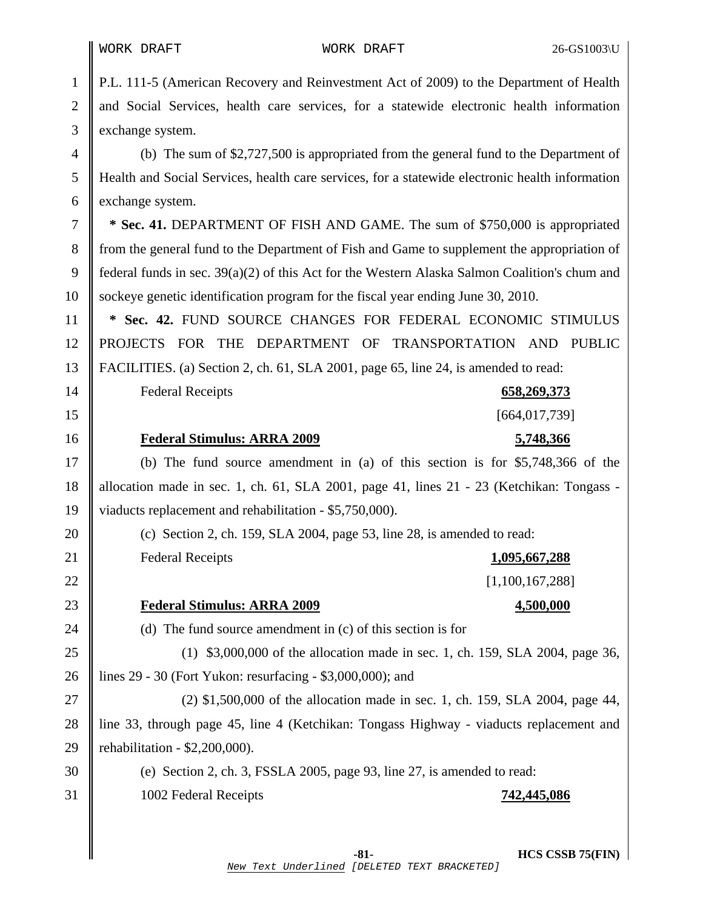1 P.L. 111-5 (American Recovery and Reinvestment Act of 2009) to the Department of Health 2 || and Social Services, health care services, for a statewide electronic health information 3 exchange system.

4 (b) The sum of \$2,727,500 is appropriated from the general fund to the Department of 5 Health and Social Services, health care services, for a statewide electronic health information 6 exchange system.

7 **\* Sec. 41.** DEPARTMENT OF FISH AND GAME. The sum of \$750,000 is appropriated 8 from the general fund to the Department of Fish and Game to supplement the appropriation of 9 federal funds in sec. 39(a)(2) of this Act for the Western Alaska Salmon Coalition's chum and 10 sockeye genetic identification program for the fiscal year ending June 30, 2010.

11 **\* Sec. 42.** FUND SOURCE CHANGES FOR FEDERAL ECONOMIC STIMULUS 12 PROJECTS FOR THE DEPARTMENT OF TRANSPORTATION AND PUBLIC 13 FACILITIES. (a) Section 2, ch. 61, SLA 2001, page 65, line 24, is amended to read:

14 Federal Receipts **658,269,373**

15 [664,017,739]

### 16 **Federal Stimulus: ARRA 2009 5,748,366**

17 (b) The fund source amendment in (a) of this section is for \$5,748,366 of the 18 allocation made in sec. 1, ch. 61, SLA 2001, page 41, lines 21 - 23 (Ketchikan: Tongass - 19 viaducts replacement and rehabilitation - \$5,750,000).

20 (c) Section 2, ch. 159, SLA 2004, page 53, line 28, is amended to read: 21 Federal Receipts **1,095,667,288**

22  $\parallel$  [1,100,167,288]

## 23 **Federal Stimulus: ARRA 2009 4,500,000**

24  $\parallel$  (d) The fund source amendment in (c) of this section is for

25 (1) \$3,000,000 of the allocation made in sec. 1, ch. 159, SLA 2004, page 36, 26 lines 29 - 30 (Fort Yukon: resurfacing - \$3,000,000); and

27 (2) \$1,500,000 of the allocation made in sec. 1, ch. 159, SLA 2004, page 44, 28 line 33, through page 45, line 4 (Ketchikan: Tongass Highway - viaducts replacement and 29 || rehabilitation -  $$2,200,000$ ).

30 (e) Section 2, ch. 3, FSSLA 2005, page 93, line 27, is amended to read: 31 1002 Federal Receipts **742,445,086**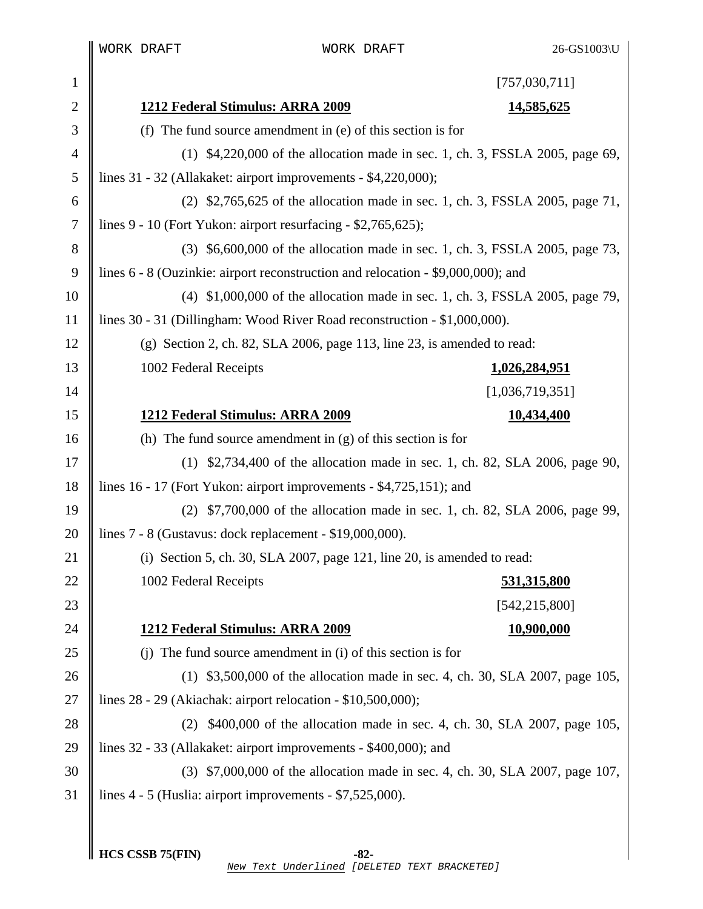$\mathbb I$ I WORK DRAFT WORK DRAFT 26-GS1003\U

| $\mathbf{1}$  | [757,030,711]                                                                    |  |
|---------------|----------------------------------------------------------------------------------|--|
| 2             | 1212 Federal Stimulus: ARRA 2009<br><u>14,585,625</u>                            |  |
| 3             | (f) The fund source amendment in $(e)$ of this section is for                    |  |
| 4             | (1) \$4,220,000 of the allocation made in sec. 1, ch. 3, FSSLA 2005, page 69,    |  |
| 5             | lines 31 - 32 (Allakaket: airport improvements - \$4,220,000);                   |  |
| 6             | (2) \$2,765,625 of the allocation made in sec. 1, ch. 3, FSSLA 2005, page 71,    |  |
| 7             | lines 9 - 10 (Fort Yukon: airport resurfacing - \$2,765,625);                    |  |
| $8\,$         | (3) \$6,600,000 of the allocation made in sec. 1, ch. 3, FSSLA 2005, page 73,    |  |
| 9             | lines 6 - 8 (Ouzinkie: airport reconstruction and relocation - \$9,000,000); and |  |
| 10            | (4) \$1,000,000 of the allocation made in sec. 1, ch. 3, FSSLA 2005, page 79,    |  |
| <sup>11</sup> | lines 30 - 31 (Dillingham: Wood River Road reconstruction - \$1,000,000).        |  |
| 12            | (g) Section 2, ch. 82, SLA 2006, page 113, line 23, is amended to read:          |  |
| 13            | 1002 Federal Receipts<br>1,026,284,951                                           |  |
| 14            | [1,036,719,351]                                                                  |  |
| 15            | 1212 Federal Stimulus: ARRA 2009<br>10,434,400                                   |  |
| 16            | (h) The fund source amendment in $(g)$ of this section is for                    |  |
| 17            | (1) \$2,734,400 of the allocation made in sec. 1, ch. 82, SLA 2006, page 90,     |  |
| 18            | lines 16 - 17 (Fort Yukon: airport improvements - \$4,725,151); and              |  |
| 19            | \$7,700,000 of the allocation made in sec. 1, ch. 82, SLA 2006, page 99,<br>(2)  |  |
| 20            | lines $7 - 8$ (Gustavus: dock replacement - \$19,000,000).                       |  |
| 21            | (i) Section 5, ch. 30, SLA 2007, page $121$ , line 20, is amended to read:       |  |
| 22            | 1002 Federal Receipts<br><u>531,315,800</u>                                      |  |
| 23            | [542, 215, 800]                                                                  |  |
| 24            | 1212 Federal Stimulus: ARRA 2009<br><u>10,900,000</u>                            |  |
| 25            | (i) The fund source amendment in (i) of this section is for                      |  |
| 26            | \$3,500,000 of the allocation made in sec. 4, ch. 30, SLA 2007, page 105,<br>(1) |  |
| 27            | lines $28 - 29$ (Akiachak: airport relocation - \$10,500,000);                   |  |
| 28            | \$400,000 of the allocation made in sec. 4, ch. 30, SLA 2007, page 105,<br>(2)   |  |
| 29            | lines 32 - 33 (Allakaket: airport improvements - \$400,000); and                 |  |
| 30            | (3) \$7,000,000 of the allocation made in sec. 4, ch. 30, SLA 2007, page 107,    |  |
| 31            | lines $4 - 5$ (Huslia: airport improvements $- $7,525,000$ ).                    |  |
|               |                                                                                  |  |
|               | HCS CSSB 75(FIN)<br>$-82-$                                                       |  |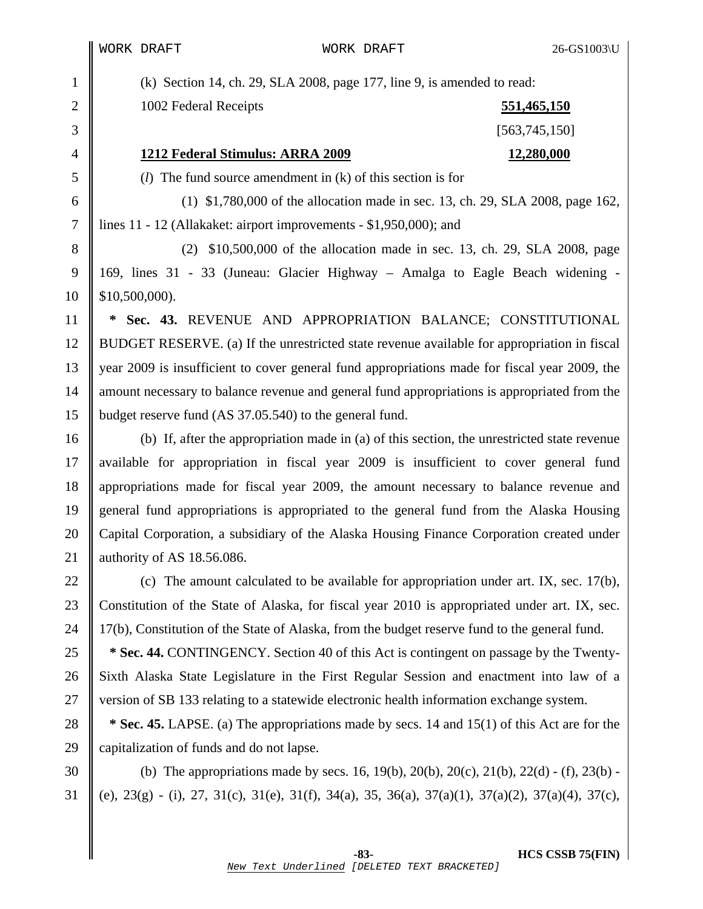1 (k) Section 14, ch. 29, SLA 2008, page 177, line 9, is amended to read:

2 1002 Federal Receipts **551,465,150**

 $3 \parallel$  [563,745,150]

# 4 **1212 Federal Stimulus: ARRA 2009 12,280,000**

5 (*l*) The fund source amendment in (k) of this section is for

6 (1) \$1,780,000 of the allocation made in sec. 13, ch. 29, SLA 2008, page 162, 7 lines 11 - 12 (Allakaket: airport improvements - \$1,950,000); and

8 (2) \$10,500,000 of the allocation made in sec. 13, ch. 29, SLA 2008, page 9 169, lines 31 - 33 (Juneau: Glacier Highway – Amalga to Eagle Beach widening -  $10 \parallel$  \$10,500,000).

11 **\* Sec. 43.** REVENUE AND APPROPRIATION BALANCE; CONSTITUTIONAL 12 BUDGET RESERVE. (a) If the unrestricted state revenue available for appropriation in fiscal 13 year 2009 is insufficient to cover general fund appropriations made for fiscal year 2009, the 14 amount necessary to balance revenue and general fund appropriations is appropriated from the 15 budget reserve fund (AS 37.05.540) to the general fund.

16 (b) If, after the appropriation made in (a) of this section, the unrestricted state revenue 17 available for appropriation in fiscal year 2009 is insufficient to cover general fund 18 appropriations made for fiscal year 2009, the amount necessary to balance revenue and 19 general fund appropriations is appropriated to the general fund from the Alaska Housing 20 Capital Corporation, a subsidiary of the Alaska Housing Finance Corporation created under 21 authority of AS 18.56.086.

22 (c) The amount calculated to be available for appropriation under art. IX, sec. 17(b), 23 Constitution of the State of Alaska, for fiscal year 2010 is appropriated under art. IX, sec. 24  $\parallel$  17(b), Constitution of the State of Alaska, from the budget reserve fund to the general fund.

<sup>25</sup> **\* Sec. 44.** CONTINGENCY. Section 40 of this Act is contingent on passage by the Twenty-26 Sixth Alaska State Legislature in the First Regular Session and enactment into law of a 27 version of SB 133 relating to a statewide electronic health information exchange system.

28 **\* Sec. 45.** LAPSE. (a) The appropriations made by secs. 14 and 15(1) of this Act are for the 29 capitalization of funds and do not lapse.

30 (b) The appropriations made by secs. 16, 19(b), 20(b), 20(c), 21(b), 22(d) - (f), 23(b) -31 (e),  $23(g)$  - (i),  $27$ ,  $31(c)$ ,  $31(f)$ ,  $34(a)$ ,  $35$ ,  $36(a)$ ,  $37(a)(1)$ ,  $37(a)(2)$ ,  $37(a)(4)$ ,  $37(c)$ ,